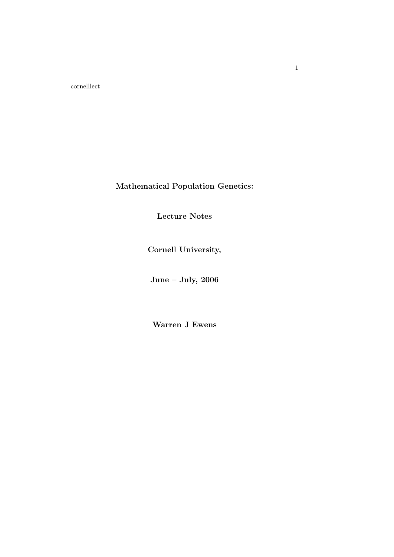cornelllect

Mathematical Population Genetics:

Lecture Notes

Cornell University,

June – July, 2006

Warren J Ewens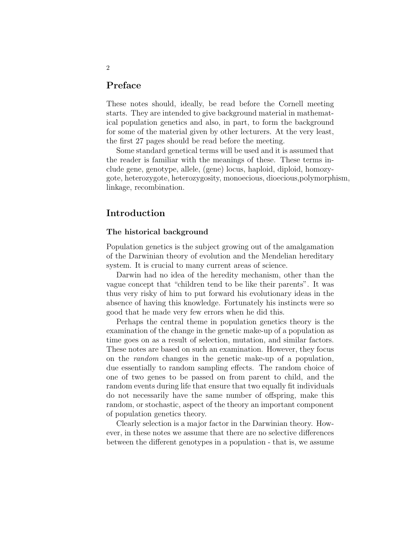# Preface

These notes should, ideally, be read before the Cornell meeting starts. They are intended to give background material in mathematical population genetics and also, in part, to form the background for some of the material given by other lecturers. At the very least, the first 27 pages should be read before the meeting.

Some standard genetical terms will be used and it is assumed that the reader is familiar with the meanings of these. These terms include gene, genotype, allele, (gene) locus, haploid, diploid, homozygote, heterozygote, heterozygosity, monoecious, dioecious,polymorphism, linkage, recombination.

# Introduction

## The historical background

Population genetics is the subject growing out of the amalgamation of the Darwinian theory of evolution and the Mendelian hereditary system. It is crucial to many current areas of science.

Darwin had no idea of the heredity mechanism, other than the vague concept that "children tend to be like their parents". It was thus very risky of him to put forward his evolutionary ideas in the absence of having this knowledge. Fortunately his instincts were so good that he made very few errors when he did this.

Perhaps the central theme in population genetics theory is the examination of the change in the genetic make-up of a population as time goes on as a result of selection, mutation, and similar factors. These notes are based on such an examination. However, they focus on the random changes in the genetic make-up of a population, due essentially to random sampling effects. The random choice of one of two genes to be passed on from parent to child, and the random events during life that ensure that two equally fit individuals do not necessarily have the same number of offspring, make this random, or stochastic, aspect of the theory an important component of population genetics theory.

Clearly selection is a major factor in the Darwinian theory. However, in these notes we assume that there are no selective differences between the different genotypes in a population - that is, we assume

## 2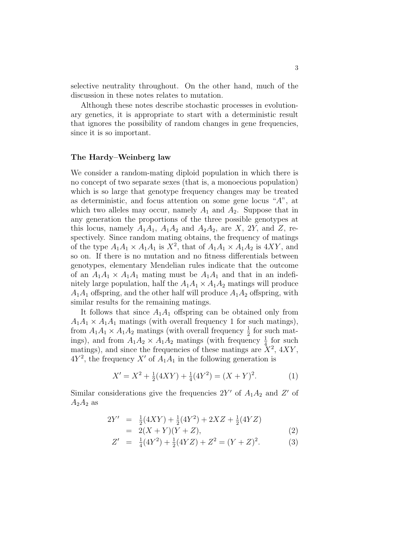selective neutrality throughout. On the other hand, much of the discussion in these notes relates to mutation.

Although these notes describe stochastic processes in evolutionary genetics, it is appropriate to start with a deterministic result that ignores the possibility of random changes in gene frequencies, since it is so important.

#### The Hardy–Weinberg law

We consider a random-mating diploid population in which there is no concept of two separate sexes (that is, a monoecious population) which is so large that genotype frequency changes may be treated as deterministic, and focus attention on some gene locus "A", at which two alleles may occur, namely  $A_1$  and  $A_2$ . Suppose that in any generation the proportions of the three possible genotypes at this locus, namely  $A_1A_1$ ,  $A_1A_2$  and  $A_2A_2$ , are X, 2Y, and Z, respectively. Since random mating obtains, the frequency of matings of the type  $A_1A_1 \times A_1A_1$  is  $X^2$ , that of  $A_1A_1 \times A_1A_2$  is  $4XY$ , and so on. If there is no mutation and no fitness differentials between genotypes, elementary Mendelian rules indicate that the outcome of an  $A_1A_1 \times A_1A_1$  mating must be  $A_1A_1$  and that in an indefinitely large population, half the  $A_1A_1 \times A_1A_2$  matings will produce  $A_1A_1$  offspring, and the other half will produce  $A_1A_2$  offspring, with similar results for the remaining matings.

It follows that since  $A_1A_1$  offspring can be obtained only from  $A_1A_1 \times A_1A_1$  matings (with overall frequency 1 for such matings), from  $A_1A_1 \times A_1A_2$  matings (with overall frequency  $\frac{1}{2}$  for such matings), and from  $A_1A_2 \times A_1A_2$  matings (with frequency  $\frac{1}{4}$  for such matings), and since the frequencies of these matings are  $\dot{X}^2$ ,  $4XY$ ,  $4Y^2$ , the frequency X' of  $A_1A_1$  in the following generation is

$$
X' = X^2 + \frac{1}{2}(4XY) + \frac{1}{4}(4Y^2) = (X + Y)^2.
$$
 (1)

Similar considerations give the frequencies  $2Y'$  of  $A_1A_2$  and  $Z'$  of  $A_2A_2$  as

$$
2Y' = \frac{1}{2}(4XY) + \frac{1}{2}(4Y^2) + 2XZ + \frac{1}{2}(4YZ)
$$
  
= 2(X + Y)(Y + Z), (2)

$$
Z' = \frac{1}{4}(4Y^2) + \frac{1}{2}(4YZ) + Z^2 = (Y + Z)^2.
$$
 (3)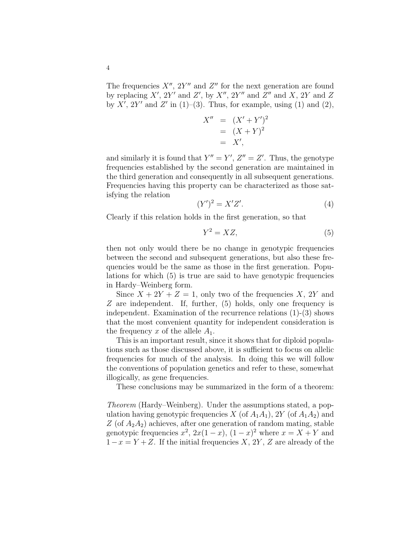The frequencies  $X''$ ,  $2Y''$  and  $Z''$  for the next generation are found by replacing  $X'$ ,  $2Y'$  and  $Z'$ , by  $X''$ ,  $2Y''$  and  $Z''$  and  $X$ ,  $2Y$  and  $Z$ by X', 2Y' and Z' in (1)–(3). Thus, for example, using (1) and (2),

$$
X'' = (X' + Y')^{2}
$$
  
= (X + Y)<sup>2</sup>  
= X',

and similarly it is found that  $Y'' = Y'$ ,  $Z'' = Z'$ . Thus, the genotype frequencies established by the second generation are maintained in the third generation and consequently in all subsequent generations. Frequencies having this property can be characterized as those satisfying the relation

$$
(Y')^2 = X'Z'.\tag{4}
$$

Clearly if this relation holds in the first generation, so that

$$
Y^2 = XZ,\tag{5}
$$

then not only would there be no change in genotypic frequencies between the second and subsequent generations, but also these frequencies would be the same as those in the first generation. Populations for which (5) is true are said to have genotypic frequencies in Hardy–Weinberg form.

Since  $X + 2Y + Z = 1$ , only two of the frequencies X, 2Y and Z are independent. If, further, (5) holds, only one frequency is independent. Examination of the recurrence relations (1)-(3) shows that the most convenient quantity for independent consideration is the frequency x of the allele  $A_1$ .

This is an important result, since it shows that for diploid populations such as those discussed above, it is sufficient to focus on allelic frequencies for much of the analysis. In doing this we will follow the conventions of population genetics and refer to these, somewhat illogically, as gene frequencies.

These conclusions may be summarized in the form of a theorem:

Theorem (Hardy–Weinberg). Under the assumptions stated, a population having genotypic frequencies X (of  $A_1A_1$ ), 2Y (of  $A_1A_2$ ) and Z (of  $A_2A_2$ ) achieves, after one generation of random mating, stable genotypic frequencies  $x^2$ ,  $2x(1-x)$ ,  $(1-x)^2$  where  $x = X + Y$  and  $1-x = Y + Z$ . If the initial frequencies X, 2Y, Z are already of the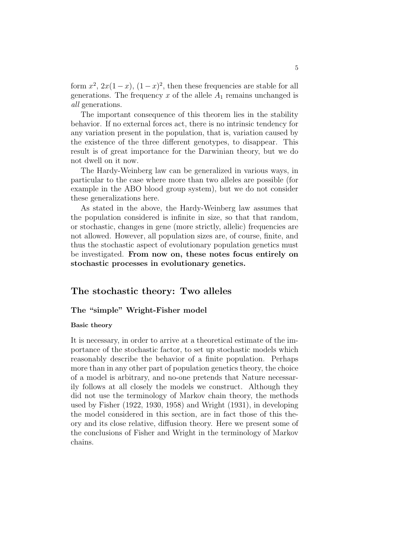form  $x^2$ ,  $2x(1-x)$ ,  $(1-x)^2$ , then these frequencies are stable for all generations. The frequency  $x$  of the allele  $A_1$  remains unchanged is all generations.

The important consequence of this theorem lies in the stability behavior. If no external forces act, there is no intrinsic tendency for any variation present in the population, that is, variation caused by the existence of the three different genotypes, to disappear. This result is of great importance for the Darwinian theory, but we do not dwell on it now.

The Hardy-Weinberg law can be generalized in various ways, in particular to the case where more than two alleles are possible (for example in the ABO blood group system), but we do not consider these generalizations here.

As stated in the above, the Hardy-Weinberg law assumes that the population considered is infinite in size, so that that random, or stochastic, changes in gene (more strictly, allelic) frequencies are not allowed. However, all population sizes are, of course, finite, and thus the stochastic aspect of evolutionary population genetics must be investigated. From now on, these notes focus entirely on stochastic processes in evolutionary genetics.

# The stochastic theory: Two alleles

# The "simple" Wright-Fisher model

#### Basic theory

It is necessary, in order to arrive at a theoretical estimate of the importance of the stochastic factor, to set up stochastic models which reasonably describe the behavior of a finite population. Perhaps more than in any other part of population genetics theory, the choice of a model is arbitrary, and no-one pretends that Nature necessarily follows at all closely the models we construct. Although they did not use the terminology of Markov chain theory, the methods used by Fisher (1922, 1930, 1958) and Wright (1931), in developing the model considered in this section, are in fact those of this theory and its close relative, diffusion theory. Here we present some of the conclusions of Fisher and Wright in the terminology of Markov chains.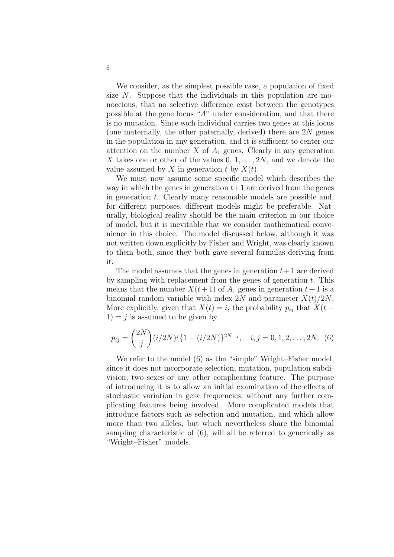We consider, as the simplest possible case, a population of fixed size N. Suppose that the individuals in this population are monoecious, that no selective difference exist between the genotypes possible at the gene locus "A" under consideration, and that there is no mutation. Since each individual carries two genes at this locus (one maternally, the other paternally, derived) there are  $2N$  genes in the population in any generation, and it is sufficient to center our attention on the number  $X$  of  $A_1$  genes. Clearly in any generation X takes one or other of the values  $0, 1, \ldots, 2N$ , and we denote the value assumed by X in generation t by  $X(t)$ .

We must now assume some specific model which describes the way in which the genes in generation  $t+1$  are derived from the genes in generation t. Clearly many reasonable models are possible and, for different purposes, different models might be preferable. Naturally, biological reality should be the main criterion in our choice of model, but it is inevitable that we consider mathematical convenience in this choice. The model discussed below, although it was not written down explicitly by Fisher and Wright, was clearly known to them both, since they both gave several formulas deriving from it.

The model assumes that the genes in generation  $t+1$  are derived by sampling with replacement from the genes of generation  $t$ . This means that the number  $X(t+1)$  of  $A_1$  genes in generation  $t+1$  is a binomial random variable with index 2N and parameter  $X(t)/2N$ . More explicitly, given that  $X(t) = i$ , the probability  $p_{ij}$  that  $X(t +$  $1 = j$  is assumed to be given by

$$
p_{ij} = {2N \choose j} (i/2N)^j \{1 - (i/2N)\}^{2N-j}, \quad i, j = 0, 1, 2, ..., 2N.
$$
 (6)

We refer to the model (6) as the "simple" Wright–Fisher model, since it does not incorporate selection, mutation, population subdivision, two sexes or any other complicating feature. The purpose of introducing it is to allow an initial examination of the effects of stochastic variation in gene frequencies, without any further complicating features being involved. More complicated models that introduce factors such as selection and mutation, and which allow more than two alleles, but which nevertheless share the binomial sampling characteristic of (6), will all be referred to generically as "Wright–Fisher" models.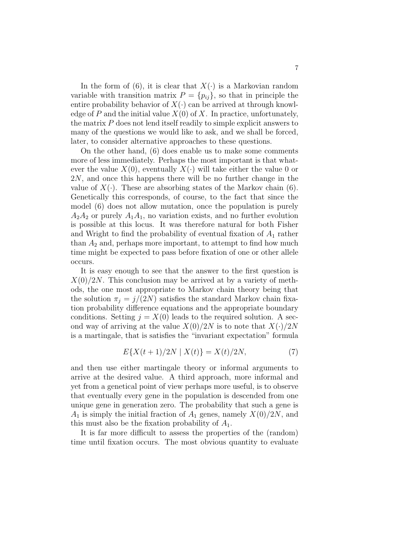In the form of (6), it is clear that  $X(\cdot)$  is a Markovian random variable with transition matrix  $P = \{p_{ij}\}\$ , so that in principle the entire probability behavior of  $X(\cdot)$  can be arrived at through knowledge of P and the initial value  $X(0)$  of X. In practice, unfortunately, the matrix  $P$  does not lend itself readily to simple explicit answers to many of the questions we would like to ask, and we shall be forced, later, to consider alternative approaches to these questions.

On the other hand, (6) does enable us to make some comments more of less immediately. Perhaps the most important is that whatever the value  $X(0)$ , eventually  $X(\cdot)$  will take either the value 0 or 2N, and once this happens there will be no further change in the value of  $X(\cdot)$ . These are absorbing states of the Markov chain (6). Genetically this corresponds, of course, to the fact that since the model (6) does not allow mutation, once the population is purely  $A_2A_2$  or purely  $A_1A_1$ , no variation exists, and no further evolution is possible at this locus. It was therefore natural for both Fisher and Wright to find the probability of eventual fixation of  $A_1$  rather than  $A_2$  and, perhaps more important, to attempt to find how much time might be expected to pass before fixation of one or other allele occurs.

It is easy enough to see that the answer to the first question is  $X(0)/2N$ . This conclusion may be arrived at by a variety of methods, the one most appropriate to Markov chain theory being that the solution  $\pi_j = j/(2N)$  satisfies the standard Markov chain fixation probability difference equations and the appropriate boundary conditions. Setting  $j = X(0)$  leads to the required solution. A second way of arriving at the value  $X(0)/2N$  is to note that  $X(\cdot)/2N$ is a martingale, that is satisfies the "invariant expectation" formula

$$
E\{X(t+1)/2N \mid X(t)\} = X(t)/2N,\tag{7}
$$

and then use either martingale theory or informal arguments to arrive at the desired value. A third approach, more informal and yet from a genetical point of view perhaps more useful, is to observe that eventually every gene in the population is descended from one unique gene in generation zero. The probability that such a gene is  $A_1$  is simply the initial fraction of  $A_1$  genes, namely  $X(0)/2N$ , and this must also be the fixation probability of  $A_1$ .

It is far more difficult to assess the properties of the (random) time until fixation occurs. The most obvious quantity to evaluate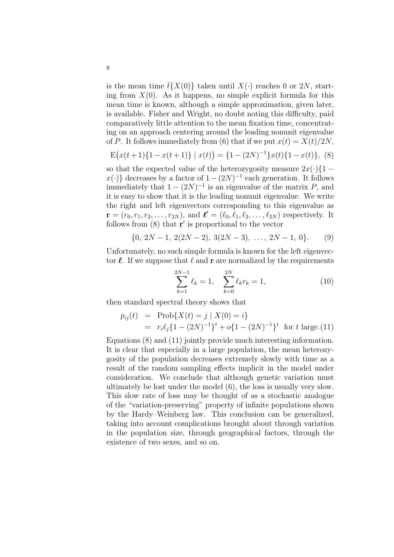is the mean time  $\bar{t}\{X(0)\}\$  taken until  $X(\cdot)$  reaches 0 or 2N, starting from  $X(0)$ . As it happens, no simple explicit formula for this mean time is known, although a simple approximation, given later, is available. Fisher and Wright, no doubt noting this difficulty, paid comparatively little attention to the mean fixation time, concentrating on an approach centering around the leading nonunit eigenvalue of P. It follows immediately from (6) that if we put  $x(t) = X(t)/2N$ ,

$$
E(x(t+1)\{1-x(t+1)\} | x(t)) = \{1-(2N)^{-1}\}x(t)\{1-x(t)\},
$$
 (8)

so that the expected value of the heterozygosity measure  $2x(\cdot)\{1-\}$  $x(\cdot)$  decreases by a factor of  $1 - (2N)^{-1}$  each generation. It follows immediately that  $1 - (2N)^{-1}$  is an eigenvalue of the matrix P, and it is easy to show that it is the leading nonunit eigenvalue. We write the right and left eigenvectors corresponding to this eigenvalue as  ${\bf r} = (r_0, r_1, r_2, \ldots, r_{2N})$ , and  ${\bf \ell}' = (\ell_0, \ell_1, \ell_2, \ldots, \ell_{2N})$  respectively. It follows from  $(8)$  that  $\mathbf{r}'$  is proportional to the vector

$$
\{0, 2N-1, 2(2N-2), 3(2N-3), \ldots, 2N-1, 0\}.
$$
 (9)

Unfortunately, no such simple formula is known for the left eigenvector  $\ell$ . If we suppose that  $\ell$  and r are normalized by the requirements

$$
\sum_{k=1}^{2N-1} \ell_k = 1, \quad \sum_{k=0}^{2N} \ell_k r_k = 1,\tag{10}
$$

then standard spectral theory shows that

$$
p_{ij}(t) = \text{Prob}\{X(t) = j \mid X(0) = i\}
$$
  
=  $r_i \ell_j \{1 - (2N)^{-1}\}^t + o\{1 - (2N)^{-1}\}^t$  for t large.(11)

Equations (8) and (11) jointly provide much interesting information. It is clear that especially in a large population, the mean heterozygosity of the population decreases extremely slowly with time as a result of the random sampling effects implicit in the model under consideration. We conclude that although genetic variation must ultimately be lost under the model (6), the loss is usually very slow. This slow rate of loss may be thought of as a stochastic analogue of the "variation-preserving" property of infinite populations shown by the Hardy–Weinberg law. This conclusion can be generalized, taking into account complications brought about through variation in the population size, through geographical factors, through the existence of two sexes, and so on.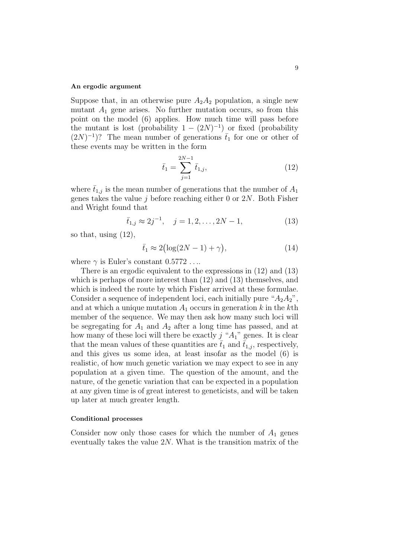#### An ergodic argument

Suppose that, in an otherwise pure  $A_2A_2$  population, a single new mutant  $A_1$  gene arises. No further mutation occurs, so from this point on the model (6) applies. How much time will pass before the mutant is lost (probability  $1 - (2N)^{-1}$ ) or fixed (probability  $(2N)^{-1}$ ? The mean number of generations  $\bar{t}_1$  for one or other of these events may be written in the form

$$
\bar{t}_1 = \sum_{j=1}^{2N-1} \bar{t}_{1,j},\tag{12}
$$

where  $\bar{t}_{1,j}$  is the mean number of generations that the number of  $A_1$ genes takes the value  $j$  before reaching either 0 or  $2N$ . Both Fisher and Wright found that

$$
\bar{t}_{1,j} \approx 2j^{-1}, \quad j = 1, 2, ..., 2N - 1,
$$
\n(13)

so that, using (12),

$$
\bar{t}_1 \approx 2\left(\log(2N - 1) + \gamma\right),\tag{14}
$$

where  $\gamma$  is Euler's constant  $0.5772...$ 

There is an ergodic equivalent to the expressions in (12) and (13) which is perhaps of more interest than  $(12)$  and  $(13)$  themselves, and which is indeed the route by which Fisher arrived at these formulae. Consider a sequence of independent loci, each initially pure " $A_2A_2$ ", and at which a unique mutation  $A_1$  occurs in generation k in the kth member of the sequence. We may then ask how many such loci will be segregating for  $A_1$  and  $A_2$  after a long time has passed, and at how many of these loci will there be exactly  $j$  " $A_1$ " genes. It is clear that the mean values of these quantities are  $\bar{t}_1$  and  $\bar{t}_{1,i}$ , respectively, and this gives us some idea, at least insofar as the model (6) is realistic, of how much genetic variation we may expect to see in any population at a given time. The question of the amount, and the nature, of the genetic variation that can be expected in a population at any given time is of great interest to geneticists, and will be taken up later at much greater length.

#### Conditional processes

Consider now only those cases for which the number of  $A_1$  genes eventually takes the value  $2N$ . What is the transition matrix of the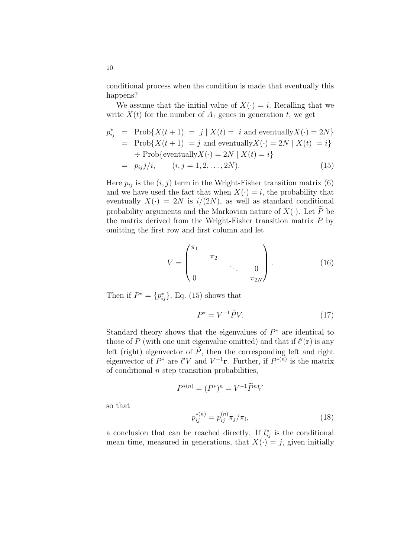conditional process when the condition is made that eventually this happens?

We assume that the initial value of  $X(\cdot) = i$ . Recalling that we write  $X(t)$  for the number of  $A_1$  genes in generation t, we get

$$
p_{ij}^* = \text{Prob}\{X(t+1) = j \mid X(t) = i \text{ and eventually } X(\cdot) = 2N\}
$$
  
= \text{Prob}\{X(t+1) = j \text{ and eventually } X(\cdot) = 2N \mid X(t) = i\}  
\div \text{Prob}\{\text{eventually } X(\cdot) = 2N \mid X(t) = i\}  
= p\_{ij}j/i, \qquad (i, j = 1, 2, ..., 2N). (15)

Here  $p_{ij}$  is the  $(i, j)$  term in the Wright-Fisher transition matrix (6) and we have used the fact that when  $X(\cdot) = i$ , the probability that eventually  $X(\cdot) = 2N$  is  $i/(2N)$ , as well as standard conditional probability arguments and the Markovian nature of  $X(\cdot)$ . Let  $\tilde{P}$  be the matrix derived from the Wright-Fisher transition matrix  $P$  by omitting the first row and first column and let

$$
V = \begin{pmatrix} \pi_1 & & & & \\ & \pi_2 & & & \\ & & \ddots & & 0 \\ 0 & & & \pi_{2N} \end{pmatrix} .
$$
 (16)

Then if  $P^* = \{p_{ij}^*\}$ , Eq. (15) shows that

$$
P^* = V^{-1} \widetilde{P} V. \tag{17}
$$

Standard theory shows that the eigenvalues of  $P^*$  are identical to those of P (with one unit eigenvalue omitted) and that if  $\ell'(\mathbf{r})$  is any left (right) eigenvector of  $\widetilde{P}$ , then the corresponding left and right eigenvector of  $P^*$  are  $\ell'V$  and  $V^{-1}$ **r**. Further, if  $P^{*(n)}$  is the matrix of conditional  $n$  step transition probabilities,

$$
P^{*(n)} = (P^*)^n = V^{-1} \widetilde{P}^n V
$$

so that

$$
p_{ij}^{*(n)} = p_{ij}^{(n)} \pi_j / \pi_i,
$$
\n(18)

a conclusion that can be reached directly. If  $\bar{t}_{ij}^*$  is the conditional mean time, measured in generations, that  $X(\cdot) = j$ , given initially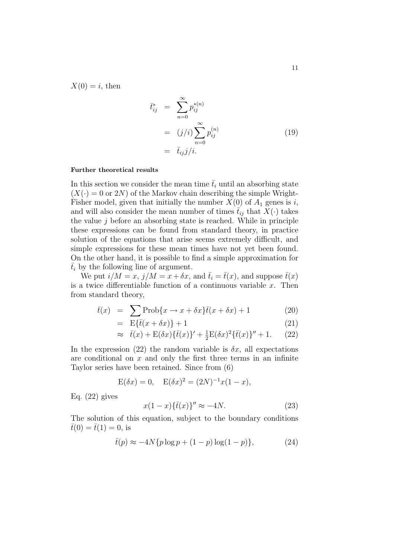$X(0) = i$ , then

$$
\begin{aligned}\n\bar{t}_{ij}^* &= \sum_{n=0}^{\infty} p_{ij}^{*(n)} \\
&= (j/i) \sum_{n=0}^{\infty} p_{ij}^{(n)} \\
&= \bar{t}_{ij} j/i.\n\end{aligned} \tag{19}
$$

#### Further theoretical results

In this section we consider the mean time  $\bar{t}_i$  until an absorbing state  $(X(\cdot) = 0$  or 2N) of the Markov chain describing the simple Wright-Fisher model, given that initially the number  $X(0)$  of  $A_1$  genes is i, and will also consider the mean number of times  $\bar{t}_{ij}$  that  $X(\cdot)$  takes the value  $j$  before an absorbing state is reached. While in principle these expressions can be found from standard theory, in practice solution of the equations that arise seems extremely difficult, and simple expressions for these mean times have not yet been found. On the other hand, it is possible to find a simple approximation for  $\bar{t}_i$  by the following line of argument.

We put  $i/M = x$ ,  $j/M = x + \delta x$ , and  $\bar{t}_i = \bar{t}(x)$ , and suppose  $\bar{t}(x)$ is a twice differentiable function of a continuous variable  $x$ . Then from standard theory,

$$
\bar{t}(x) = \sum_{x \in \mathbb{Z}} \text{Prob}\{x \to x + \delta x\} \bar{t}(x + \delta x) + 1 \tag{20}
$$

$$
= \mathbf{E}\{\bar{t}(x+\delta x)\}+1 \tag{21}
$$

$$
\approx \bar{t}(x) + \mathcal{E}(\delta x)\{\bar{t}(x)\}^{\prime} + \frac{1}{2}\mathcal{E}(\delta x)^{2}\{\bar{t}(x)\}^{\prime\prime} + 1. \tag{22}
$$

In the expression (22) the random variable is  $\delta x$ , all expectations are conditional on  $x$  and only the first three terms in an infinite Taylor series have been retained. Since from (6)

$$
E(\delta x) = 0
$$
,  $E(\delta x)^2 = (2N)^{-1}x(1 - x)$ ,

Eq.  $(22)$  gives

$$
x(1-x)\{\bar{t}(x)\}'' \approx -4N.\tag{23}
$$

The solution of this equation, subject to the boundary conditions  $\bar{t}(0) = \bar{t}(1) = 0$ , is

$$
\bar{t}(p) \approx -4N\{p \log p + (1-p) \log(1-p)\},\tag{24}
$$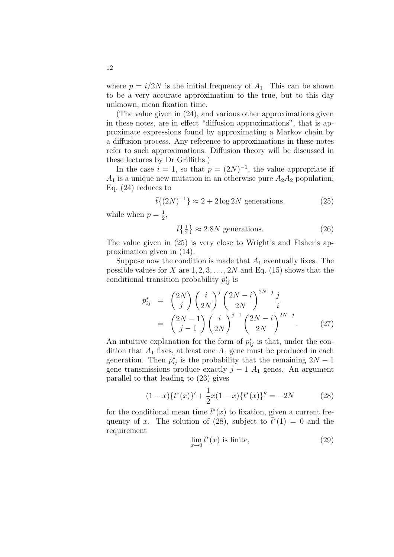where  $p = i/2N$  is the initial frequency of  $A_1$ . This can be shown to be a very accurate approximation to the true, but to this day unknown, mean fixation time.

(The value given in (24), and various other approximations given in these notes, are in effect "diffusion approximations", that is approximate expressions found by approximating a Markov chain by a diffusion process. Any reference to approximations in these notes refer to such approximations. Diffusion theory will be discussed in these lectures by Dr Griffiths.)

In the case  $i = 1$ , so that  $p = (2N)^{-1}$ , the value appropriate if  $A_1$  is a unique new mutation in an otherwise pure  $A_2A_2$  population, Eq. (24) reduces to

$$
\bar{t}\{(2N)^{-1}\} \approx 2 + 2\log 2N
$$
 generations, (25)

while when  $p=\frac{1}{2}$  $\frac{1}{2}$ ,

$$
\bar{t}\left\{\frac{1}{2}\right\} \approx 2.8N \text{ generations.} \tag{26}
$$

The value given in (25) is very close to Wright's and Fisher's approximation given in (14).

Suppose now the condition is made that  $A_1$  eventually fixes. The possible values for X are  $1, 2, 3, \ldots, 2N$  and Eq. (15) shows that the conditional transition probability  $p_{ij}^*$  is

$$
p_{ij}^{*} = {2N \choose j} \left(\frac{i}{2N}\right)^j \left(\frac{2N-i}{2N}\right)^{2N-j} \frac{j}{i}
$$
  
=  $\left(\frac{2N-1}{j-1}\right) \left(\frac{i}{2N}\right)^{j-1} \left(\frac{2N-i}{2N}\right)^{2N-j}$ . (27)

An intuitive explanation for the form of  $p_{ij}^*$  is that, under the condition that  $A_1$  fixes, at least one  $A_1$  gene must be produced in each generation. Then  $p_{ij}^*$  is the probability that the remaining  $2N-1$ gene transmissions produce exactly  $j-1$   $A_1$  genes. An argument parallel to that leading to (23) gives

$$
(1-x)\{\bar{t}^*(x)\}' + \frac{1}{2}x(1-x)\{\bar{t}^*(x)\}'' = -2N
$$
\n(28)

for the conditional mean time  $\bar{t}^*(x)$  to fixation, given a current frequency of x. The solution of (28), subject to  $\bar{t}^*(1) = 0$  and the requirement

$$
\lim_{x \to 0} \bar{t}^*(x) \text{ is finite},\tag{29}
$$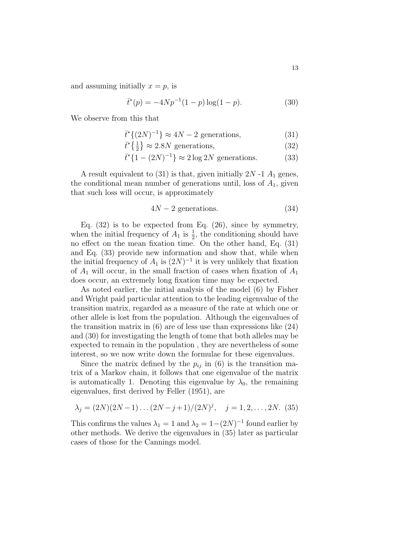and assuming initially  $x = p$ , is

$$
\bar{t}^*(p) = -4Np^{-1}(1-p)\log(1-p). \tag{30}
$$

We observe from this that

$$
\bar{t}^* \{ (2N)^{-1} \} \approx 4N - 2 \text{ generations},\tag{31}
$$

$$
\bar{t}^* \left\{ \frac{1}{2} \right\} \approx 2.8N \text{ generations},\tag{32}
$$

$$
\bar{t}^* \{ 1 - (2N)^{-1} \} \approx 2 \log 2N
$$
 generations. (33)

A result equivalent to  $(31)$  is that, given initially  $2N-1$   $A_1$  genes, the conditional mean number of generations until, loss of  $A_1$ , given that such loss will occur, is approximately

$$
4N - 2 \text{ generations.} \tag{34}
$$

Eq. (32) is to be expected from Eq. (26), since by symmetry, when the initial frequency of  $A_1$  is  $\frac{1}{2}$ , the conditioning should have no effect on the mean fixation time. On the other hand, Eq. (31) and Eq. (33) provide new information and show that, while when the initial frequency of  $A_1$  is  $(2N)^{-1}$  it is very unlikely that fixation of  $A_1$  will occur, in the small fraction of cases when fixation of  $A_1$ does occur, an extremely long fixation time may be expected.

As noted earlier, the initial analysis of the model (6) by Fisher and Wright paid particular attention to the leading eigenvalue of the transition matrix, regarded as a measure of the rate at which one or other allele is lost from the population. Although the eigenvalues of the transition matrix in  $(6)$  are of less use than expressions like  $(24)$ and (30) for investigating the length of tome that both alleles may be expected to remain in the population , they are nevertheless of some interest, so we now write down the formulae for these eigenvalues.

Since the matrix defined by the  $p_{ij}$  in (6) is the transition matrix of a Markov chain, it follows that one eigenvalue of the matrix is automatically 1. Denoting this eigenvalue by  $\lambda_0$ , the remaining eigenvalues, first derived by Feller (1951), are

$$
\lambda_j = (2N)(2N-1)\dots(2N-j+1)/(2N)^j, \quad j = 1, 2, \dots, 2N. \tag{35}
$$

This confirms the values  $\lambda_1 = 1$  and  $\lambda_2 = 1-(2N)^{-1}$  found earlier by other methods. We derive the eigenvalues in (35) later as particular cases of those for the Cannings model.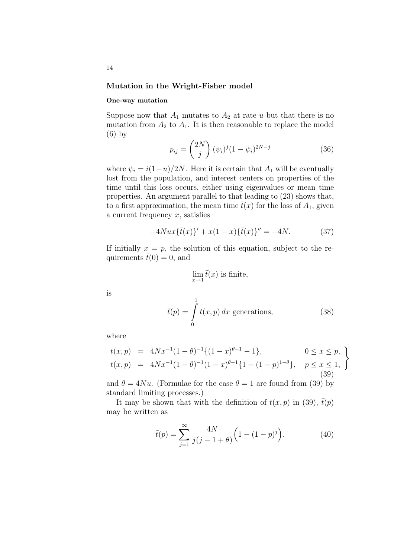### Mutation in the Wright-Fisher model

#### One-way mutation

Suppose now that  $A_1$  mutates to  $A_2$  at rate u but that there is no mutation from  $A_2$  to  $A_1$ . It is then reasonable to replace the model (6) by  $\overline{a}$  $\mathbf{r}$ 

$$
p_{ij} = \binom{2N}{j} (\psi_i)^j (1 - \psi_i)^{2N - j} \tag{36}
$$

where  $\psi_i = i(1-u)/2N$ . Here it is certain that  $A_1$  will be eventually lost from the population, and interest centers on properties of the time until this loss occurs, either using eigenvalues or mean time properties. An argument parallel to that leading to (23) shows that, to a first approximation, the mean time  $\bar{t}(x)$  for the loss of  $A_1$ , given a current frequency  $x$ , satisfies

$$
-4Nux\{\bar{t}(x)\}'+x(1-x)\{\bar{t}(x)\}''=-4N.\tag{37}
$$

If initially  $x = p$ , the solution of this equation, subject to the requirements  $\bar{t}(0) = 0$ , and

$$
\lim_{x \to 1} \bar{t}(x)
$$
 is finite,

is

$$
\bar{t}(p) = \int_{0}^{1} t(x, p) dx
$$
 generations, (38)

where

$$
t(x,p) = 4Nx^{-1}(1-\theta)^{-1}\{(1-x)^{\theta-1}-1\}, \qquad 0 \le x \le p, \n t(x,p) = 4Nx^{-1}(1-\theta)^{-1}(1-x)^{\theta-1}\{1-(1-p)^{1-\theta}\}, \quad p \le x \le 1, \n (39)
$$

and  $\theta = 4Nu$ . (Formulae for the case  $\theta = 1$  are found from (39) by standard limiting processes.)

It may be shown that with the definition of  $t(x, p)$  in (39),  $\bar{t}(p)$ may be written as

$$
\bar{t}(p) = \sum_{j=1}^{\infty} \frac{4N}{j(j-1+\theta)} \left(1 - (1-p)^j\right).
$$
 (40)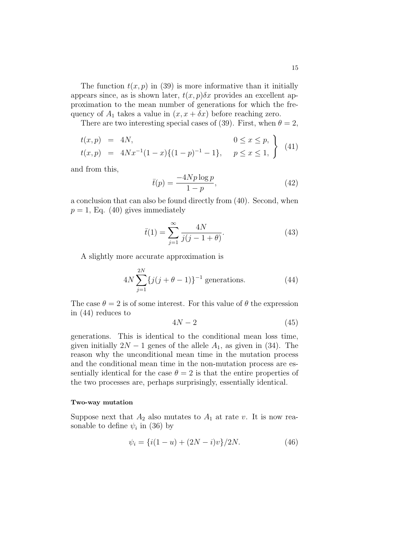The function  $t(x, p)$  in (39) is more informative than it initially appears since, as is shown later,  $t(x, p)\delta x$  provides an excellent approximation to the mean number of generations for which the frequency of  $A_1$  takes a value in  $(x, x + \delta x)$  before reaching zero.

There are two interesting special cases of (39). First, when  $\theta = 2$ ,

$$
t(x,p) = 4N,
$$
  
\n
$$
t(x,p) = 4Nx^{-1}(1-x)\{(1-p)^{-1} - 1\}, \quad p \le x \le 1,
$$
\n(41)

and from this,

$$
\bar{t}(p) = \frac{-4Np \log p}{1 - p},\tag{42}
$$

a conclusion that can also be found directly from (40). Second, when  $p = 1$ , Eq. (40) gives immediately

$$
\bar{t}(1) = \sum_{j=1}^{\infty} \frac{4N}{j(j-1+\theta)}.
$$
\n(43)

A slightly more accurate approximation is

$$
4N\sum_{j=1}^{2N} \{j(j+\theta-1)\}^{-1} \text{ generations.} \tag{44}
$$

The case  $\theta = 2$  is of some interest. For this value of  $\theta$  the expression in (44) reduces to

$$
4N - 2 \tag{45}
$$

generations. This is identical to the conditional mean loss time, given initially  $2N - 1$  genes of the allele  $A_1$ , as given in (34). The reason why the unconditional mean time in the mutation process and the conditional mean time in the non-mutation process are essentially identical for the case  $\theta = 2$  is that the entire properties of the two processes are, perhaps surprisingly, essentially identical.

#### Two-way mutation

Suppose next that  $A_2$  also mutates to  $A_1$  at rate v. It is now reasonable to define  $\psi_i$  in (36) by

$$
\psi_i = \{i(1-u) + (2N-i)v\}/2N.
$$
 (46)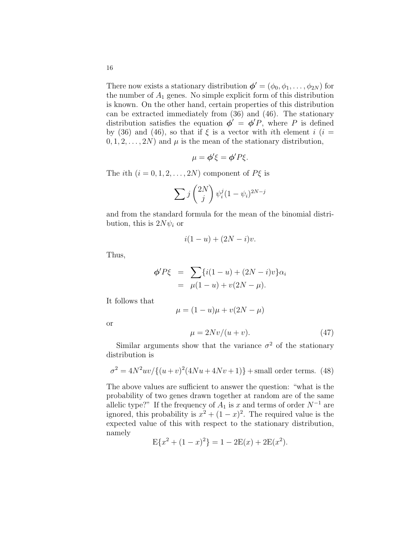There now exists a stationary distribution  $\boldsymbol{\phi}' = (\phi_0, \phi_1, \dots, \phi_{2N})$  for the number of  $A_1$  genes. No simple explicit form of this distribution is known. On the other hand, certain properties of this distribution can be extracted immediately from (36) and (46). The stationary distribution satisfies the equation  $\phi' = \phi' P$ , where P is defined by (36) and (46), so that if  $\xi$  is a vector with ith element i (i =  $(0, 1, 2, \ldots, 2N)$  and  $\mu$  is the mean of the stationary distribution,

$$
\mu = \phi' \xi = \phi' P \xi.
$$

The *i*th  $(i = 0, 1, 2, ..., 2N)$  component of  $P\xi$  is

$$
\sum j\binom{2N}{j}\psi_i^j(1-\psi_i)^{2N-j}
$$

and from the standard formula for the mean of the binomial distribution, this is  $2N\psi_i$  or

$$
i(1-u) + (2N-i)v.
$$

Thus,

or

$$
\phi' P \xi = \sum_{\mu} \{ i(1 - u) + (2N - i)v \} \alpha_i
$$
  
=  $\mu(1 - u) + v(2N - \mu).$ 

It follows that

distribution is

$$
\mu = (1 - u)\mu + v(2N - \mu)
$$
  

$$
\mu = 2Nv/(u + v).
$$
 (47)

Similar arguments show that the variance  $\sigma^2$  of the stationary

$$
\sigma^2 = 4N^2uv/\{(u+v)^2(4Nu+4Nv+1)\} + \text{small order terms.} \tag{48}
$$

The above values are sufficient to answer the question: "what is the probability of two genes drawn together at random are of the same allelic type?" If the frequency of  $A_1$  is x and terms of order  $N^{-1}$  are ignored, this probability is  $x^2 + (1-x)^2$ . The required value is the expected value of this with respect to the stationary distribution, namely

$$
E{x2 + (1 - x)2} = 1 - 2E(x) + 2E(x2).
$$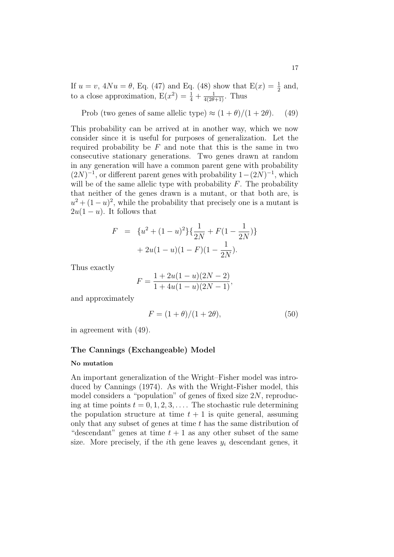If  $u = v$ ,  $4Nu = \theta$ , Eq. (47) and Eq. (48) show that  $E(x) = \frac{1}{2}$  and, to a close approximation,  $E(x^2) = \frac{1}{4} + \frac{1}{4(2\theta+1)}$ . Thus

Prob (two genes of same allelic type) 
$$
\approx (1+\theta)/(1+2\theta)
$$
. (49)

This probability can be arrived at in another way, which we now consider since it is useful for purposes of generalization. Let the required probability be  $F$  and note that this is the same in two consecutive stationary generations. Two genes drawn at random in any generation will have a common parent gene with probability  $(2N)^{-1}$ , or different parent genes with probability  $1-(2N)^{-1}$ , which will be of the same allelic type with probability  $F$ . The probability that neither of the genes drawn is a mutant, or that both are, is  $u^2 + (1 - u)^2$ , while the probability that precisely one is a mutant is  $2u(1-u)$ . It follows that

$$
F = \{u^2 + (1 - u)^2\} \{\frac{1}{2N} + F(1 - \frac{1}{2N})\} + 2u(1 - u)(1 - F)(1 - \frac{1}{2N}).
$$

Thus exactly

$$
F = \frac{1 + 2u(1 - u)(2N - 2)}{1 + 4u(1 - u)(2N - 1)},
$$

and approximately

$$
F = (1 + \theta)/(1 + 2\theta),\tag{50}
$$

in agreement with (49).

### The Cannings (Exchangeable) Model

#### No mutation

An important generalization of the Wright–Fisher model was introduced by Cannings (1974). As with the Wright-Fisher model, this model considers a "population" of genes of fixed size 2N, reproducing at time points  $t = 0, 1, 2, 3, \ldots$ . The stochastic rule determining the population structure at time  $t + 1$  is quite general, assuming only that any subset of genes at time  $t$  has the same distribution of "descendant" genes at time  $t + 1$  as any other subset of the same size. More precisely, if the *i*th gene leaves  $y_i$  descendant genes, it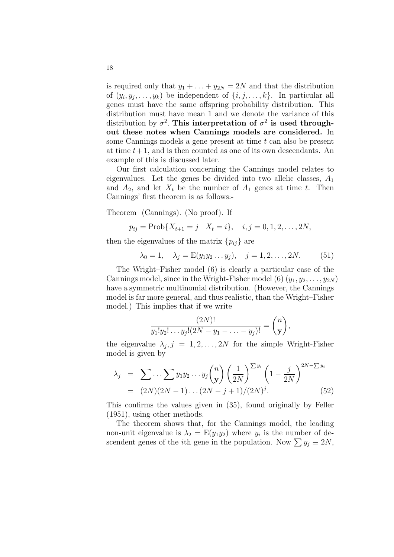is required only that  $y_1 + \ldots + y_{2N} = 2N$  and that the distribution of  $(y_i, y_j, \ldots, y_k)$  be independent of  $\{i, j, \ldots, k\}$ . In particular all genes must have the same offspring probability distribution. This distribution must have mean 1 and we denote the variance of this distribution by  $\sigma^2$ . This interpretation of  $\sigma^2$  is used throughout these notes when Cannings models are considered. In some Cannings models a gene present at time  $t$  can also be present at time  $t+1$ , and is then counted as one of its own descendants. An example of this is discussed later.

Our first calculation concerning the Cannings model relates to eigenvalues. Let the genes be divided into two allelic classes,  $A_1$ and  $A_2$ , and let  $X_t$  be the number of  $A_1$  genes at time t. Then Cannings' first theorem is as follows:-

Theorem (Cannings). (No proof). If

$$
p_{ij} = \text{Prob}\{X_{t+1} = j \mid X_t = i\}, \quad i, j = 0, 1, 2, \dots, 2N,
$$

then the eigenvalues of the matrix  $\{p_{ij}\}\$ are

$$
\lambda_0 = 1, \quad \lambda_j = E(y_1 y_2 \dots y_j), \quad j = 1, 2, \dots, 2N.
$$
 (51)

The Wright–Fisher model (6) is clearly a particular case of the Cannings model, since in the Wright-Fisher model (6)  $(y_1, y_2, \ldots, y_{2N})$ have a symmetric multinomial distribution. (However, the Cannings model is far more general, and thus realistic, than the Wright–Fisher model.) This implies that if we write

$$
\frac{(2N)!}{y_1!y_2!\dots y_j!(2N-y_1-\dots-y_j)!} = \binom{n}{\mathbf{y}},
$$

the eigenvalue  $\lambda_j$ ,  $j = 1, 2, ..., 2N$  for the simple Wright-Fisher model is given by

$$
\lambda_j = \sum \dots \sum y_1 y_2 \dots y_j \binom{n}{y} \left(\frac{1}{2N}\right)^{\sum y_i} \left(1 - \frac{j}{2N}\right)^{2N - \sum y_i} = (2N)(2N - 1)\dots(2N - j + 1)/(2N)^j. \tag{52}
$$

This confirms the values given in (35), found originally by Feller (1951), using other methods.

The theorem shows that, for the Cannings model, the leading non-unit eigenvalue is  $\lambda_2 = E(y_1 y_2)$  where  $y_i$  is the number of descendent genes of the *i*th gene in the population. Now  $\sum y_j \equiv 2N$ ,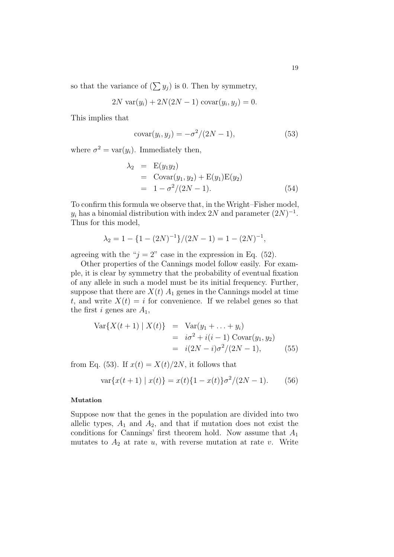so that the variance of  $(\sum y_j)$  is 0. Then by symmetry,

$$
2N \, \text{var}(y_i) + 2N(2N - 1) \, \text{covar}(y_i, y_j) = 0.
$$

This implies that

$$
covar(yi, yj) = -\sigma^2/(2N - 1),
$$
\n(53)

where  $\sigma^2 = \text{var}(y_i)$ . Immediately then,

$$
\lambda_2 = E(y_1 y_2)
$$
  
= Covar(y<sub>1</sub>, y<sub>2</sub>) + E(y<sub>1</sub>)E(y<sub>2</sub>)  
= 1 -  $\sigma^2/(2N - 1)$ . (54)

To confirm this formula we observe that, in the Wright–Fisher model,  $y_i$  has a binomial distribution with index 2N and parameter  $(2N)^{-1}$ . Thus for this model,

$$
\lambda_2 = 1 - \{1 - (2N)^{-1}\} / (2N - 1) = 1 - (2N)^{-1},
$$

agreeing with the " $j = 2$ " case in the expression in Eq. (52).

Other properties of the Cannings model follow easily. For example, it is clear by symmetry that the probability of eventual fixation of any allele in such a model must be its initial frequency. Further, suppose that there are  $X(t)$   $A_1$  genes in the Cannings model at time t, and write  $X(t) = i$  for convenience. If we relabel genes so that the first i genes are  $A_1$ ,

$$
\begin{aligned}\n\text{Var}\{X(t+1) \mid X(t)\} &= \text{Var}(y_1 + \dots + y_i) \\
&= i\sigma^2 + i(i-1) \text{Covar}(y_1, y_2) \\
&= i(2N - i)\sigma^2/(2N - 1),\n\end{aligned} \tag{55}
$$

from Eq. (53). If  $x(t) = X(t)/2N$ , it follows that

$$
\text{var}\{x(t+1) \mid x(t)\} = x(t)\{1 - x(t)\}\sigma^2/(2N - 1). \tag{56}
$$

#### Mutation

Suppose now that the genes in the population are divided into two allelic types,  $A_1$  and  $A_2$ , and that if mutation does not exist the conditions for Cannings' first theorem hold. Now assume that  $A_1$ mutates to  $A_2$  at rate u, with reverse mutation at rate v. Write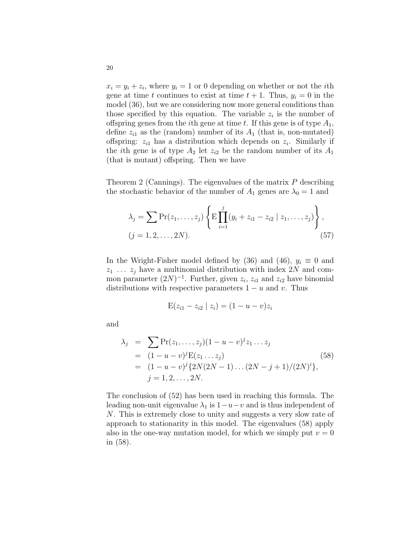$x_i = y_i + z_i$ , where  $y_i = 1$  or 0 depending on whether or not the *i*th gene at time t continues to exist at time  $t + 1$ . Thus,  $y_i = 0$  in the model (36), but we are considering now more general conditions than those specified by this equation. The variable  $z_i$  is the number of offspring genes from the *i*th gene at time t. If this gene is of type  $A_1$ , define  $z_{i1}$  as the (random) number of its  $A_1$  (that is, non-mutated) offspring:  $z_{i1}$  has a distribution which depends on  $z_i$ . Similarly if the *i*th gene is of type  $A_2$  let  $z_{i2}$  be the random number of its  $A_1$ (that is mutant) offspring. Then we have

Theorem 2 (Cannings). The eigenvalues of the matrix P describing the stochastic behavior of the number of  $A_1$  genes are  $\lambda_0 = 1$  and

$$
\lambda_j = \sum \Pr(z_1, \dots, z_j) \left\{ \mathbb{E} \prod_{i=1}^j (y_i + z_{i1} - z_{i2} \mid z_1, \dots, z_j) \right\},
$$
  
(j = 1, 2, \dots, 2N). (57)

In the Wright-Fisher model defined by (36) and (46),  $y_i \equiv 0$  and  $z_1 \ldots z_j$  have a multinomial distribution with index 2N and common parameter  $(2N)^{-1}$ . Further, given  $z_i$ ,  $z_{i1}$  and  $z_{i2}$  have binomial distributions with respective parameters  $1 - u$  and v. Thus

$$
E(z_{i1} - z_{i2} \mid z_i) = (1 - u - v)z_i
$$

and

$$
\lambda_j = \sum \Pr(z_1, \dots, z_j)(1 - u - v)^j z_1 \dots z_j
$$
  
=  $(1 - u - v)^j \mathbf{E}(z_1 \dots z_j)$   
=  $(1 - u - v)^j \{2N(2N - 1) \dots (2N - j + 1)/(2N)^i\},$   
 $j = 1, 2, \dots, 2N.$  (58)

The conclusion of (52) has been used in reaching this formula. The leading non-unit eigenvalue  $\lambda_1$  is  $1-u-v$  and is thus independent of N. This is extremely close to unity and suggests a very slow rate of approach to stationarity in this model. The eigenvalues (58) apply also in the one-way mutation model, for which we simply put  $v = 0$ in (58).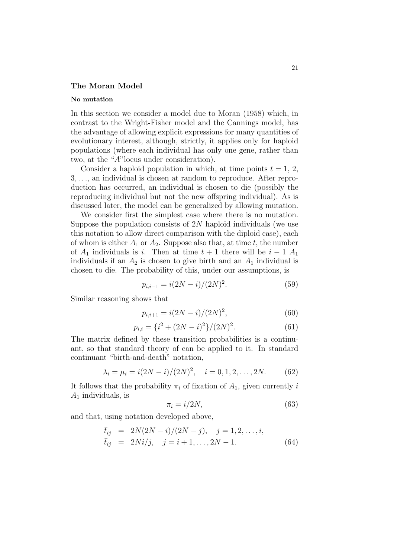## The Moran Model

#### No mutation

In this section we consider a model due to Moran (1958) which, in contrast to the Wright-Fisher model and the Cannings model, has the advantage of allowing explicit expressions for many quantities of evolutionary interest, although, strictly, it applies only for haploid populations (where each individual has only one gene, rather than two, at the "A"locus under consideration).

Consider a haploid population in which, at time points  $t = 1, 2$ , 3, . . ., an individual is chosen at random to reproduce. After reproduction has occurred, an individual is chosen to die (possibly the reproducing individual but not the new offspring individual). As is discussed later, the model can be generalized by allowing mutation.

We consider first the simplest case where there is no mutation. Suppose the population consists of  $2N$  haploid individuals (we use this notation to allow direct comparison with the diploid case), each of whom is either  $A_1$  or  $A_2$ . Suppose also that, at time t, the number of  $A_1$  individuals is i. Then at time  $t + 1$  there will be  $i - 1$   $A_1$ individuals if an  $A_2$  is chosen to give birth and an  $A_1$  individual is chosen to die. The probability of this, under our assumptions, is

$$
p_{i,i-1} = i(2N - i)/(2N)^2.
$$
 (59)

Similar reasoning shows that

$$
p_{i,i+1} = i(2N - i)/(2N)^2,
$$
\n(60)

$$
p_{i,i} = \{i^2 + (2N - i)^2\} / (2N)^2.
$$
 (61)

The matrix defined by these transition probabilities is a continuant, so that standard theory of can be applied to it. In standard continuant "birth-and-death" notation,

$$
\lambda_i = \mu_i = i(2N - i)/(2N)^2, \quad i = 0, 1, 2, \dots, 2N. \tag{62}
$$

It follows that the probability  $\pi_i$  of fixation of  $A_1$ , given currently i  $A_1$  individuals, is

$$
\pi_i = i/2N,\tag{63}
$$

and that, using notation developed above,

$$
\begin{aligned}\n\bar{t}_{ij} &= 2N(2N-i)/(2N-j), \quad j = 1, 2, \dots, i, \\
\bar{t}_{ij} &= 2Ni/j, \quad j = i+1, \dots, 2N-1.\n\end{aligned} \tag{64}
$$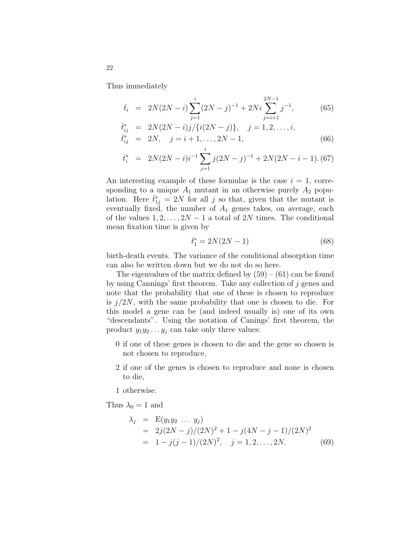Thus immediately

$$
\bar{t}_i = 2N(2N - i) \sum_{j=1}^i (2N - j)^{-1} + 2Ni \sum_{j=i+1}^{2N-1} j^{-1}, \tag{65}
$$

$$
\begin{array}{rcl}\n\bar{t}_{ij}^* & = & 2N(2N-i)j/\{i(2N-j)\}, \quad j=1,2,\ldots,i, \\
\bar{t}_{ij}^* & = & 2N, \quad j=i+1,\ldots,2N-1,\n\end{array} \tag{66}
$$

$$
\bar{t}_i^* = 2N(2N-i)i^{-1} \sum_{j=1}^i j(2N-j)^{-1} + 2N(2N-i-1) \tag{67}
$$

An interesting example of these formulae is the case  $i = 1$ , corresponding to a unique  $A_1$  mutant in an otherwise purely  $A_2$  population. Here  $\bar{t}_{1j}^* = 2N$  for all j so that, given that the mutant is eventually fixed, the number of  $A_1$  genes takes, on average, each of the values  $1, 2, \ldots, 2N-1$  a total of 2N times. The conditional mean fixation time is given by

$$
\bar{t}_1^* = 2N(2N - 1) \tag{68}
$$

birth-death events. The variance of the conditional absorption time can also be written down but we do not do so here.

The eigenvalues of the matrix defined by  $(59) - (61)$  can be found by using Cannings' first theorem. Take any collection of j genes and note that the probability that one of these is chosen to reproduce is  $j/2N$ , with the same probability that one is chosen to die. For this model a gene can be (and indeed usually is) one of its own "descendants". Using the notation of Canings' first theorem, the product  $y_1y_2 \ldots y_i$  can take only three values:

- 0 if one of these genes is chosen to die and the gene so chosen is not chosen to reproduce,
- 2 if one of the genes is chosen to reproduce and none is chosen to die,

1 otherwise.

Thus  $\lambda_0 = 1$  and

$$
\lambda_j = E(y_1 y_2 \dots y_j)
$$
  
=  $2j(2N - j)/(2N)^2 + 1 - j(4N - j - 1)/(2N)^2$   
=  $1 - j(j - 1)/(2N)^2$ ,  $j = 1, 2, ..., 2N$ . (69)

22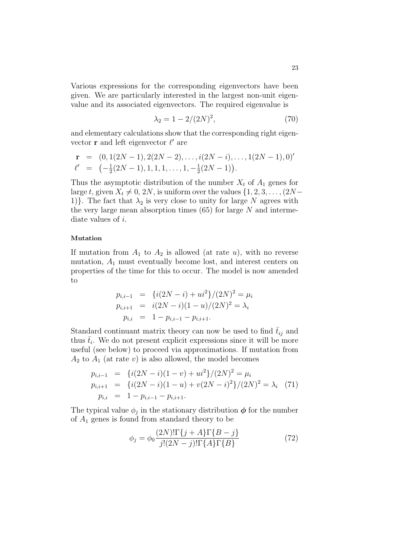Various expressions for the corresponding eigenvectors have been given. We are particularly interested in the largest non-unit eigenvalue and its associated eigenvectors. The required eigenvalue is

$$
\lambda_2 = 1 - 2/(2N)^2, \tag{70}
$$

and elementary calculations show that the corresponding right eigenvector  $\mathbf r$  and left eigenvector  $\ell'$  are

$$
\mathbf{r} = (0, 1(2N-1), 2(2N-2), \dots, i(2N-i), \dots, 1(2N-1), 0)'
$$
  

$$
\ell' = (-\frac{1}{2}(2N-1), 1, 1, 1, \dots, 1, -\frac{1}{2}(2N-1)).
$$

Thus the asymptotic distribution of the number  $X_t$  of  $A_1$  genes for large t, given  $X_t \neq 0, 2N$ , is uniform over the values  $\{1, 2, 3, \ldots, (2N-1)\}$ 1). The fact that  $\lambda_2$  is very close to unity for large N agrees with the very large mean absorption times  $(65)$  for large N and intermediate values of i.

## Mutation

If mutation from  $A_1$  to  $A_2$  is allowed (at rate u), with no reverse mutation,  $A_1$  must eventually become lost, and interest centers on properties of the time for this to occur. The model is now amended to

$$
p_{i,i-1} = \{i(2N - i) + ui^2\}/(2N)^2 = \mu_i
$$
  
\n
$$
p_{i,i+1} = i(2N - i)(1 - u)/(2N)^2 = \lambda_i
$$
  
\n
$$
p_{i,i} = 1 - p_{i,i-1} - p_{i,i+1}.
$$

Standard continuant matrix theory can now be used to find  $\bar{t}_{ij}$  and thus  $\bar{t}_i$ . We do not present explicit expressions since it will be more useful (see below) to proceed via approximations. If mutation from  $A_2$  to  $A_1$  (at rate v) is also allowed, the model becomes

$$
p_{i,i-1} = \{i(2N - i)(1 - v) + ui^2\}/(2N)^2 = \mu_i
$$
  
\n
$$
p_{i,i+1} = \{i(2N - i)(1 - u) + v(2N - i)^2\}/(2N)^2 = \lambda_i
$$
 (71)  
\n
$$
p_{i,i} = 1 - p_{i,i-1} - p_{i,i+1}.
$$

The typical value  $\phi_j$  in the stationary distribution  $\phi$  for the number of  $A_1$  genes is found from standard theory to be

$$
\phi_j = \phi_0 \frac{(2N)!\Gamma\{j+A\}\Gamma\{B-j\}}{j!(2N-j)!\Gamma\{A\}\Gamma\{B\}}\tag{72}
$$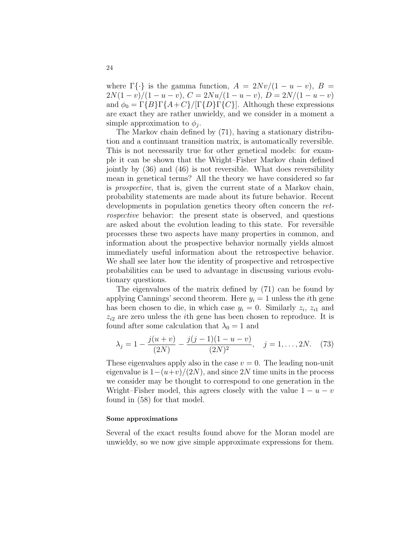where  $\Gamma\{\cdot\}$  is the gamma function,  $A = 2Nv/(1-u-v)$ ,  $B =$  $2N(1-v)/(1-u-v)$ ,  $C = 2Nu/(1-u-v)$ ,  $D = 2N/(1-u-v)$ and  $\phi_0 = \Gamma\{B\}\Gamma\{A+C\}/[\Gamma\{D\}\Gamma\{C\}]$ . Although these expressions are exact they are rather unwieldy, and we consider in a moment a simple approximation to  $\phi_j$ .

The Markov chain defined by (71), having a stationary distribution and a continuant transition matrix, is automatically reversible. This is not necessarily true for other genetical models: for example it can be shown that the Wright–Fisher Markov chain defined jointly by (36) and (46) is not reversible. What does reversibility mean in genetical terms? All the theory we have considered so far is prospective, that is, given the current state of a Markov chain, probability statements are made about its future behavior. Recent developments in population genetics theory often concern the retrospective behavior: the present state is observed, and questions are asked about the evolution leading to this state. For reversible processes these two aspects have many properties in common, and information about the prospective behavior normally yields almost immediately useful information about the retrospective behavior. We shall see later how the identity of prospective and retrospective probabilities can be used to advantage in discussing various evolutionary questions.

The eigenvalues of the matrix defined by (71) can be found by applying Cannings' second theorem. Here  $y_i = 1$  unless the *i*th gene has been chosen to die, in which case  $y_i = 0$ . Similarly  $z_i$ ,  $z_{i1}$  and  $z_{i2}$  are zero unless the *i*th gene has been chosen to reproduce. It is found after some calculation that  $\lambda_0 = 1$  and

$$
\lambda_j = 1 - \frac{j(u+v)}{(2N)} - \frac{j(j-1)(1-u-v)}{(2N)^2}, \quad j = 1, \dots, 2N. \tag{73}
$$

These eigenvalues apply also in the case  $v = 0$ . The leading non-unit eigenvalue is  $1-(u+v)/(2N)$ , and since 2N time units in the process we consider may be thought to correspond to one generation in the Wright–Fisher model, this agrees closely with the value  $1 - u - v$ found in (58) for that model.

#### Some approximations

Several of the exact results found above for the Moran model are unwieldy, so we now give simple approximate expressions for them.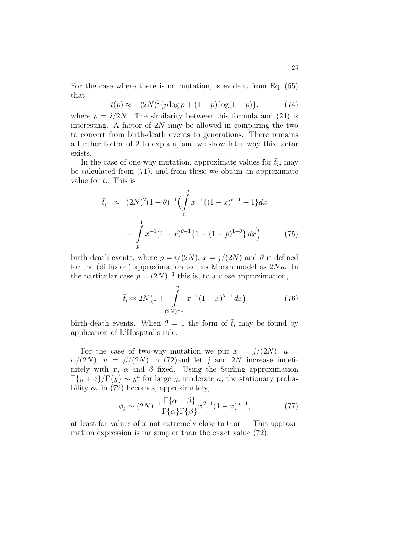For the case where there is no mutation, is evident from Eq. (65) that

$$
\bar{t}(p) \approx -(2N)^2 \{ p \log p + (1-p) \log(1-p) \},\tag{74}
$$

where  $p = i/2N$ . The similarity between this formula and (24) is interesting. A factor of  $2N$  may be allowed in comparing the two to convert from birth-death events to generations. There remains a further factor of 2 to explain, and we show later why this factor exists.

In the case of one-way mutation, approximate values for  $\bar{t}_{ij}$  may be calculated from (71), and from these we obtain an approximate value for  $\bar{t}_i$ . This is

$$
\bar{t}_i \approx (2N)^2 (1 - \theta)^{-1} \left( \int_0^p x^{-1} \{ (1 - x)^{\theta - 1} - 1 \} dx + \int_p^1 x^{-1} (1 - x)^{\theta - 1} \{ 1 - (1 - p)^{1 - \theta} \} dx \right) \tag{75}
$$

birth-death events, where  $p = i/(2N)$ ,  $x = j/(2N)$  and  $\theta$  is defined for the (diffusion) approximation to this Moran model as  $2Nu$ . In the particular case  $p = (2N)^{-1}$  this is, to a close approximation,

$$
\bar{t}_i \approx 2N\left(1 + \int_{(2N)^{-1}}^p x^{-1}(1-x)^{\theta-1} dx\right) \tag{76}
$$

birth-death events. When  $\theta = 1$  the form of  $\bar{t}_i$  may be found by application of L'Hospital's rule.

For the case of two-way mutation we put  $x = j/(2N)$ ,  $u =$  $\alpha/(2N)$ ,  $v = \beta/(2N)$  in (72)and let j and 2N increase indefinitely with x,  $\alpha$  and  $\beta$  fixed. Using the Stirling approximation  $\Gamma\{y+a\}/\Gamma\{y\} \sim y^a$  for large y, moderate a, the stationary probability  $\phi_j$  in (72) becomes, approximately,

$$
\phi_j \sim (2N)^{-1} \frac{\Gamma\{\alpha + \beta\}}{\Gamma\{\alpha\} \Gamma\{\beta\}} x^{\beta - 1} (1 - x)^{\alpha - 1},\tag{77}
$$

at least for values of x not extremely close to 0 or 1. This approximation expression is far simpler than the exact value (72).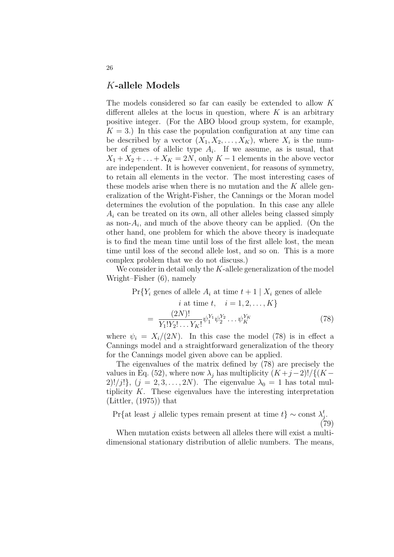# K-allele Models

The models considered so far can easily be extended to allow K different alleles at the locus in question, where  $K$  is an arbitrary positive integer. (For the ABO blood group system, for example,  $K = 3$ .) In this case the population configuration at any time can be described by a vector  $(X_1, X_2, \ldots, X_K)$ , where  $X_i$  is the number of genes of allelic type  $A_i$ . If we assume, as is usual, that  $X_1 + X_2 + \ldots + X_K = 2N$ , only  $K - 1$  elements in the above vector are independent. It is however convenient, for reasons of symmetry, to retain all elements in the vector. The most interesting cases of these models arise when there is no mutation and the K allele generalization of the Wright-Fisher, the Cannings or the Moran model determines the evolution of the population. In this case any allele  $A_i$  can be treated on its own, all other alleles being classed simply as non- $A_i$ , and much of the above theory can be applied. (On the other hand, one problem for which the above theory is inadequate is to find the mean time until loss of the first allele lost, the mean time until loss of the second allele lost, and so on. This is a more complex problem that we do not discuss.)

We consider in detail only the K-allele generalization of the model Wright–Fisher (6), namely

$$
\Pr\{Y_i \text{ genes of allele } A_i \text{ at time } t+1 \mid X_i \text{ genes of allele } i \text{ at time } t, \quad i = 1, 2, \dots, K\}
$$
\n
$$
= \frac{(2N)!}{Y_1!Y_2! \dots Y_K!} \psi_1^{Y_1} \psi_2^{Y_2} \dots \psi_K^{Y_K} \tag{78}
$$

where  $\psi_i = X_i/(2N)$ . In this case the model (78) is in effect a Cannings model and a straightforward generalization of the theory for the Cannings model given above can be applied.

The eigenvalues of the matrix defined by (78) are precisely the values in Eq. (52), where now  $\lambda_j$  has multiplicity  $(K+j-2)!/{(K-j+1)}$  $2!/\overline{j!}, (j = 2, 3, \ldots, 2N)$ . The eigenvalue  $\lambda_0 = 1$  has total multiplicity  $K$ . These eigenvalues have the interesting interpretation (Littler, (1975)) that

Pr{at least j allelic types remain present at time  $t$ } ~ const  $\lambda_j^t$ .

(79)

When mutation exists between all alleles there will exist a multidimensional stationary distribution of allelic numbers. The means,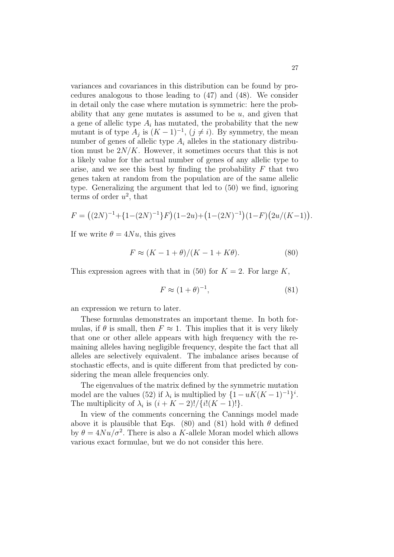variances and covariances in this distribution can be found by procedures analogous to those leading to (47) and (48). We consider in detail only the case where mutation is symmetric: here the probability that any gene mutates is assumed to be  $u$ , and given that a gene of allelic type  $A_i$  has mutated, the probability that the new mutant is of type  $A_j$  is  $(K-1)^{-1}$ ,  $(j \neq i)$ . By symmetry, the mean number of genes of allelic type  $A_i$  alleles in the stationary distribution must be  $2N/K$ . However, it sometimes occurs that this is not a likely value for the actual number of genes of any allelic type to arise, and we see this best by finding the probability  $F$  that two genes taken at random from the population are of the same allelic type. Generalizing the argument that led to (50) we find, ignoring terms of order  $u^2$ , that

$$
F = ((2N)^{-1} + {1 - (2N)^{-1}}F)(1 - 2u) + (1 - (2N)^{-1})(1 - F)(2u/(K - 1)).
$$

If we write  $\theta = 4Nu$ , this gives

$$
F \approx (K - 1 + \theta)/(K - 1 + K\theta). \tag{80}
$$

This expression agrees with that in (50) for  $K = 2$ . For large K,

$$
F \approx (1+\theta)^{-1},\tag{81}
$$

an expression we return to later.

These formulas demonstrates an important theme. In both formulas, if  $\theta$  is small, then  $F \approx 1$ . This implies that it is very likely that one or other allele appears with high frequency with the remaining alleles having negligible frequency, despite the fact that all alleles are selectively equivalent. The imbalance arises because of stochastic effects, and is quite different from that predicted by considering the mean allele frequencies only.

The eigenvalues of the matrix defined by the symmetric mutation model are the values (52) if  $\lambda_i$  is multiplied by  $\{1 - uK(K-1)^{-1}\}^i$ . The multiplicity of  $\lambda_i$  is  $(i+K-2)!/{i!(K-1)!}$ .

In view of the comments concerning the Cannings model made above it is plausible that Eqs. (80) and (81) hold with  $\theta$  defined by  $\theta = 4Nu/\sigma^2$ . There is also a K-allele Moran model which allows various exact formulae, but we do not consider this here.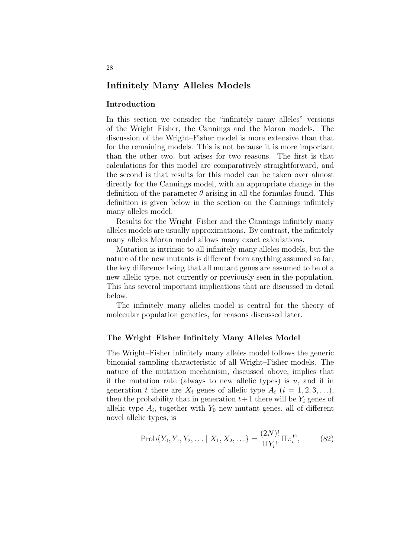# Infinitely Many Alleles Models

## Introduction

In this section we consider the "infinitely many alleles" versions of the Wright–Fisher, the Cannings and the Moran models. The discussion of the Wright–Fisher model is more extensive than that for the remaining models. This is not because it is more important than the other two, but arises for two reasons. The first is that calculations for this model are comparatively straightforward, and the second is that results for this model can be taken over almost directly for the Cannings model, with an appropriate change in the definition of the parameter  $\theta$  arising in all the formulas found. This definition is given below in the section on the Cannings infinitely many alleles model.

Results for the Wright–Fisher and the Cannings infinitely many alleles models are usually approximations. By contrast, the infinitely many alleles Moran model allows many exact calculations.

Mutation is intrinsic to all infinitely many alleles models, but the nature of the new mutants is different from anything assumed so far, the key difference being that all mutant genes are assumed to be of a new allelic type, not currently or previously seen in the population. This has several important implications that are discussed in detail below.

The infinitely many alleles model is central for the theory of molecular population genetics, for reasons discussed later.

## The Wright–Fisher Infinitely Many Alleles Model

The Wright–Fisher infinitely many alleles model follows the generic binomial sampling characteristic of all Wright–Fisher models. The nature of the mutation mechanism, discussed above, implies that if the mutation rate (always to new allelic types) is  $u$ , and if in generation t there are  $X_i$  genes of allelic type  $A_i$   $(i = 1, 2, 3, \ldots),$ then the probability that in generation  $t+1$  there will be  $Y_i$  genes of allelic type  $A_i$ , together with  $Y_0$  new mutant genes, all of different novel allelic types, is

$$
Prob{Y_0, Y_1, Y_2, \dots | X_1, X_2, \dots} = \frac{(2N)!}{\Pi Y_i!} \Pi \pi_i^{Y_i},
$$
 (82)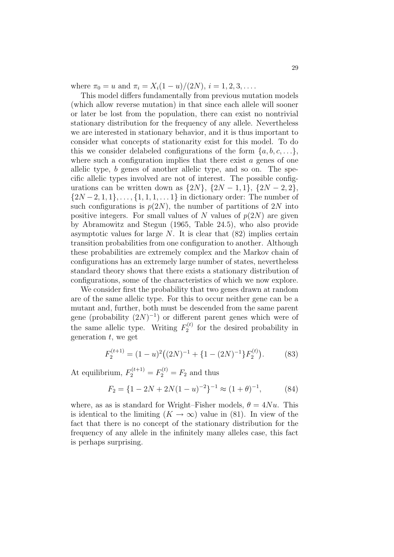where  $\pi_0 = u$  and  $\pi_i = X_i(1-u)/(2N), i = 1, 2, 3, \dots$ .

This model differs fundamentally from previous mutation models (which allow reverse mutation) in that since each allele will sooner or later be lost from the population, there can exist no nontrivial stationary distribution for the frequency of any allele. Nevertheless we are interested in stationary behavior, and it is thus important to consider what concepts of stationarity exist for this model. To do this we consider delabeled configurations of the form  $\{a, b, c, \ldots\}$ , where such a configuration implies that there exist  $a$  genes of one allelic type, b genes of another allelic type, and so on. The specific allelic types involved are not of interest. The possible configurations can be written down as  $\{2N\}, \{2N-1, 1\}, \{2N-2, 2\},\$  $\{2N-2, 1, 1\}, \ldots, \{1, 1, 1, \ldots\}$  in dictionary order: The number of such configurations is  $p(2N)$ , the number of partitions of 2N into positive integers. For small values of N values of  $p(2N)$  are given by Abramowitz and Stegun (1965, Table 24.5), who also provide asymptotic values for large  $N$ . It is clear that  $(82)$  implies certain transition probabilities from one configuration to another. Although these probabilities are extremely complex and the Markov chain of configurations has an extremely large number of states, nevertheless standard theory shows that there exists a stationary distribution of configurations, some of the characteristics of which we now explore.

We consider first the probability that two genes drawn at random are of the same allelic type. For this to occur neither gene can be a mutant and, further, both must be descended from the same parent gene (probability  $(2N)^{-1}$ ) or different parent genes which were of the same allelic type. Writing  $F_2^{(t)}$  $e^{i(t)}$  for the desired probability in generation  $t$ , we get

$$
F_2^{(t+1)} = (1-u)^2((2N)^{-1} + \{1-(2N)^{-1}\}F_2^{(t)}).
$$
 (83)

At equilibrium,  $F_2^{(t+1)} = F_2^{(t)} = F_2$  and thus

$$
F_2 = \{1 - 2N + 2N(1 - u)^{-2}\}^{-1} \approx (1 + \theta)^{-1},\tag{84}
$$

where, as as is standard for Wright–Fisher models,  $\theta = 4Nu$ . This is identical to the limiting  $(K \to \infty)$  value in (81). In view of the fact that there is no concept of the stationary distribution for the frequency of any allele in the infinitely many alleles case, this fact is perhaps surprising.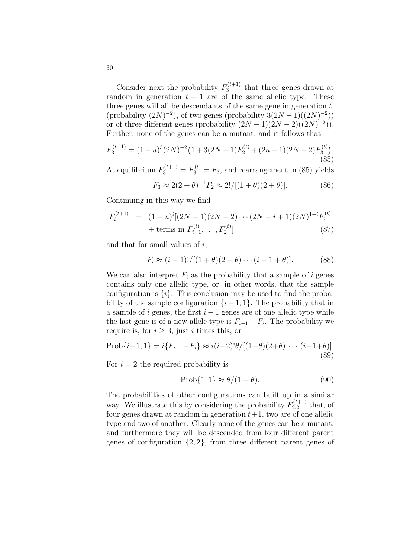Consider next the probability  $F_3^{(t+1)}$  $t_3^{(t+1)}$  that three genes drawn at random in generation  $t + 1$  are of the same allelic type. These three genes will all be descendants of the same gene in generation  $t$ ,  $(\text{probability } (2N)^{-2}), \text{ of two genes } (\text{probability } (2N-1)((2N)^{-2}))$ or of three different genes (probability  $(2N-1)(2N-2)((2N)^{-2})$ ). Further, none of the genes can be a mutant, and it follows that

$$
F_3^{(t+1)} = (1-u)^3 (2N)^{-2} \left(1 + 3(2N-1)F_2^{(t)} + (2n-1)(2N-2)F_3^{(t)}\right).
$$
\n(85)

At equilibrium  $F_3^{(t+1)} = F_3^{(t)} = F_3$ , and rearrangement in (85) yields

$$
F_3 \approx 2(2+\theta)^{-1} F_2 \approx 2!/[(1+\theta)(2+\theta)].
$$
 (86)

Continuing in this way we find

$$
F_i^{(t+1)} = (1-u)^i [(2N-1)(2N-2)\cdots(2N-i+1)(2N)^{1-i} F_i^{(t)} + \text{terms in } F_{i-1}^{(t)}, \ldots, F_2^{(t)}]
$$
(87)

and that for small values of  $i$ ,

$$
F_i \approx (i-1)!/[(1+\theta)(2+\theta)\cdots(i-1+\theta)].
$$
 (88)

We can also interpret  $F_i$  as the probability that a sample of i genes contains only one allelic type, or, in other words, that the sample configuration is  $\{i\}$ . This conclusion may be used to find the probability of the sample configuration  $\{i-1, 1\}$ . The probability that in a sample of i genes, the first  $i - 1$  genes are of one allelic type while the last gene is of a new allele type is  $F_{i-1} - F_i$ . The probability we require is, for  $i \geq 3$ , just i times this, or

$$
Prob{i-1, 1} = i{F_{i-1} - F_i} \approx i(i-2)! \theta / [(1+\theta)(2+\theta) \cdots (i-1+\theta)].
$$
\n(89)

For  $i = 2$  the required probability is

$$
Prob{1,1} \approx \theta/(1+\theta). \tag{90}
$$

The probabilities of other configurations can built up in a similar way. We illustrate this by considering the probability  $F_{2,2}^{(t+1)}$  $t_{2,2}^{(t+1)}$  that, of four genes drawn at random in generation  $t+1$ , two are of one allelic type and two of another. Clearly none of the genes can be a mutant, and furthermore they will be descended from four different parent genes of configuration  $\{2, 2\}$ , from three different parent genes of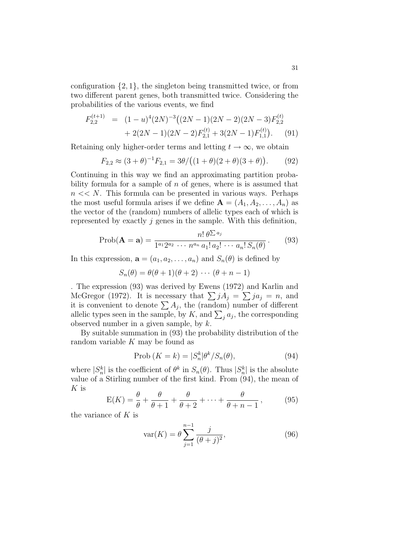configuration  $\{2, 1\}$ , the singleton being transmitted twice, or from two different parent genes, both transmitted twice. Considering the probabilities of the various events, we find

$$
F_{2,2}^{(t+1)} = (1-u)^{4} (2N)^{-3} ((2N-1)(2N-2)(2N-3)F_{2,2}^{(t)} + 2(2N-1)(2N-2)F_{2,1}^{(t)} + 3(2N-1)F_{1,1}^{(t)}). \tag{91}
$$

Retaining only higher-order terms and letting  $t \to \infty$ , we obtain

$$
F_{2,2} \approx (3+\theta)^{-1} F_{2,1} = 3\theta / ((1+\theta)(2+\theta)(3+\theta)).
$$
 (92)

Continuing in this way we find an approximating partition probability formula for a sample of  $n$  of genes, where is is assumed that  $n \ll N$ . This formula can be presented in various ways. Perhaps the most useful formula arises if we define  $\mathbf{A} = (A_1, A_2, \dots, A_n)$  as the vector of the (random) numbers of allelic types each of which is represented by exactly  $j$  genes in the sample. With this definition,

$$
\text{Prob}(\mathbf{A} = \mathbf{a}) = \frac{n! \, \theta^{\sum a_j}}{1^{a_1} 2^{a_2} \, \cdots \, n^{a_n} \, a_1! \, a_2! \, \cdots \, a_n! \, S_n(\theta)} \,. \tag{93}
$$

In this expression,  $\mathbf{a} = (a_1, a_2, \dots, a_n)$  and  $S_n(\theta)$  is defined by

 $S_n(\theta) = \theta(\theta + 1)(\theta + 2) \cdots (\theta + n - 1)$ 

. The expression (93) was derived by Ewens (1972) and Karlin and . The expression (93) was derived by Ewens (1972) and Karlin and McGregor (1972). It is necessary that  $\sum jA_j = \sum j a_j = n$ , and McGregor (1972). It is necessary that  $\sum_j A_j = \sum_j a_j = n$ , and<br>it is convenient to denote  $\sum_j A_j$ , the (random) number of different It is convenient to denote  $\sum A_j$ , the (random) number of different allelic types seen in the sample, by K, and  $\sum_j a_j$ , the corresponding observed number in a given sample, by  $k$ .

By suitable summation in (93) the probability distribution of the random variable  $K$  may be found as

$$
Prob (K = k) = |S_n^k| \theta^k / S_n(\theta), \qquad (94)
$$

where  $|S_n^k|$  is the coefficient of  $\theta^k$  in  $S_n(\theta)$ . Thus  $|S_n^k|$  is the absolute value of a Stirling number of the first kind. From (94), the mean of  $K$  is

$$
E(K) = \frac{\theta}{\theta} + \frac{\theta}{\theta + 1} + \frac{\theta}{\theta + 2} + \dots + \frac{\theta}{\theta + n - 1},
$$
 (95)

the variance of  $K$  is

$$
var(K) = \theta \sum_{j=1}^{n-1} \frac{j}{(\theta + j)^2},
$$
\n(96)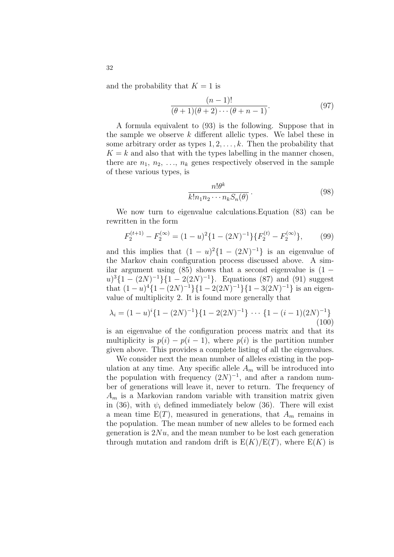and the probability that  $K = 1$  is

$$
\frac{(n-1)!}{(\theta+1)(\theta+2)\cdots(\theta+n-1)}.\tag{97}
$$

A formula equivalent to (93) is the following. Suppose that in the sample we observe k different allelic types. We label these in some arbitrary order as types  $1, 2, \ldots, k$ . Then the probability that  $K = k$  and also that with the types labelling in the manner chosen, there are  $n_1, n_2, \ldots, n_k$  genes respectively observed in the sample of these various types, is

$$
\frac{n!\theta^k}{k!n_1n_2\cdots n_kS_n(\theta)}\,. \tag{98}
$$

We now turn to eigenvalue calculations.Equation (83) can be rewritten in the form

$$
F_2^{(t+1)} - F_2^{(\infty)} = (1-u)^2 \{1 - (2N)^{-1}\} \{F_2^{(t)} - F_2^{(\infty)}\},\tag{99}
$$

and this implies that  $(1 - u)^2 \{1 - (2N)^{-1}\}\$ is an eigenvalue of the Markov chain configuration process discussed above. A similar argument using  $(85)$  shows that a second eigenvalue is  $(1 (u)^3\{1-(2N)^{-1}\}\{1-2(2N)^{-1}\}\$ . Equations (87) and (91) suggest that  $(1-u)^4\{1-(2N)^{-1}\}\{1-2(2N)^{-1}\}\{1-3(2N)^{-1}\}\$ is an eigenvalue of multiplicity 2. It is found more generally that

$$
\lambda_i = (1 - u)^i \{ 1 - (2N)^{-1} \} \{ 1 - 2(2N)^{-1} \} \cdots \{ 1 - (i - 1)(2N)^{-1} \}
$$
\n(100)

is an eigenvalue of the configuration process matrix and that its multiplicity is  $p(i) - p(i - 1)$ , where  $p(i)$  is the partition number given above. This provides a complete listing of all the eigenvalues.

We consider next the mean number of alleles existing in the population at any time. Any specific allele  $A_m$  will be introduced into the population with frequency  $(2N)^{-1}$ , and after a random number of generations will leave it, never to return. The frequency of  $A_m$  is a Markovian random variable with transition matrix given in (36), with  $\psi_i$  defined immediately below (36). There will exist a mean time  $E(T)$ , measured in generations, that  $A_m$  remains in the population. The mean number of new alleles to be formed each generation is  $2Nu$ , and the mean number to be lost each generation through mutation and random drift is  $E(K)/E(T)$ , where  $E(K)$  is

32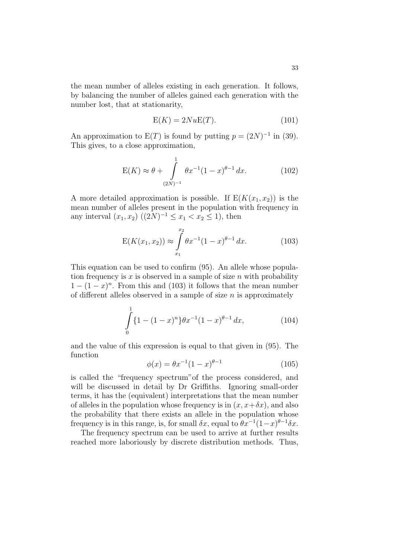the mean number of alleles existing in each generation. It follows, by balancing the number of alleles gained each generation with the number lost, that at stationarity,

$$
E(K) = 2NuE(T). \tag{101}
$$

An approximation to  $E(T)$  is found by putting  $p = (2N)^{-1}$  in (39). This gives, to a close approximation,

$$
E(K) \approx \theta + \int_{(2N)^{-1}}^{1} \theta x^{-1} (1-x)^{\theta-1} dx.
$$
 (102)

A more detailed approximation is possible. If  $E(K(x_1, x_2))$  is the mean number of alleles present in the population with frequency in any interval  $(x_1, x_2)$   $((2N)^{-1} \le x_1 < x_2 \le 1)$ , then

$$
E(K(x_1, x_2)) \approx \int_{x_1}^{x_2} \theta x^{-1} (1 - x)^{\theta - 1} dx.
$$
 (103)

This equation can be used to confirm (95). An allele whose population frequency is x is observed in a sample of size n with probability  $1 - (1 - x)^n$ . From this and (103) it follows that the mean number of different alleles observed in a sample of size  $n$  is approximately

$$
\int_{0}^{1} \{1 - (1 - x)^{n}\} \theta x^{-1} (1 - x)^{\theta - 1} dx, \tag{104}
$$

and the value of this expression is equal to that given in (95). The function

$$
\phi(x) = \theta x^{-1} (1 - x)^{\theta - 1} \tag{105}
$$

is called the "frequency spectrum"of the process considered, and will be discussed in detail by Dr Griffiths. Ignoring small-order terms, it has the (equivalent) interpretations that the mean number of alleles in the population whose frequency is in  $(x, x+\delta x)$ , and also the probability that there exists an allele in the population whose frequency is in this range, is, for small  $\delta x$ , equal to  $\theta x^{-1}(1-x)^{\theta-1}\delta x$ .

The frequency spectrum can be used to arrive at further results reached more laboriously by discrete distribution methods. Thus,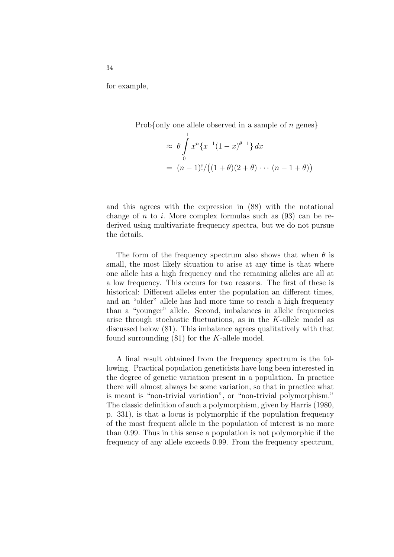for example,

Prob{only one allele observed in a sample of  $n$  genes}

$$
\approx \theta \int_{0}^{1} x^{n} \{x^{-1}(1-x)^{\theta-1}\} dx
$$
  
=  $(n-1)!/((1+\theta)(2+\theta)\cdots(n-1+\theta))$ 

and this agrees with the expression in (88) with the notational change of  $n$  to  $i$ . More complex formulas such as  $(93)$  can be rederived using multivariate frequency spectra, but we do not pursue the details.

The form of the frequency spectrum also shows that when  $\theta$  is small, the most likely situation to arise at any time is that where one allele has a high frequency and the remaining alleles are all at a low frequency. This occurs for two reasons. The first of these is historical: Different alleles enter the population an different times, and an "older" allele has had more time to reach a high frequency than a "younger" allele. Second, imbalances in allelic frequencies arise through stochastic fluctuations, as in the K-allele model as discussed below (81). This imbalance agrees qualitatively with that found surrounding  $(81)$  for the K-allele model.

A final result obtained from the frequency spectrum is the following. Practical population geneticists have long been interested in the degree of genetic variation present in a population. In practice there will almost always be some variation, so that in practice what is meant is "non-trivial variation", or "non-trivial polymorphism." The classic definition of such a polymorphism, given by Harris (1980, p. 331), is that a locus is polymorphic if the population frequency of the most frequent allele in the population of interest is no more than 0.99. Thus in this sense a population is not polymorphic if the frequency of any allele exceeds 0.99. From the frequency spectrum,

34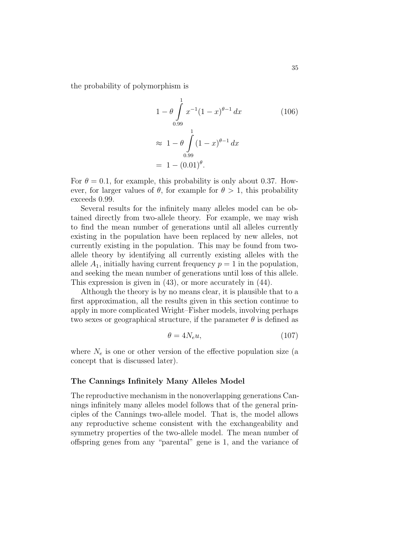the probability of polymorphism is

$$
1 - \theta \int_{0.99}^{1} x^{-1} (1 - x)^{\theta - 1} dx
$$
 (106)  
\n
$$
\approx 1 - \theta \int_{0.99}^{1} (1 - x)^{\theta - 1} dx
$$
  
\n= 1 - (0.01)<sup>\theta</sup>.

For  $\theta = 0.1$ , for example, this probability is only about 0.37. However, for larger values of  $\theta$ , for example for  $\theta > 1$ , this probability exceeds 0.99.

Several results for the infinitely many alleles model can be obtained directly from two-allele theory. For example, we may wish to find the mean number of generations until all alleles currently existing in the population have been replaced by new alleles, not currently existing in the population. This may be found from twoallele theory by identifying all currently existing alleles with the allele  $A_1$ , initially having current frequency  $p = 1$  in the population, and seeking the mean number of generations until loss of this allele. This expression is given in (43), or more accurately in (44).

Although the theory is by no means clear, it is plausible that to a first approximation, all the results given in this section continue to apply in more complicated Wright–Fisher models, involving perhaps two sexes or geographical structure, if the parameter  $\theta$  is defined as

$$
\theta = 4N_e u,\tag{107}
$$

where  $N_e$  is one or other version of the effective population size (a concept that is discussed later).

## The Cannings Infinitely Many Alleles Model

The reproductive mechanism in the nonoverlapping generations Cannings infinitely many alleles model follows that of the general principles of the Cannings two-allele model. That is, the model allows any reproductive scheme consistent with the exchangeability and symmetry properties of the two-allele model. The mean number of offspring genes from any "parental" gene is 1, and the variance of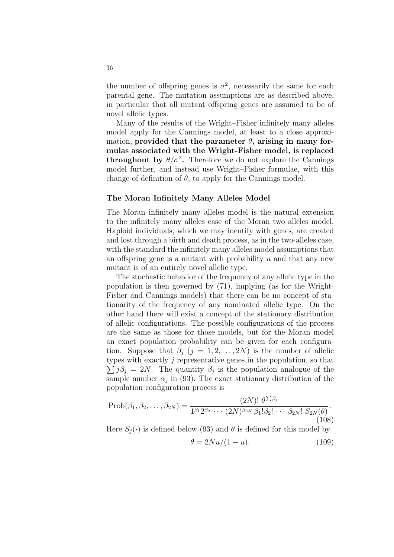the number of offspring genes is  $\sigma^2$ , necessarily the same for each parental gene. The mutation assumptions are as described above, in particular that all mutant offspring genes are assumed to be of novel allelic types.

Many of the results of the Wright–Fisher infinitely many alleles model apply for the Cannings model, at least to a close approximation, provided that the parameter  $\theta$ , arising in many formulas associated with the Wright-Fisher model, is replaced **throughout by**  $\theta/\sigma^2$ . Therefore we do not explore the Cannings model further, and instead use Wright–Fisher formulae, with this change of definition of  $\theta$ , to apply for the Cannings model.

#### The Moran Infinitely Many Alleles Model

The Moran infinitely many alleles model is the natural extension to the infinitely many alleles case of the Moran two alleles model. Haploid individuals, which we may identify with genes, are created and lost through a birth and death process, as in the two-alleles case, with the standard the infinitely many alleles model assumptions that an offspring gene is a mutant with probability  $u$  and that any new mutant is of an entirely novel allelic type.

The stochastic behavior of the frequency of any allelic type in the population is then governed by (71), implying (as for the Wright-Fisher and Cannings models) that there can be no concept of stationarity of the frequency of any nominated allelic type. On the other hand there will exist a concept of the stationary distribution of allelic configurations. The possible configurations of the process are the same as those for those models, but for the Moran model an exact population probability can be given for each configuration. Suppose that  $\beta_i$   $(j = 1, 2, \ldots, 2N)$  is the number of allelic types with exactly  $j$  representative genes in the population, so that  $j\beta_j = 2N$ . The quantity  $\beta_j$  is the population analogue of the sample number  $\alpha_j$  in (93). The exact stationary distribution of the population configuration process is

$$
\text{Prob}(\beta_1, \beta_2, \dots, \beta_{2N}) = \frac{(2N)! \ \theta^{\sum \beta_j}}{1^{\beta_1} 2^{\beta_2} \cdots (2N)^{\beta_{2N}} \beta_1! \beta_2! \cdots \beta_{2N}! \ S_{2N}(\theta)}.
$$
\n(108)

Here  $S_i(\cdot)$  is defined below (93) and  $\theta$  is defined for this model by

$$
\theta = 2Nu/(1-u). \tag{109}
$$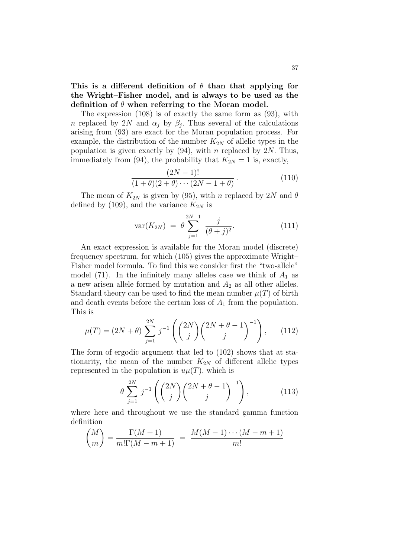This is a different definition of  $\theta$  than that applying for the Wright–Fisher model, and is always to be used as the definition of  $\theta$  when referring to the Moran model.

The expression (108) is of exactly the same form as (93), with n replaced by 2N and  $\alpha_j$  by  $\beta_j$ . Thus several of the calculations arising from (93) are exact for the Moran population process. For example, the distribution of the number  $K_{2N}$  of allelic types in the population is given exactly by  $(94)$ , with n replaced by 2N. Thus, immediately from (94), the probability that  $K_{2N} = 1$  is, exactly,

$$
\frac{(2N-1)!}{(1+\theta)(2+\theta)\cdots(2N-1+\theta)}.
$$
\n(110)

The mean of  $K_{2N}$  is given by (95), with n replaced by 2N and  $\theta$ defined by (109), and the variance  $K_{2N}$  is

$$
var(K_{2N}) = \theta \sum_{j=1}^{2N-1} \frac{j}{(\theta+j)^2}.
$$
 (111)

An exact expression is available for the Moran model (discrete) frequency spectrum, for which (105) gives the approximate Wright– Fisher model formula. To find this we consider first the "two-allele" model (71). In the infinitely many alleles case we think of  $A_1$  as a new arisen allele formed by mutation and  $A_2$  as all other alleles. Standard theory can be used to find the mean number  $\mu(T)$  of birth and death events before the certain loss of  $A_1$  from the population. This is !<br>}

$$
\mu(T) = (2N + \theta) \sum_{j=1}^{2N} j^{-1} \left( {2N \choose j} {2N + \theta - 1 \choose j}^{-1} \right), \quad (112)
$$

The form of ergodic argument that led to (102) shows that at stationarity, the mean of the number  $K_{2N}$  of different allelic types represented in the population is  $u\mu(T)$ , which is

$$
\theta \sum_{j=1}^{2N} j^{-1} \left( \binom{2N}{j} \binom{2N+\theta-1}{j}^{-1} \right), \tag{113}
$$

where here and throughout we use the standard gamma function definition

$$
\binom{M}{m} = \frac{\Gamma(M+1)}{m!\Gamma(M-m+1)} = \frac{M(M-1)\cdots(M-m+1)}{m!}
$$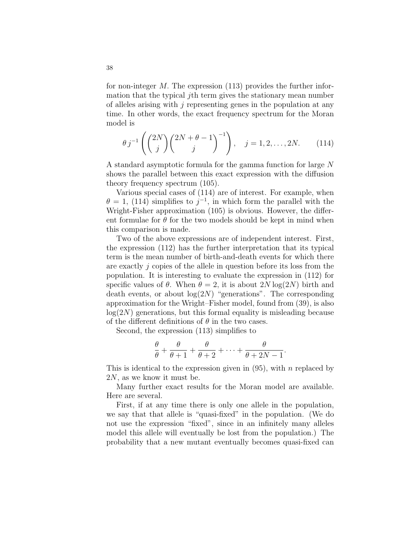for non-integer M. The expression (113) provides the further information that the typical jth term gives the stationary mean number of alleles arising with  $j$  representing genes in the population at any time. In other words, the exact frequency spectrum for the Moran model is

$$
\theta j^{-1} \left( {2N \choose j} {2N + \theta - 1 \choose j}^{-1} \right), \quad j = 1, 2, ..., 2N.
$$
 (114)

A standard asymptotic formula for the gamma function for large N shows the parallel between this exact expression with the diffusion theory frequency spectrum (105).

Various special cases of (114) are of interest. For example, when  $\theta = 1$ , (114) simplifies to  $j^{-1}$ , in which form the parallel with the Wright-Fisher approximation (105) is obvious. However, the different formulae for  $\theta$  for the two models should be kept in mind when this comparison is made.

Two of the above expressions are of independent interest. First, the expression (112) has the further interpretation that its typical term is the mean number of birth-and-death events for which there are exactly  $j$  copies of the allele in question before its loss from the population. It is interesting to evaluate the expression in (112) for specific values of  $\theta$ . When  $\theta = 2$ , it is about  $2N \log(2N)$  birth and death events, or about  $log(2N)$  "generations". The corresponding approximation for the Wright–Fisher model, found from (39), is also  $log(2N)$  generations, but this formal equality is misleading because of the different definitions of  $\theta$  in the two cases.

Second, the expression (113) simplifies to

$$
\frac{\theta}{\theta} + \frac{\theta}{\theta+1} + \frac{\theta}{\theta+2} + \dots + \frac{\theta}{\theta+2N-1}.
$$

This is identical to the expression given in  $(95)$ , with n replaced by 2N, as we know it must be.

Many further exact results for the Moran model are available. Here are several.

First, if at any time there is only one allele in the population, we say that that allele is "quasi-fixed" in the population. (We do not use the expression "fixed", since in an infinitely many alleles model this allele will eventually be lost from the population.) The probability that a new mutant eventually becomes quasi-fixed can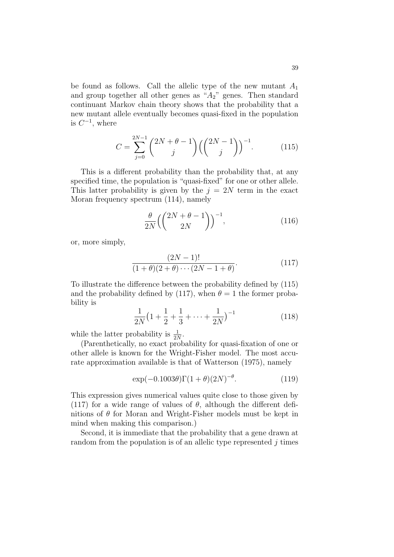be found as follows. Call the allelic type of the new mutant  $A_1$ and group together all other genes as " $A_2$ " genes. Then standard continuant Markov chain theory shows that the probability that a new mutant allele eventually becomes quasi-fixed in the population is  $C^{-1}$ , where

$$
C = \sum_{j=0}^{2N-1} {2N + \theta - 1 \choose j} \left( {2N - 1 \choose j} \right)^{-1}.
$$
 (115)

This is a different probability than the probability that, at any specified time, the population is "quasi-fixed" for one or other allele. This latter probability is given by the  $j = 2N$  term in the exact Moran frequency spectrum (114), namely

$$
\frac{\theta}{2N} \left( \binom{2N + \theta - 1}{2N} \right)^{-1},\tag{116}
$$

or, more simply,

$$
\frac{(2N-1)!}{(1+\theta)(2+\theta)\cdots(2N-1+\theta)}.\t(117)
$$

To illustrate the difference between the probability defined by (115) and the probability defined by (117), when  $\theta = 1$  the former probability is

$$
\frac{1}{2N}\left(1+\frac{1}{2}+\frac{1}{3}+\cdots+\frac{1}{2N}\right)^{-1}
$$
\n(118)

while the latter probability is  $\frac{1}{2N}$ .

(Parenthetically, no exact probability for quasi-fixation of one or other allele is known for the Wright-Fisher model. The most accurate approximation available is that of Watterson (1975), namely

$$
\exp(-0.1003\theta)\Gamma(1+\theta)(2N)^{-\theta}.\tag{119}
$$

This expression gives numerical values quite close to those given by (117) for a wide range of values of  $\theta$ , although the different definitions of  $\theta$  for Moran and Wright-Fisher models must be kept in mind when making this comparison.)

Second, it is immediate that the probability that a gene drawn at random from the population is of an allelic type represented  $j$  times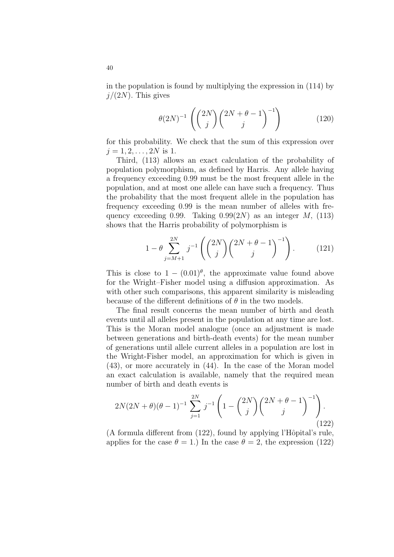in the population is found by multiplying the expression in (114) by  $j/(2N)$ . This gives

$$
\theta(2N)^{-1}\left(\binom{2N}{j}\binom{2N+\theta-1}{j}^{-1}\right) \tag{120}
$$

for this probability. We check that the sum of this expression over  $j = 1, 2, \ldots, 2N$  is 1.

Third, (113) allows an exact calculation of the probability of population polymorphism, as defined by Harris. Any allele having a frequency exceeding 0.99 must be the most frequent allele in the population, and at most one allele can have such a frequency. Thus the probability that the most frequent allele in the population has frequency exceeding 0.99 is the mean number of alleles with frequency exceeding 0.99. Taking  $0.99(2N)$  as an integer M, (113) shows that the Harris probability of polymorphism is

$$
1 - \theta \sum_{j=M+1}^{2N} j^{-1} \left( {2N \choose j} {2N + \theta - 1 \choose j}^{-1} \right).
$$
 (121)

This is close to  $1 - (0.01)^{\theta}$ , the approximate value found above for the Wright–Fisher model using a diffusion approximation. As with other such comparisons, this apparent similarity is misleading because of the different definitions of  $\theta$  in the two models.

The final result concerns the mean number of birth and death events until all alleles present in the population at any time are lost. This is the Moran model analogue (once an adjustment is made between generations and birth-death events) for the mean number of generations until allele current alleles in a population are lost in the Wright-Fisher model, an approximation for which is given in (43), or more accurately in (44). In the case of the Moran model an exact calculation is available, namely that the required mean number of birth and death events is

$$
2N(2N+\theta)(\theta-1)^{-1} \sum_{j=1}^{2N} j^{-1} \left(1 - \binom{2N}{j} \binom{2N+\theta-1}{j}^{-1}\right).
$$
\n(122)

(A formula different from  $(122)$ , found by applying l'Hôpital's rule, applies for the case  $\theta = 1$ .) In the case  $\theta = 2$ , the expression (122)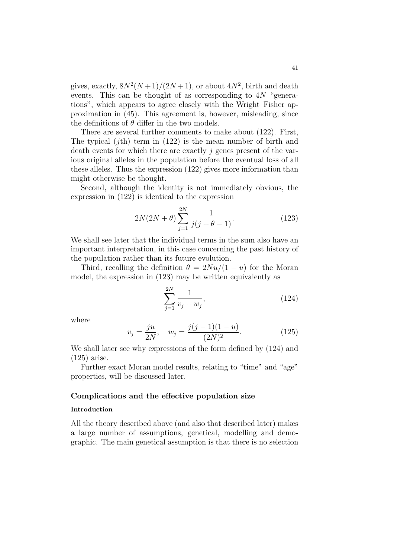gives, exactly,  $8N^2(N+1)/(2N+1)$ , or about  $4N^2$ , birth and death events. This can be thought of as corresponding to  $4N$  "generations", which appears to agree closely with the Wright–Fisher approximation in (45). This agreement is, however, misleading, since the definitions of  $\theta$  differ in the two models.

There are several further comments to make about (122). First, The typical  $(jth)$  term in  $(122)$  is the mean number of birth and death events for which there are exactly  $j$  genes present of the various original alleles in the population before the eventual loss of all these alleles. Thus the expression (122) gives more information than might otherwise be thought.

Second, although the identity is not immediately obvious, the expression in (122) is identical to the expression

$$
2N(2N+\theta)\sum_{j=1}^{2N}\frac{1}{j(j+\theta-1)}.\t(123)
$$

We shall see later that the individual terms in the sum also have an important interpretation, in this case concerning the past history of the population rather than its future evolution.

Third, recalling the definition  $\theta = 2Nu/(1-u)$  for the Moran model, the expression in (123) may be written equivalently as

$$
\sum_{j=1}^{2N} \frac{1}{v_j + w_j},\tag{124}
$$

where

$$
v_j = \frac{ju}{2N}, \quad w_j = \frac{j(j-1)(1-u)}{(2N)^2}.
$$
 (125)

We shall later see why expressions of the form defined by (124) and (125) arise.

Further exact Moran model results, relating to "time" and "age" properties, will be discussed later.

## Complications and the effective population size

## Introduction

All the theory described above (and also that described later) makes a large number of assumptions, genetical, modelling and demographic. The main genetical assumption is that there is no selection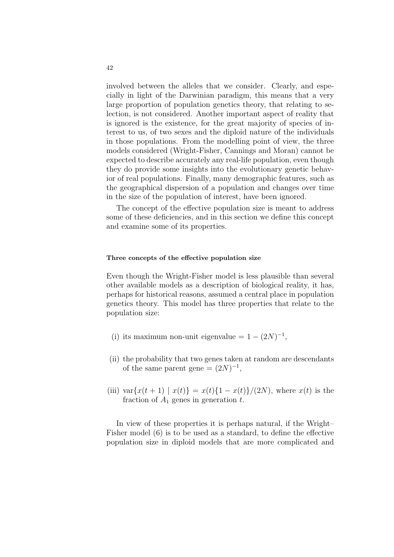involved between the alleles that we consider. Clearly, and especially in light of the Darwinian paradigm, this means that a very large proportion of population genetics theory, that relating to selection, is not considered. Another important aspect of reality that is ignored is the existence, for the great majority of species of interest to us, of two sexes and the diploid nature of the individuals in those populations. From the modelling point of view, the three models considered (Wright-Fisher, Cannings and Moran) cannot be expected to describe accurately any real-life population, even though they do provide some insights into the evolutionary genetic behavior of real populations. Finally, many demographic features, such as the geographical dispersion of a population and changes over time in the size of the population of interest, have been ignored.

The concept of the effective population size is meant to address some of these deficiencies, and in this section we define this concept and examine some of its properties.

## Three concepts of the effective population size

Even though the Wright-Fisher model is less plausible than several other available models as a description of biological reality, it has, perhaps for historical reasons, assumed a central place in population genetics theory. This model has three properties that relate to the population size:

- (i) its maximum non-unit eigenvalue =  $1 (2N)^{-1}$ ,
- (ii) the probability that two genes taken at random are descendants of the same parent gene =  $(2N)^{-1}$ ,
- (iii) var $\{x(t + 1) | x(t)\} = x(t)\{1 x(t)\}/(2N)$ , where  $x(t)$  is the fraction of  $A_1$  generation t.

In view of these properties it is perhaps natural, if the Wright– Fisher model (6) is to be used as a standard, to define the effective population size in diploid models that are more complicated and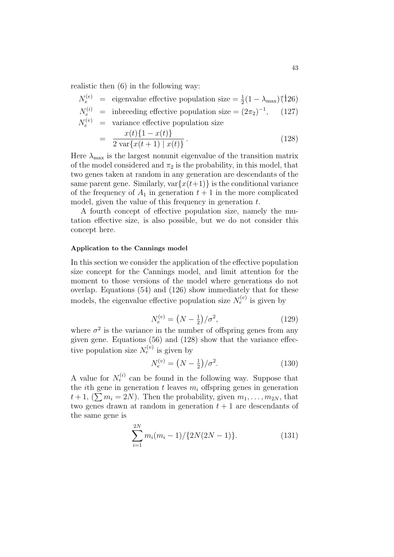realistic then (6) in the following way:

$$
N_e^{(e)} = \text{eigenvalue effective population size} = \frac{1}{2}(1 - \lambda_{\text{max}})(126)
$$
  
\n
$$
N_e^{(i)} = \text{inbreeding effective population size} = (2\pi_2)^{-1}, \quad (127)
$$
  
\n
$$
N_e^{(v)} = \text{variance effective population size}
$$
  
\n
$$
= \frac{x(t)\{1 - x(t)\}}{2 \text{ var}\{x(t+1) | x(t)\}}.
$$
  
\n(128)

Here  $\lambda_{\text{max}}$  is the largest nonunit eigenvalue of the transition matrix of the model considered and  $\pi_2$  is the probability, in this model, that two genes taken at random in any generation are descendants of the same parent gene. Similarly,  $var{x(t+1)}$  is the conditional variance of the frequency of  $A_1$  in generation  $t + 1$  in the more complicated model, given the value of this frequency in generation t.

A fourth concept of effective population size, namely the mutation effective size, is also possible, but we do not consider this concept here.

#### Application to the Cannings model

In this section we consider the application of the effective population size concept for the Cannings model, and limit attention for the moment to those versions of the model where generations do not overlap. Equations (54) and (126) show immediately that for these models, the eigenvalue effective population size  $N_e^{(e)}$  is given by

$$
N_e^{(e)} = \left(N - \frac{1}{2}\right) / \sigma^2,\tag{129}
$$

where  $\sigma^2$  is the variance in the number of offspring genes from any given gene. Equations (56) and (128) show that the variance effective population size  $N_e^{(v)}$  is given by

$$
N_e^{(v)} = \left(N - \frac{1}{2}\right) / \sigma^2.
$$
\n(130)

A value for  $N_e^{(i)}$  can be found in the following way. Suppose that the *i*th gene in generation t leaves  $m_i$  offspring genes in generation  $t+1$ ,  $(\sum m_i = 2N)$ . Then the probability, given  $m_1, \ldots, m_{2N}$ , that two genes drawn at random in generation  $t + 1$  are descendants of the same gene is

$$
\sum_{i=1}^{2N} m_i (m_i - 1) / \{2N(2N - 1)\}.
$$
 (131)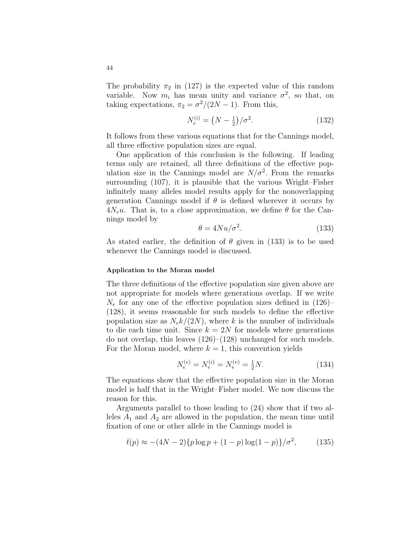The probability  $\pi_2$  in (127) is the expected value of this random variable. Now  $m_i$  has mean unity and variance  $\sigma^2$ , so that, on taking expectations,  $\pi_2 = \sigma^2/(2N-1)$ . From this,

$$
N_e^{(i)} = \left(N - \frac{1}{2}\right) / \sigma^2. \tag{132}
$$

It follows from these various equations that for the Cannings model, all three effective population sizes are equal.

One application of this conclusion is the following. If leading terms only are retained, all three definitions of the effective population size in the Cannings model are  $N/\sigma^2$ . From the remarks surrounding (107), it is plausible that the various Wright–Fisher infinitely many alleles model results apply for the nonoverlapping generation Cannings model if  $\theta$  is defined wherever it occurs by  $4N_e u$ . That is, to a close approximation, we define  $\theta$  for the Cannings model by

$$
\theta = 4Nu/\sigma^2.
$$
\n(133)

As stated earlier, the definition of  $\theta$  given in (133) is to be used whenever the Cannings model is discussed.

#### Application to the Moran model

The three definitions of the effective population size given above are not appropriate for models where generations overlap. If we write  $N_e$  for any one of the effective population sizes defined in  $(126)$ (128), it seems reasonable for such models to define the effective population size as  $N_e k/(2N)$ , where k is the number of individuals to die each time unit. Since  $k = 2N$  for models where generations do not overlap, this leaves (126)–(128) unchanged for such models. For the Moran model, where  $k = 1$ , this convention yields

$$
N_e^{(e)} = N_e^{(i)} = N_e^{(v)} = \frac{1}{2}N.
$$
\n(134)

The equations show that the effective population size in the Moran model is half that in the Wright–Fisher model. We now discuss the reason for this.

Arguments parallel to those leading to (24) show that if two alleles  $A_1$  and  $A_2$  are allowed in the population, the mean time until fixation of one or other allele in the Cannings model is

$$
\bar{t}(p) \approx -(4N-2)\{p\log p + (1-p)\log(1-p)\}/\sigma^2,\tag{135}
$$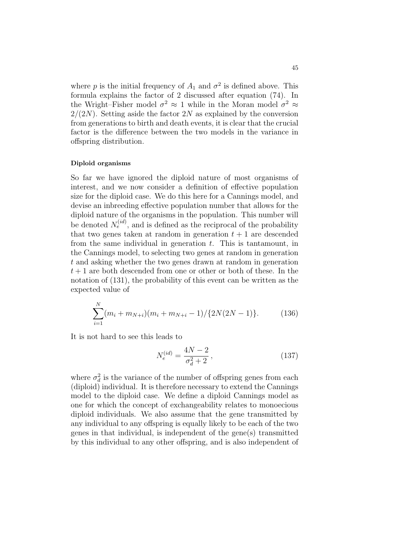where p is the initial frequency of  $A_1$  and  $\sigma^2$  is defined above. This formula explains the factor of 2 discussed after equation (74). In the Wright–Fisher model  $\sigma^2 \approx 1$  while in the Moran model  $\sigma^2 \approx$  $2/(2N)$ . Setting aside the factor 2N as explained by the conversion from generations to birth and death events, it is clear that the crucial factor is the difference between the two models in the variance in offspring distribution.

#### Diploid organisms

So far we have ignored the diploid nature of most organisms of interest, and we now consider a definition of effective population size for the diploid case. We do this here for a Cannings model, and devise an inbreeding effective population number that allows for the diploid nature of the organisms in the population. This number will be denoted  $N_e^{(id)}$ , and is defined as the reciprocal of the probability that two genes taken at random in generation  $t + 1$  are descended from the same individual in generation  $t$ . This is tantamount, in the Cannings model, to selecting two genes at random in generation t and asking whether the two genes drawn at random in generation  $t+1$  are both descended from one or other or both of these. In the notation of (131), the probability of this event can be written as the expected value of

$$
\sum_{i=1}^{N} (m_i + m_{N+i})(m_i + m_{N+i} - 1) / \{2N(2N - 1)\}.
$$
 (136)

It is not hard to see this leads to

$$
N_e^{(id)} = \frac{4N - 2}{\sigma_d^2 + 2},\tag{137}
$$

where  $\sigma_d^2$  is the variance of the number of offspring genes from each (diploid) individual. It is therefore necessary to extend the Cannings model to the diploid case. We define a diploid Cannings model as one for which the concept of exchangeability relates to monoecious diploid individuals. We also assume that the gene transmitted by any individual to any offspring is equally likely to be each of the two genes in that individual, is independent of the gene(s) transmitted by this individual to any other offspring, and is also independent of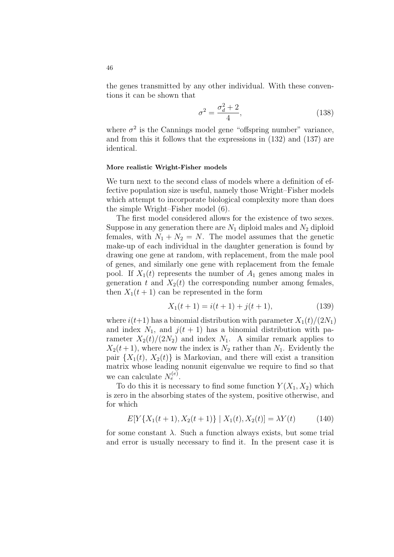the genes transmitted by any other individual. With these conventions it can be shown that

$$
\sigma^2 = \frac{\sigma_d^2 + 2}{4},\tag{138}
$$

where  $\sigma^2$  is the Cannings model gene "offspring number" variance, and from this it follows that the expressions in (132) and (137) are identical.

#### More realistic Wright-Fisher models

We turn next to the second class of models where a definition of effective population size is useful, namely those Wright–Fisher models which attempt to incorporate biological complexity more than does the simple Wright–Fisher model (6).

The first model considered allows for the existence of two sexes. Suppose in any generation there are  $N_1$  diploid males and  $N_2$  diploid females, with  $N_1 + N_2 = N$ . The model assumes that the genetic make-up of each individual in the daughter generation is found by drawing one gene at random, with replacement, from the male pool of genes, and similarly one gene with replacement from the female pool. If  $X_1(t)$  represents the number of  $A_1$  genes among males in generation t and  $X_2(t)$  the corresponding number among females, then  $X_1(t+1)$  can be represented in the form

$$
X_1(t+1) = i(t+1) + j(t+1),
$$
\n(139)

where  $i(t+1)$  has a binomial distribution with parameter  $X_1(t)/(2N_1)$ and index  $N_1$ , and  $j(t + 1)$  has a binomial distribution with parameter  $X_2(t)/(2N_2)$  and index  $N_1$ . A similar remark applies to  $X_2(t+1)$ , where now the index is  $N_2$  rather than  $N_1$ . Evidently the pair  $\{X_1(t), X_2(t)\}\$ is Markovian, and there will exist a transition matrix whose leading nonunit eigenvalue we require to find so that we can calculate  $N_e^{(e)}$ .

To do this it is necessary to find some function  $Y(X_1, X_2)$  which is zero in the absorbing states of the system, positive otherwise, and for which

$$
E[Y\{X_1(t+1), X_2(t+1)\} \mid X_1(t), X_2(t)] = \lambda Y(t) \tag{140}
$$

for some constant  $\lambda$ . Such a function always exists, but some trial and error is usually necessary to find it. In the present case it is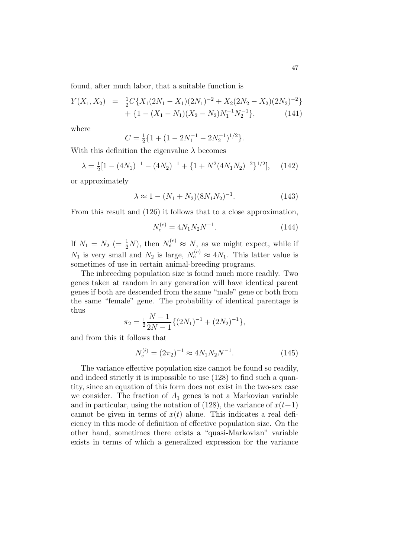found, after much labor, that a suitable function is

$$
Y(X_1, X_2) = \frac{1}{2}C\{X_1(2N_1 - X_1)(2N_1)^{-2} + X_2(2N_2 - X_2)(2N_2)^{-2}\} + \{1 - (X_1 - N_1)(X_2 - N_2)N_1^{-1}N_2^{-1}\},
$$
\n(141)

where

$$
C = \frac{1}{2} \{ 1 + (1 - 2N_1^{-1} - 2N_2^{-1})^{1/2} \}.
$$

With this definition the eigenvalue  $\lambda$  becomes

$$
\lambda = \frac{1}{2} [1 - (4N_1)^{-1} - (4N_2)^{-1} + \{1 + N^2 (4N_1N_2)^{-2}\}^{1/2}], \quad (142)
$$

or approximately

$$
\lambda \approx 1 - (N_1 + N_2)(8N_1N_2)^{-1}.
$$
 (143)

From this result and (126) it follows that to a close approximation,

$$
N_e^{(e)} = 4N_1N_2N^{-1}.
$$
\n(144)

If  $N_1 = N_2$  (=  $\frac{1}{2}N$ ), then  $N_e^{(e)} \approx N$ , as we might expect, while if  $N_1$  is very small and  $N_2$  is large,  $N_e^{(e)} \approx 4N_1$ . This latter value is sometimes of use in certain animal-breeding programs.

The inbreeding population size is found much more readily. Two genes taken at random in any generation will have identical parent genes if both are descended from the same "male" gene or both from the same "female" gene. The probability of identical parentage is thus

$$
\pi_2 = \frac{1}{2} \frac{N-1}{2N-1} \{ (2N_1)^{-1} + (2N_2)^{-1} \},
$$

and from this it follows that

$$
N_e^{(i)} = (2\pi_2)^{-1} \approx 4N_1 N_2 N^{-1}.
$$
 (145)

The variance effective population size cannot be found so readily, and indeed strictly it is impossible to use (128) to find such a quantity, since an equation of this form does not exist in the two-sex case we consider. The fraction of  $A_1$  genes is not a Markovian variable and in particular, using the notation of (128), the variance of  $x(t+1)$ cannot be given in terms of  $x(t)$  alone. This indicates a real deficiency in this mode of definition of effective population size. On the other hand, sometimes there exists a "quasi-Markovian" variable exists in terms of which a generalized expression for the variance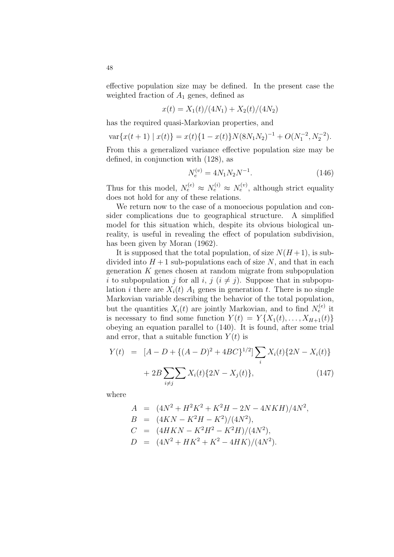effective population size may be defined. In the present case the weighted fraction of  $A_1$  genes, defined as

$$
x(t) = X_1(t)/(4N_1) + X_2(t)/(4N_2)
$$

has the required quasi-Markovian properties, and

$$
\text{var}\{x(t+1) \mid x(t)\} = x(t)\{1 - x(t)\}N(8N_1N_2)^{-1} + O(N_1^{-2}, N_2^{-2}).
$$

From this a generalized variance effective population size may be defined, in conjunction with (128), as

$$
N_e^{(v)} = 4N_1N_2N^{-1}.
$$
\n(146)

Thus for this model,  $N_e^{(e)} \approx N_e^{(i)} \approx N_e^{(v)}$ , although strict equality does not hold for any of these relations.

We return now to the case of a monoecious population and consider complications due to geographical structure. A simplified model for this situation which, despite its obvious biological unreality, is useful in revealing the effect of population subdivision, has been given by Moran (1962).

It is supposed that the total population, of size  $N(H+1)$ , is subdivided into  $H + 1$  sub-populations each of size N, and that in each generation  $K$  genes chosen at random migrate from subpopulation i to subpopulation j for all i, j  $(i \neq j)$ . Suppose that in subpopulation *i* there are  $X_i(t)$   $A_1$  genes in generation *t*. There is no single Markovian variable describing the behavior of the total population, but the quantities  $X_i(t)$  are jointly Markovian, and to find  $N_e^{(e)}$  it is necessary to find some function  $Y(t) = Y\{X_1(t), \ldots, X_{H+1}(t)\}\$ obeying an equation parallel to (140). It is found, after some trial and error, that a suitable function  $Y(t)$  is

$$
Y(t) = [A - D + \{(A - D)^2 + 4BC\}^{1/2}] \sum_{i} X_i(t) \{2N - X_i(t)\} + 2B \sum_{i \neq j} \sum_{i} X_i(t) \{2N - X_j(t)\},
$$
\n(147)

where

$$
A = (4N^2 + H^2K^2 + K^2H - 2N - 4NKH)/4N^2,
$$
  
\n
$$
B = (4KN - K^2H - K^2)/(4N^2),
$$
  
\n
$$
C = (4HKN - K^2H^2 - K^2H)/(4N^2),
$$
  
\n
$$
D = (4N^2 + HK^2 + K^2 - 4HK)/(4N^2).
$$

48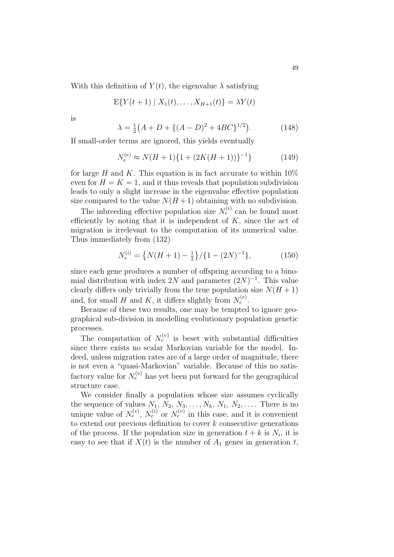With this definition of  $Y(t)$ , the eigenvalue  $\lambda$  satisfying

$$
E\{Y(t+1) | X_1(t),...,X_{H+1}(t)\} = \lambda Y(t)
$$

is

$$
\lambda = \frac{1}{2}(A + D + \{(A - D)^2 + 4BC\}^{1/2}).
$$
 (148)

If small-order terms are ignored, this yields eventually

$$
N_e^{(e)} \approx N(H+1)\{1 + (2K(H+1))\}^{-1}\}\tag{149}
$$

for large H and K. This equation is in fact accurate to within  $10\%$ even for  $H = K = 1$ , and it thus reveals that population subdivision leads to only a slight increase in the eigenvalue effective population size compared to the value  $N(H+1)$  obtaining with no subdivision.

The inbreeding effective population size  $N_e^{(i)}$  can be found most efficiently by noting that it is independent of  $K$ , since the act of migration is irrelevant to the computation of its numerical value. Thus immediately from (132)

$$
N_e^{(i)} = \left\{ N(H+1) - \frac{1}{2} \right\} / \left\{ 1 - (2N)^{-1} \right\},\tag{150}
$$

since each gene produces a number of offspring according to a binomial distribution with index 2N and parameter  $(2N)^{-1}$ . This value clearly differs only trivially from the true population size  $N(H + 1)$ and, for small H and K, it differs slightly from  $N_e^{(e)}$ .

Because of these two results, one may be tempted to ignore geographical sub-division in modelling evolutionary population genetic processes.

The computation of  $N_e^{(v)}$  is beset with substantial difficulties since there exists no scalar Markovian variable for the model. Indeed, unless migration rates are of a large order of magnitude, there is not even a "quasi-Markovian" variable. Because of this no satisfactory value for  $N_e^{(v)}$  has yet been put forward for the geographical structure case.

We consider finally a population whose size assumes cyclically the sequence of values  $N_1, N_2, N_3, \ldots, N_k, N_1, N_2, \ldots$ . There is no unique value of  $N_e^{(e)}$ ,  $N_e^{(i)}$  or  $N_e^{(v)}$  in this case, and it is convenient to extend our previous definition to cover  $k$  consecutive generations of the process. If the population size in generation  $t + k$  is  $N_i$ , it is easy to see that if  $X(t)$  is the number of  $A_1$  genes in generation t,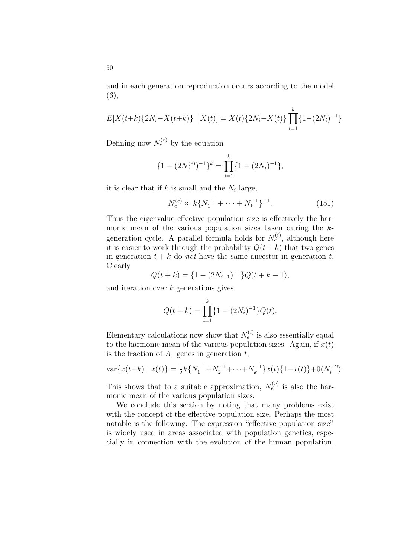and in each generation reproduction occurs according to the model (6),

$$
E[X(t+k){2Ni - X(t+k)} \mid X(t)] = X(t){2Ni - X(t)} \prod_{i=1}^{k} {1 - (2Ni)-1}.
$$

Defining now  $N_e^{(e)}$  by the equation

$$
\{1 - (2N_e^{(e)})^{-1}\}^k = \prod_{i=1}^k \{1 - (2N_i)^{-1}\},\
$$

it is clear that if  $k$  is small and the  $N_i$  large,

$$
N_e^{(e)} \approx k \{ N_1^{-1} + \dots + N_k^{-1} \}^{-1}.
$$
 (151)

Thus the eigenvalue effective population size is effectively the harmonic mean of the various population sizes taken during the kgeneration cycle. A parallel formula holds for  $N_e^{(i)}$ , although here it is easier to work through the probability  $Q(t + k)$  that two genes in generation  $t + k$  do not have the same ancestor in generation t. Clearly

$$
Q(t + k) = \{1 - (2N_{i-1})^{-1}\}Q(t + k - 1),
$$

and iteration over  $k$  generations gives

$$
Q(t+k) = \prod_{i=1}^{k} \{1 - (2N_i)^{-1}\} Q(t).
$$

Elementary calculations now show that  $N_e^{(i)}$  is also essentially equal to the harmonic mean of the various population sizes. Again, if  $x(t)$ is the fraction of  $A_1$  genes in generation  $t$ ,

$$
\text{var}\{x(t+k) \mid x(t)\} = \frac{1}{2}k\{N_1^{-1} + N_2^{-1} + \dots + N_k^{-1}\}x(t)\{1 - x(t)\} + 0(N_i^{-2}).
$$

This shows that to a suitable approximation,  $N_e^{(v)}$  is also the harmonic mean of the various population sizes.

We conclude this section by noting that many problems exist with the concept of the effective population size. Perhaps the most notable is the following. The expression "effective population size" is widely used in areas associated with population genetics, especially in connection with the evolution of the human population,

50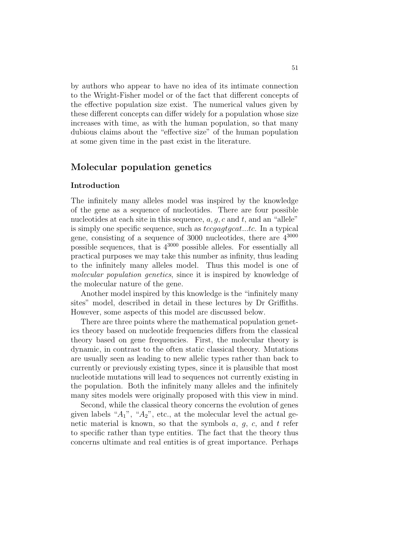by authors who appear to have no idea of its intimate connection to the Wright-Fisher model or of the fact that different concepts of the effective population size exist. The numerical values given by these different concepts can differ widely for a population whose size increases with time, as with the human population, so that many dubious claims about the "effective size" of the human population at some given time in the past exist in the literature.

# Molecular population genetics

## Introduction

The infinitely many alleles model was inspired by the knowledge of the gene as a sequence of nucleotides. There are four possible nucleotides at each site in this sequence,  $a, g, c$  and  $t$ , and an "allele" is simply one specific sequence, such as  $tccq aqt q cat...tc$ . In a typical gene, consisting of a sequence of  $3000$  nucleotides, there are  $4^{3000}$ possible sequences, that is  $4^{3000}$  possible alleles. For essentially all practical purposes we may take this number as infinity, thus leading to the infinitely many alleles model. Thus this model is one of molecular population genetics, since it is inspired by knowledge of the molecular nature of the gene.

Another model inspired by this knowledge is the "infinitely many sites" model, described in detail in these lectures by Dr Griffiths. However, some aspects of this model are discussed below.

There are three points where the mathematical population genetics theory based on nucleotide frequencies differs from the classical theory based on gene frequencies. First, the molecular theory is dynamic, in contrast to the often static classical theory. Mutations are usually seen as leading to new allelic types rather than back to currently or previously existing types, since it is plausible that most nucleotide mutations will lead to sequences not currently existing in the population. Both the infinitely many alleles and the infinitely many sites models were originally proposed with this view in mind.

Second, while the classical theory concerns the evolution of genes given labels " $A_1$ ", " $A_2$ ", etc., at the molecular level the actual genetic material is known, so that the symbols  $a, q, c$ , and  $t$  refer to specific rather than type entities. The fact that the theory thus concerns ultimate and real entities is of great importance. Perhaps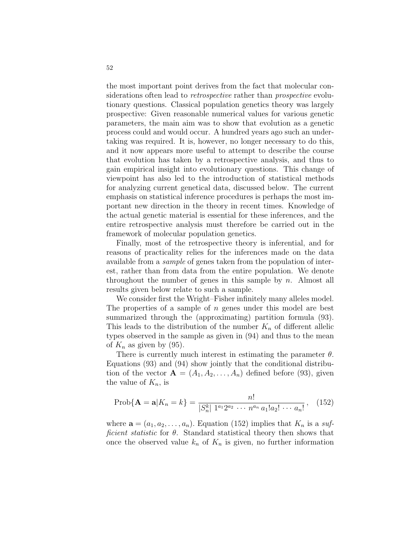the most important point derives from the fact that molecular considerations often lead to *retrospective* rather than *prospective* evolutionary questions. Classical population genetics theory was largely prospective: Given reasonable numerical values for various genetic parameters, the main aim was to show that evolution as a genetic process could and would occur. A hundred years ago such an undertaking was required. It is, however, no longer necessary to do this, and it now appears more useful to attempt to describe the course that evolution has taken by a retrospective analysis, and thus to gain empirical insight into evolutionary questions. This change of viewpoint has also led to the introduction of statistical methods for analyzing current genetical data, discussed below. The current emphasis on statistical inference procedures is perhaps the most important new direction in the theory in recent times. Knowledge of the actual genetic material is essential for these inferences, and the entire retrospective analysis must therefore be carried out in the framework of molecular population genetics.

Finally, most of the retrospective theory is inferential, and for reasons of practicality relies for the inferences made on the data available from a sample of genes taken from the population of interest, rather than from data from the entire population. We denote throughout the number of genes in this sample by  $n$ . Almost all results given below relate to such a sample.

We consider first the Wright–Fisher infinitely many alleles model. The properties of a sample of  $n$  genes under this model are best summarized through the (approximating) partition formula (93). This leads to the distribution of the number  $K_n$  of different allelic types observed in the sample as given in (94) and thus to the mean of  $K_n$  as given by (95).

There is currently much interest in estimating the parameter  $\theta$ . Equations (93) and (94) show jointly that the conditional distribution of the vector  $\mathbf{A} = (A_1, A_2, \ldots, A_n)$  defined before (93), given the value of  $K_n$ , is

$$
Prob{A = a | K_n = k} = \frac{n!}{|S_n^k| 1^{a_1} 2^{a_2} \cdots n^{a_n} a_1! a_2! \cdots a_n!},
$$
 (152)

where  $\mathbf{a} = (a_1, a_2, \dots, a_n)$ . Equation (152) implies that  $K_n$  is a sufficient statistic for  $\theta$ . Standard statistical theory then shows that once the observed value  $k_n$  of  $K_n$  is given, no further information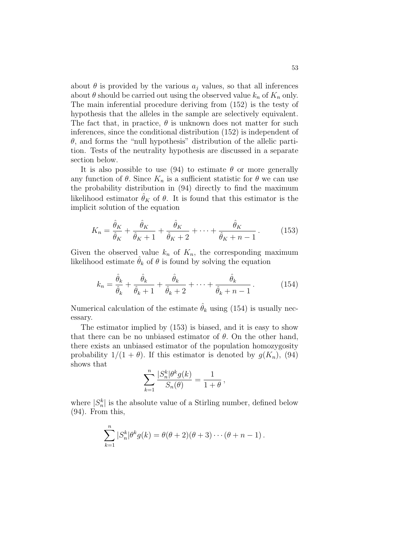about  $\theta$  is provided by the various  $a_i$  values, so that all inferences about  $\theta$  should be carried out using the observed value  $k_n$  of  $K_n$  only. The main inferential procedure deriving from (152) is the testy of hypothesis that the alleles in the sample are selectively equivalent. The fact that, in practice,  $\theta$  is unknown does not matter for such inferences, since the conditional distribution (152) is independent of  $\theta$ , and forms the "null hypothesis" distribution of the allelic partition. Tests of the neutrality hypothesis are discussed in a separate section below.

It is also possible to use (94) to estimate  $\theta$  or more generally any function of  $\theta$ . Since  $K_n$  is a sufficient statistic for  $\theta$  we can use the probability distribution in (94) directly to find the maximum likelihood estimator  $\hat{\theta}_K$  of  $\theta$ . It is found that this estimator is the implicit solution of the equation

$$
K_n = \frac{\hat{\theta}_K}{\hat{\theta}_K} + \frac{\hat{\theta}_K}{\hat{\theta}_K + 1} + \frac{\hat{\theta}_K}{\hat{\theta}_K + 2} + \dots + \frac{\hat{\theta}_K}{\hat{\theta}_K + n - 1}.
$$
 (153)

Given the observed value  $k_n$  of  $K_n$ , the corresponding maximum likelihood estimate  $\hat{\theta}_k$  of  $\theta$  is found by solving the equation

$$
k_n = \frac{\hat{\theta}_k}{\hat{\theta}_k} + \frac{\hat{\theta}_k}{\hat{\theta}_k + 1} + \frac{\hat{\theta}_k}{\hat{\theta}_k + 2} + \dots + \frac{\hat{\theta}_k}{\hat{\theta}_k + n - 1}.
$$
 (154)

Numerical calculation of the estimate  $\hat{\theta}_k$  using (154) is usually necessary.

The estimator implied by (153) is biased, and it is easy to show that there can be no unbiased estimator of  $\theta$ . On the other hand, there exists an unbiased estimator of the population homozygosity probability  $1/(1 + \theta)$ . If this estimator is denoted by  $g(K_n)$ , (94) shows that

$$
\sum_{k=1}^n \frac{|S_n^k|\theta^k g(k)}{S_n(\theta)} = \frac{1}{1+\theta},
$$

where  $|S_n^k|$  is the absolute value of a Stirling number, defined below (94). From this,

$$
\sum_{k=1}^n |S_n^k| \theta^k g(k) = \theta(\theta+2)(\theta+3) \cdots (\theta+n-1).
$$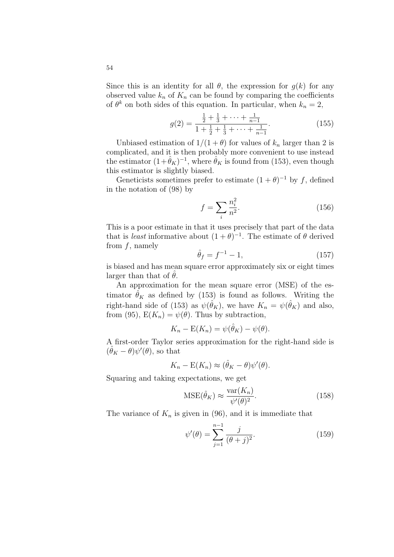Since this is an identity for all  $\theta$ , the expression for  $g(k)$  for any observed value  $k_n$  of  $K_n$  can be found by comparing the coefficients of  $\theta^k$  on both sides of this equation. In particular, when  $k_n = 2$ ,

$$
g(2) = \frac{\frac{1}{2} + \frac{1}{3} + \dots + \frac{1}{n-1}}{1 + \frac{1}{2} + \frac{1}{3} + \dots + \frac{1}{n-1}}.
$$
 (155)

Unbiased estimation of  $1/(1 + \theta)$  for values of  $k_n$  larger than 2 is complicated, and it is then probably more convenient to use instead the estimator  $(1+\hat{\theta}_K)^{-1}$ , where  $\hat{\theta}_K$  is found from (153), even though this estimator is slightly biased.

Geneticists sometimes prefer to estimate  $(1 + \theta)^{-1}$  by f, defined in the notation of (98) by

$$
f = \sum_{i} \frac{n_i^2}{n^2}.
$$
 (156)

This is a poor estimate in that it uses precisely that part of the data that is *least* informative about  $(1+\theta)^{-1}$ . The estimate of  $\theta$  derived from  $f$ , namely

$$
\hat{\theta}_f = f^{-1} - 1,\tag{157}
$$

is biased and has mean square error approximately six or eight times larger than that of  $\theta$ .

An approximation for the mean square error (MSE) of the estimator  $\hat{\theta}_K$  as defined by (153) is found as follows. Writing the right-hand side of (153) as  $\psi(\hat{\theta}_K)$ , we have  $K_n = \psi(\hat{\theta}_K)$  and also, from (95),  $E(K_n) = \psi(\theta)$ . Thus by subtraction,

$$
K_n - \mathcal{E}(K_n) = \psi(\hat{\theta}_K) - \psi(\theta).
$$

A first-order Taylor series approximation for the right-hand side is  $(\hat{\theta}_K - \theta)\psi'(\theta)$ , so that

$$
K_n - \mathbb{E}(K_n) \approx (\hat{\theta}_K - \theta)\psi'(\theta).
$$

Squaring and taking expectations, we get

$$
\text{MSE}(\hat{\theta}_K) \approx \frac{\text{var}(K_n)}{\psi'(\theta)^2}.
$$
 (158)

The variance of  $K_n$  is given in (96), and it is immediate that

$$
\psi'(\theta) = \sum_{j=1}^{n-1} \frac{j}{(\theta+j)^2}.
$$
\n(159)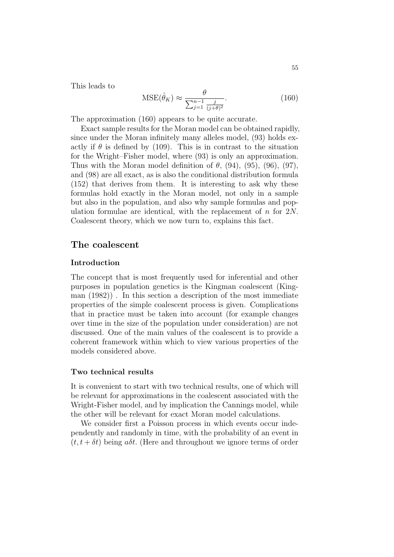This leads to

$$
\text{MSE}(\hat{\theta}_K) \approx \frac{\theta}{\sum_{j=1}^{n-1} \frac{j}{(j+\theta)^2}}.
$$
 (160)

The approximation (160) appears to be quite accurate.

Exact sample results for the Moran model can be obtained rapidly, since under the Moran infinitely many alleles model, (93) holds exactly if  $\theta$  is defined by (109). This is in contrast to the situation for the Wright–Fisher model, where (93) is only an approximation. Thus with the Moran model definition of  $\theta$ , (94), (95), (96), (97), and (98) are all exact, as is also the conditional distribution formula (152) that derives from them. It is interesting to ask why these formulas hold exactly in the Moran model, not only in a sample but also in the population, and also why sample formulas and population formulae are identical, with the replacement of  $n$  for  $2N$ . Coalescent theory, which we now turn to, explains this fact.

# The coalescent

## Introduction

The concept that is most frequently used for inferential and other purposes in population genetics is the Kingman coalescent (Kingman (1982)) . In this section a description of the most immediate properties of the simple coalescent process is given. Complications that in practice must be taken into account (for example changes over time in the size of the population under consideration) are not discussed. One of the main values of the coalescent is to provide a coherent framework within which to view various properties of the models considered above.

## Two technical results

It is convenient to start with two technical results, one of which will be relevant for approximations in the coalescent associated with the Wright-Fisher model, and by implication the Cannings model, while the other will be relevant for exact Moran model calculations.

We consider first a Poisson process in which events occur independently and randomly in time, with the probability of an event in  $(t, t + \delta t)$  being a $\delta t$ . (Here and throughout we ignore terms of order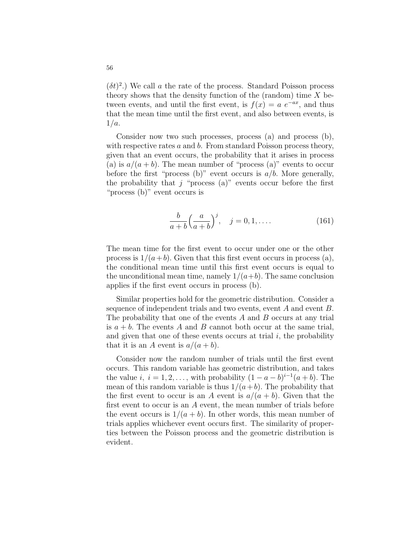$(\delta t)^2$ .) We call a the rate of the process. Standard Poisson process theory shows that the density function of the (random) time  $X$  between events, and until the first event, is  $f(x) = a e^{-ax}$ , and thus that the mean time until the first event, and also between events, is  $1/a$ .

Consider now two such processes, process (a) and process (b), with respective rates a and b. From standard Poisson process theory, given that an event occurs, the probability that it arises in process (a) is  $a/(a + b)$ . The mean number of "process (a)" events to occur before the first "process (b)" event occurs is  $a/b$ . More generally, the probability that j "process (a)" events occur before the first "process (b)" event occurs is

$$
\frac{b}{a+b} \left(\frac{a}{a+b}\right)^j, \quad j=0,1,\dots
$$
\n(161)

The mean time for the first event to occur under one or the other process is  $1/(a+b)$ . Given that this first event occurs in process (a), the conditional mean time until this first event occurs is equal to the unconditional mean time, namely  $1/(a+b)$ . The same conclusion applies if the first event occurs in process (b).

Similar properties hold for the geometric distribution. Consider a sequence of independent trials and two events, event A and event B. The probability that one of the events  $A$  and  $B$  occurs at any trial is  $a + b$ . The events A and B cannot both occur at the same trial, and given that one of these events occurs at trial  $i$ , the probability that it is an A event is  $a/(a + b)$ .

Consider now the random number of trials until the first event occurs. This random variable has geometric distribution, and takes the value i,  $i = 1, 2, \ldots$ , with probability  $(1 - a - b)^{i-1}(a + b)$ . The mean of this random variable is thus  $1/(a+b)$ . The probability that the first event to occur is an A event is  $a/(a + b)$ . Given that the first event to occur is an A event, the mean number of trials before the event occurs is  $1/(a + b)$ . In other words, this mean number of trials applies whichever event occurs first. The similarity of properties between the Poisson process and the geometric distribution is evident.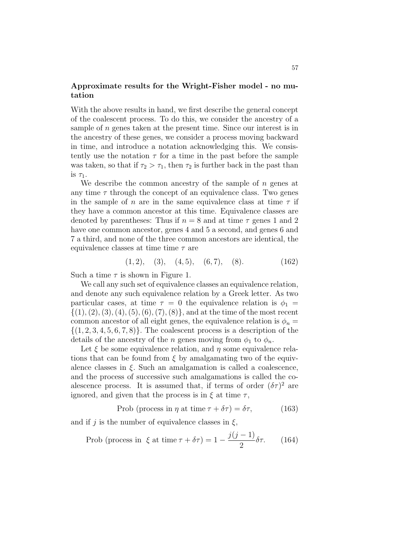# Approximate results for the Wright-Fisher model - no mutation

With the above results in hand, we first describe the general concept of the coalescent process. To do this, we consider the ancestry of a sample of  $n$  genes taken at the present time. Since our interest is in the ancestry of these genes, we consider a process moving backward in time, and introduce a notation acknowledging this. We consistently use the notation  $\tau$  for a time in the past before the sample was taken, so that if  $\tau_2 > \tau_1$ , then  $\tau_2$  is further back in the past than is  $\tau_1$ .

We describe the common ancestry of the sample of  $n$  genes at any time  $\tau$  through the concept of an equivalence class. Two genes in the sample of n are in the same equivalence class at time  $\tau$  if they have a common ancestor at this time. Equivalence classes are denoted by parentheses: Thus if  $n = 8$  and at time  $\tau$  genes 1 and 2 have one common ancestor, genes 4 and 5 a second, and genes 6 and 7 a third, and none of the three common ancestors are identical, the equivalence classes at time time  $\tau$  are

$$
(1,2), (3), (4,5), (6,7), (8). (162)
$$

Such a time  $\tau$  is shown in Figure 1.

We call any such set of equivalence classes an equivalence relation, and denote any such equivalence relation by a Greek letter. As two particular cases, at time  $\tau = 0$  the equivalence relation is  $\phi_1 =$  $\{(1), (2), (3), (4), (5), (6), (7), (8)\}$ , and at the time of the most recent common ancestor of all eight genes, the equivalence relation is  $\phi_n =$  $\{(1, 2, 3, 4, 5, 6, 7, 8)\}.$  The coalescent process is a description of the details of the ancestry of the n genes moving from  $\phi_1$  to  $\phi_n$ .

Let  $\xi$  be some equivalence relation, and  $\eta$  some equivalence relations that can be found from  $\xi$  by amalgamating two of the equivalence classes in  $\xi$ . Such an amalgamation is called a coalescence, and the process of successive such amalgamations is called the coalescence process. It is assumed that, if terms of order  $(\delta \tau)^2$  are ignored, and given that the process is in  $\xi$  at time  $\tau$ ,

$$
Prob (process in \eta at time \tau + \delta \tau) = \delta \tau, \qquad (163)
$$

and if j is the number of equivalence classes in  $\xi$ ,

Prob (process in 
$$
\xi
$$
 at time  $\tau + \delta \tau$ ) =  $1 - \frac{j(j-1)}{2} \delta \tau$ . (164)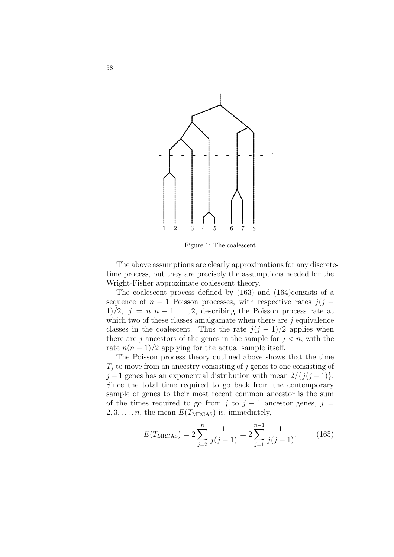

Figure 1: The coalescent

The above assumptions are clearly approximations for any discretetime process, but they are precisely the assumptions needed for the Wright-Fisher approximate coalescent theory.

The coalescent process defined by (163) and (164)consists of a sequence of  $n-1$  Poisson processes, with respective rates  $j(j -$ 1)/2,  $j = n, n - 1, ..., 2$ , describing the Poisson process rate at which two of these classes amalgamate when there are  $j$  equivalence classes in the coalescent. Thus the rate  $j(j-1)/2$  applies when there are j ancestors of the genes in the sample for  $j < n$ , with the rate  $n(n-1)/2$  applying for the actual sample itself.

The Poisson process theory outlined above shows that the time  $T_i$  to move from an ancestry consisting of j genes to one consisting of  $j-1$  genes has an exponential distribution with mean  $2/\{j(j-1)\}.$ Since the total time required to go back from the contemporary sample of genes to their most recent common ancestor is the sum of the times required to go from j to  $j - 1$  ancestor genes,  $j =$  $2, 3, \ldots, n$ , the mean  $E(T_{\text{MRCAS}})$  is, immediately,

$$
E(T_{\text{MRCAS}}) = 2\sum_{j=2}^{n} \frac{1}{j(j-1)} = 2\sum_{j=1}^{n-1} \frac{1}{j(j+1)}.
$$
 (165)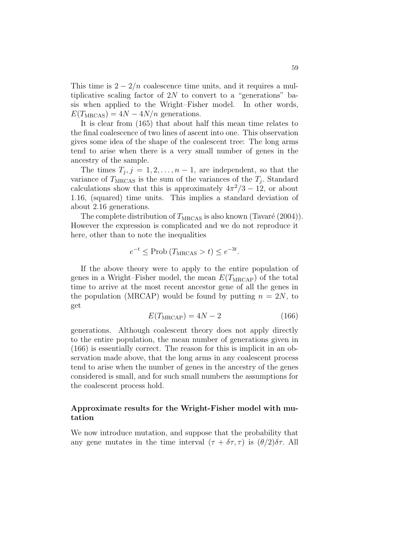This time is  $2 - \frac{2}{n}$  coalescence time units, and it requires a multiplicative scaling factor of  $2N$  to convert to a "generations" basis when applied to the Wright–Fisher model. In other words,  $E(T_{\text{MRCAS}}) = 4N - 4N/n$  generations.

It is clear from (165) that about half this mean time relates to the final coalescence of two lines of ascent into one. This observation gives some idea of the shape of the coalescent tree: The long arms tend to arise when there is a very small number of genes in the ancestry of the sample.

The times  $T_j$ ,  $j = 1, 2, ..., n - 1$ , are independent, so that the variance of  $T_{\text{MRCAS}}$  is the sum of the variances of the  $T_j$ . Standard calculations show that this is approximately  $4\pi^2/3 - 12$ , or about 1.16, (squared) time units. This implies a standard deviation of about 2.16 generations.

The complete distribution of  $T_{\text{MRCAS}}$  is also known (Tavaré (2004)). However the expression is complicated and we do not reproduce it here, other than to note the inequalities

$$
e^{-t} \leq \text{Prob}(T_{\text{MRCAS}} > t) \leq e^{-3t}.
$$

If the above theory were to apply to the entire population of genes in a Wright–Fisher model, the mean  $E(T_{\text{MRCAP}})$  of the total time to arrive at the most recent ancestor gene of all the genes in the population (MRCAP) would be found by putting  $n = 2N$ , to get

$$
E(T_{\text{MRCAP}}) = 4N - 2\tag{166}
$$

generations. Although coalescent theory does not apply directly to the entire population, the mean number of generations given in (166) is essentially correct. The reason for this is implicit in an observation made above, that the long arms in any coalescent process tend to arise when the number of genes in the ancestry of the genes considered is small, and for such small numbers the assumptions for the coalescent process hold.

# Approximate results for the Wright-Fisher model with mutation

We now introduce mutation, and suppose that the probability that any gene mutates in the time interval  $(\tau + \delta \tau, \tau)$  is  $(\theta/2)\delta \tau$ . All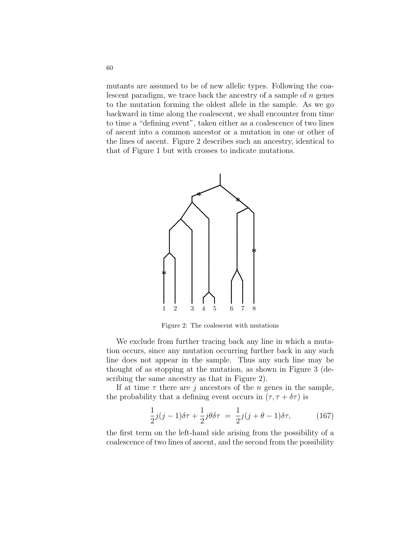mutants are assumed to be of new allelic types. Following the coalescent paradigm, we trace back the ancestry of a sample of  $n$  genes to the mutation forming the oldest allele in the sample. As we go backward in time along the coalescent, we shall encounter from time to time a "defining event", taken either as a coalescence of two lines of ascent into a common ancestor or a mutation in one or other of the lines of ascent. Figure 2 describes such an ancestry, identical to that of Figure 1 but with crosses to indicate mutations.



Figure 2: The coalescent with mutations

We exclude from further tracing back any line in which a mutation occurs, since any mutation occurring further back in any such line does not appear in the sample. Thus any such line may be thought of as stopping at the mutation, as shown in Figure 3 (describing the same ancestry as that in Figure 2).

If at time  $\tau$  there are j ancestors of the n genes in the sample, the probability that a defining event occurs in  $(\tau, \tau + \delta \tau)$  is

$$
\frac{1}{2}j(j-1)\delta\tau + \frac{1}{2}j\theta\delta\tau = \frac{1}{2}j(j+\theta-1)\delta\tau, \tag{167}
$$

the first term on the left-hand side arising from the possibility of a coalescence of two lines of ascent, and the second from the possibility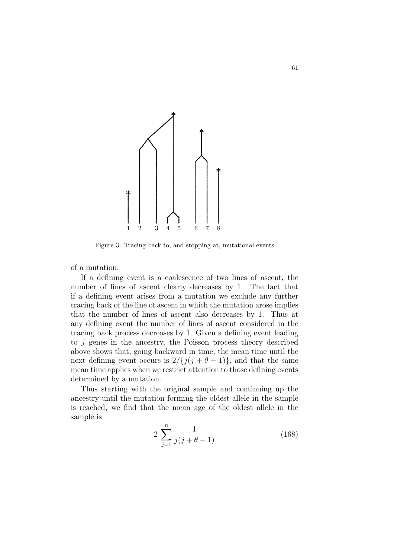

Figure 3: Tracing back to, and stopping at, mutational events

of a mutation.

If a defining event is a coalescence of two lines of ascent, the number of lines of ascent clearly decreases by 1. The fact that if a defining event arises from a mutation we exclude any further tracing back of the line of ascent in which the mutation arose implies that the number of lines of ascent also decreases by 1. Thus at any defining event the number of lines of ascent considered in the tracing back process decreases by 1. Given a defining event leading to  $j$  genes in the ancestry, the Poisson process theory described above shows that, going backward in time, the mean time until the next defining event occurs is  $2/\{j(j + \theta - 1)\}\$ , and that the same mean time applies when we restrict attention to those defining events determined by a mutation.

Thus starting with the original sample and continuing up the ancestry until the mutation forming the oldest allele in the sample is reached, we find that the mean age of the oldest allele in the sample is

$$
2\sum_{j=1}^{n} \frac{1}{j(j+\theta-1)}
$$
 (168)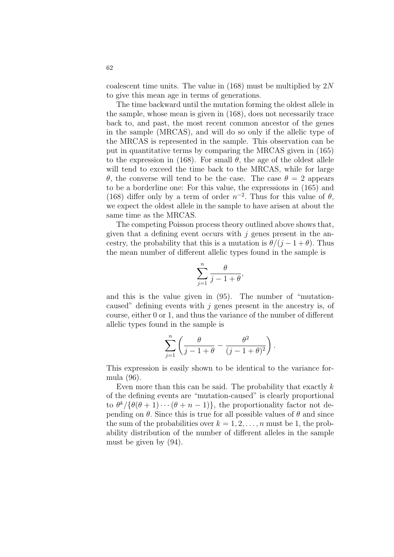coalescent time units. The value in  $(168)$  must be multiplied by  $2N$ to give this mean age in terms of generations.

The time backward until the mutation forming the oldest allele in the sample, whose mean is given in (168), does not necessarily trace back to, and past, the most recent common ancestor of the genes in the sample (MRCAS), and will do so only if the allelic type of the MRCAS is represented in the sample. This observation can be put in quantitative terms by comparing the MRCAS given in (165) to the expression in (168). For small  $\theta$ , the age of the oldest allele will tend to exceed the time back to the MRCAS, while for large θ, the converse will tend to be the case. The case θ = 2 appears to be a borderline one: For this value, the expressions in (165) and (168) differ only by a term of order  $n^{-2}$ . Thus for this value of  $\theta$ , we expect the oldest allele in the sample to have arisen at about the same time as the MRCAS.

The competing Poisson process theory outlined above shows that, given that a defining event occurs with  $j$  genes present in the ancestry, the probability that this is a mutation is  $\theta/(i-1+\theta)$ . Thus the mean number of different allelic types found in the sample is

$$
\sum_{j=1}^{n} \frac{\theta}{j-1+\theta},
$$

and this is the value given in (95). The number of "mutationcaused" defining events with  $j$  genes present in the ancestry is, of course, either 0 or 1, and thus the variance of the number of different allelic types found in the sample is

$$
\sum_{j=1}^n \left( \frac{\theta}{j-1+\theta} - \frac{\theta^2}{(j-1+\theta)^2} \right).
$$

This expression is easily shown to be identical to the variance formula (96).

Even more than this can be said. The probability that exactly  $k$ of the defining events are "mutation-caused" is clearly proportional to  $\theta^k/\{\theta(\theta+1)\cdots(\theta+n-1)\}\,$ , the proportionality factor not depending on  $\theta$ . Since this is true for all possible values of  $\theta$  and since the sum of the probabilities over  $k = 1, 2, \ldots, n$  must be 1, the probability distribution of the number of different alleles in the sample must be given by (94).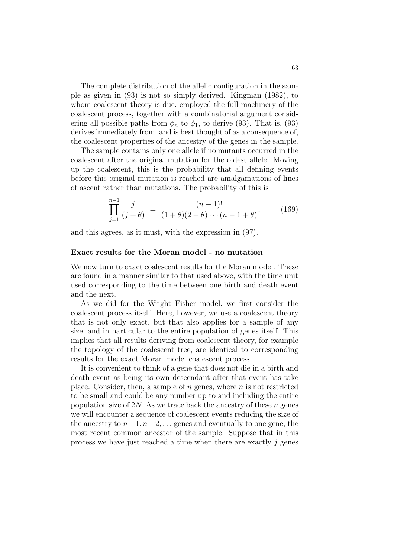The complete distribution of the allelic configuration in the sample as given in (93) is not so simply derived. Kingman (1982), to whom coalescent theory is due, employed the full machinery of the coalescent process, together with a combinatorial argument considering all possible paths from  $\phi_n$  to  $\phi_1$ , to derive (93). That is, (93) derives immediately from, and is best thought of as a consequence of, the coalescent properties of the ancestry of the genes in the sample.

The sample contains only one allele if no mutants occurred in the coalescent after the original mutation for the oldest allele. Moving up the coalescent, this is the probability that all defining events before this original mutation is reached are amalgamations of lines of ascent rather than mutations. The probability of this is

$$
\prod_{j=1}^{n-1} \frac{j}{(j+\theta)} = \frac{(n-1)!}{(1+\theta)(2+\theta)\cdots(n-1+\theta)},
$$
 (169)

and this agrees, as it must, with the expression in (97).

## Exact results for the Moran model - no mutation

We now turn to exact coalescent results for the Moran model. These are found in a manner similar to that used above, with the time unit used corresponding to the time between one birth and death event and the next.

As we did for the Wright–Fisher model, we first consider the coalescent process itself. Here, however, we use a coalescent theory that is not only exact, but that also applies for a sample of any size, and in particular to the entire population of genes itself. This implies that all results deriving from coalescent theory, for example the topology of the coalescent tree, are identical to corresponding results for the exact Moran model coalescent process.

It is convenient to think of a gene that does not die in a birth and death event as being its own descendant after that event has take place. Consider, then, a sample of  $n$  genes, where  $n$  is not restricted to be small and could be any number up to and including the entire population size of 2N. As we trace back the ancestry of these  $n$  genes we will encounter a sequence of coalescent events reducing the size of the ancestry to  $n-1, n-2, \ldots$  genes and eventually to one gene, the most recent common ancestor of the sample. Suppose that in this process we have just reached a time when there are exactly  $j$  genes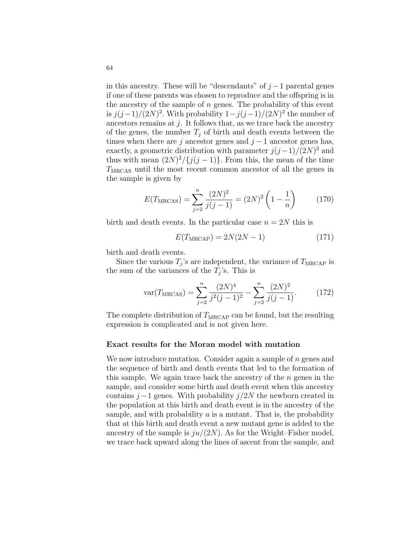in this ancestry. These will be "descendants" of  $j-1$  parental genes if one of these parents was chosen to reproduce and the offspring is in the ancestry of the sample of  $n$  genes. The probability of this event is  $j(j-1)/(2N)^2$ . With probability  $1-j(j-1)/(2N)^2$  the number of ancestors remains at  $j$ . It follows that, as we trace back the ancestry of the genes, the number  $T_i$  of birth and death events between the times when there are j ancestor genes and  $j-1$  ancestor genes has, exactly, a geometric distribution with parameter  $j(j-1)/(2N)^2$  and thus with mean  $(2N)^2/\{j(j-1)\}\.$  From this, the mean of the time  $T<sub>MRCAS</sub>$  until the most recent common ancestor of all the genes in the sample is given by

$$
E(T_{\text{MRCAS}}) = \sum_{j=2}^{n} \frac{(2N)^2}{j(j-1)} = (2N)^2 \left(1 - \frac{1}{n}\right) \tag{170}
$$

birth and death events. In the particular case  $n = 2N$  this is

$$
E(TMRCAP) = 2N(2N - 1)
$$
\n(171)

birth and death events.

Since the various  $T_j$ 's are independent, the variance of  $T_{\text{MRCAP}}$  is the sum of the variances of the  $T_j$ 's. This is

$$
\text{var}(T_{\text{MRCAS}}) = \sum_{j=2}^{n} \frac{(2N)^{4}}{j^{2}(j-1)^{2}} - \sum_{j=2}^{n} \frac{(2N)^{2}}{j(j-1)}.
$$
 (172)

The complete distribution of  $T_{\text{MRCAP}}$  can be found, but the resulting expression is complicated and is not given here.

## Exact results for the Moran model with mutation

We now introduce mutation. Consider again a sample of  $n$  genes and the sequence of birth and death events that led to the formation of this sample. We again trace back the ancestry of the  $n$  genes in the sample, and consider some birth and death event when this ancestry contains  $j-1$  genes. With probability  $j/2N$  the newborn created in the population at this birth and death event is in the ancestry of the sample, and with probability  $u$  is a mutant. That is, the probability that at this birth and death event a new mutant gene is added to the ancestry of the sample is  $ju/(2N)$ . As for the Wright–Fisher model, we trace back upward along the lines of ascent from the sample, and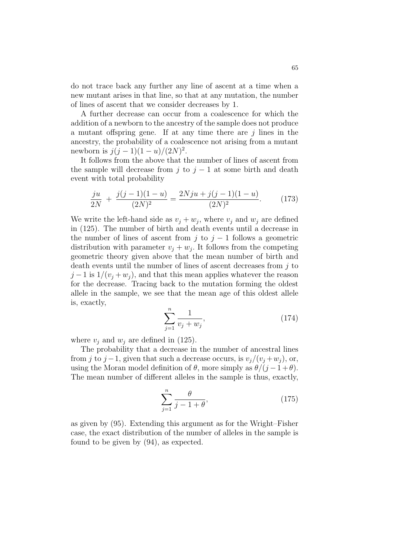do not trace back any further any line of ascent at a time when a new mutant arises in that line, so that at any mutation, the number of lines of ascent that we consider decreases by 1.

A further decrease can occur from a coalescence for which the addition of a newborn to the ancestry of the sample does not produce a mutant offspring gene. If at any time there are  $j$  lines in the ancestry, the probability of a coalescence not arising from a mutant newborn is  $j(j-1)(1-u)/(2N)^2$ .

It follows from the above that the number of lines of ascent from the sample will decrease from j to  $j-1$  at some birth and death event with total probability

$$
\frac{ju}{2N} + \frac{j(j-1)(1-u)}{(2N)^2} = \frac{2Nju + j(j-1)(1-u)}{(2N)^2}.
$$
 (173)

We write the left-hand side as  $v_j + w_j$ , where  $v_j$  and  $w_j$  are defined in (125). The number of birth and death events until a decrease in the number of lines of ascent from j to  $j - 1$  follows a geometric distribution with parameter  $v_j + w_j$ . It follows from the competing geometric theory given above that the mean number of birth and death events until the number of lines of ascent decreases from  $j$  to  $j-1$  is  $1/(v_i + w_j)$ , and that this mean applies whatever the reason for the decrease. Tracing back to the mutation forming the oldest allele in the sample, we see that the mean age of this oldest allele is, exactly,

$$
\sum_{j=1}^{n} \frac{1}{v_j + w_j},\tag{174}
$$

where  $v_i$  and  $w_i$  are defined in (125).

The probability that a decrease in the number of ancestral lines from j to j –1, given that such a decrease occurs, is  $v_i/(v_i + w_i)$ , or, using the Moran model definition of  $\theta$ , more simply as  $\theta/(i-1+\theta)$ . The mean number of different alleles in the sample is thus, exactly,

$$
\sum_{j=1}^{n} \frac{\theta}{j - 1 + \theta},\tag{175}
$$

as given by (95). Extending this argument as for the Wright–Fisher case, the exact distribution of the number of alleles in the sample is found to be given by (94), as expected.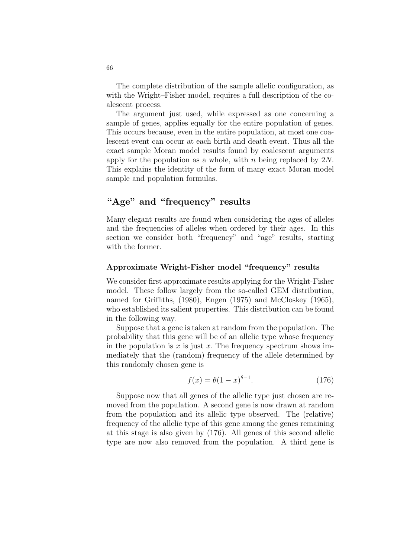The complete distribution of the sample allelic configuration, as with the Wright–Fisher model, requires a full description of the coalescent process.

The argument just used, while expressed as one concerning a sample of genes, applies equally for the entire population of genes. This occurs because, even in the entire population, at most one coalescent event can occur at each birth and death event. Thus all the exact sample Moran model results found by coalescent arguments apply for the population as a whole, with n being replaced by  $2N$ . This explains the identity of the form of many exact Moran model sample and population formulas.

# "Age" and "frequency" results

Many elegant results are found when considering the ages of alleles and the frequencies of alleles when ordered by their ages. In this section we consider both "frequency" and "age" results, starting with the former.

## Approximate Wright-Fisher model "frequency" results

We consider first approximate results applying for the Wright-Fisher model. These follow largely from the so-called GEM distribution, named for Griffiths, (1980), Engen (1975) and McCloskey (1965), who established its salient properties. This distribution can be found in the following way.

Suppose that a gene is taken at random from the population. The probability that this gene will be of an allelic type whose frequency in the population is  $x$  is just  $x$ . The frequency spectrum shows immediately that the (random) frequency of the allele determined by this randomly chosen gene is

$$
f(x) = \theta (1 - x)^{\theta - 1}.
$$
 (176)

Suppose now that all genes of the allelic type just chosen are removed from the population. A second gene is now drawn at random from the population and its allelic type observed. The (relative) frequency of the allelic type of this gene among the genes remaining at this stage is also given by (176). All genes of this second allelic type are now also removed from the population. A third gene is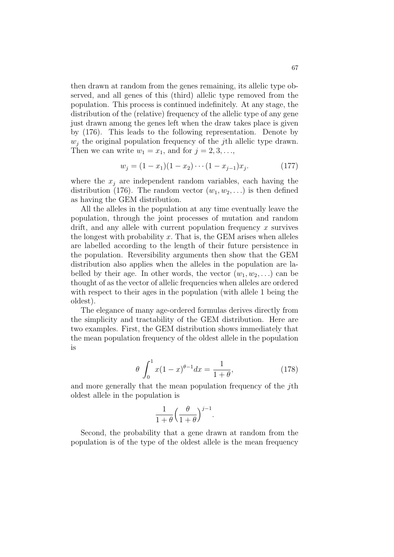then drawn at random from the genes remaining, its allelic type observed, and all genes of this (third) allelic type removed from the population. This process is continued indefinitely. At any stage, the distribution of the (relative) frequency of the allelic type of any gene just drawn among the genes left when the draw takes place is given by (176). This leads to the following representation. Denote by  $w_i$  the original population frequency of the *j*th allelic type drawn. Then we can write  $w_1 = x_1$ , and for  $j = 2, 3, \ldots$ ,

$$
w_j = (1 - x_1)(1 - x_2) \cdots (1 - x_{j-1})x_j.
$$
 (177)

where the  $x_j$  are independent random variables, each having the distribution (176). The random vector  $(w_1, w_2, ...)$  is then defined as having the GEM distribution.

All the alleles in the population at any time eventually leave the population, through the joint processes of mutation and random drift, and any allele with current population frequency  $x$  survives the longest with probability  $x$ . That is, the GEM arises when alleles are labelled according to the length of their future persistence in the population. Reversibility arguments then show that the GEM distribution also applies when the alleles in the population are labelled by their age. In other words, the vector  $(w_1, w_2, ...)$  can be thought of as the vector of allelic frequencies when alleles are ordered with respect to their ages in the population (with allele 1 being the oldest).

The elegance of many age-ordered formulas derives directly from the simplicity and tractability of the GEM distribution. Here are two examples. First, the GEM distribution shows immediately that the mean population frequency of the oldest allele in the population is

$$
\theta \int_0^1 x(1-x)^{\theta-1} dx = \frac{1}{1+\theta},
$$
\n(178)

and more generally that the mean population frequency of the jth oldest allele in the population is

$$
\frac{1}{1+\theta} \left(\frac{\theta}{1+\theta}\right)^{j-1}.
$$

Second, the probability that a gene drawn at random from the population is of the type of the oldest allele is the mean frequency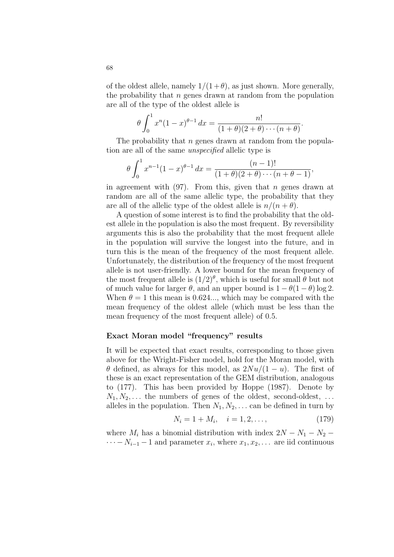of the oldest allele, namely  $1/(1+\theta)$ , as just shown. More generally, the probability that  $n$  genes drawn at random from the population are all of the type of the oldest allele is

$$
\theta \int_0^1 x^n (1-x)^{\theta-1} dx = \frac{n!}{(1+\theta)(2+\theta)\cdots(n+\theta)}.
$$

The probability that *n* genes drawn at random from the population are all of the same unspecified allelic type is

$$
\theta \int_0^1 x^{n-1} (1-x)^{\theta-1} dx = \frac{(n-1)!}{(1+\theta)(2+\theta)\cdots(n+\theta-1)},
$$

in agreement with  $(97)$ . From this, given that *n* genes drawn at random are all of the same allelic type, the probability that they are all of the allelic type of the oldest allele is  $n/(n + \theta)$ .

A question of some interest is to find the probability that the oldest allele in the population is also the most frequent. By reversibility arguments this is also the probability that the most frequent allele in the population will survive the longest into the future, and in turn this is the mean of the frequency of the most frequent allele. Unfortunately, the distribution of the frequency of the most frequent allele is not user-friendly. A lower bound for the mean frequency of the most frequent allele is  $(1/2)^{\theta}$ , which is useful for small  $\theta$  but not of much value for larger  $\theta$ , and an upper bound is  $1 - \theta(1 - \theta) \log 2$ . When  $\theta = 1$  this mean is 0.624..., which may be compared with the mean frequency of the oldest allele (which must be less than the mean frequency of the most frequent allele) of 0.5.

## Exact Moran model "frequency" results

It will be expected that exact results, corresponding to those given above for the Wright-Fisher model, hold for the Moran model, with  $\theta$  defined, as always for this model, as  $2Nu/(1-u)$ . The first of these is an exact representation of the GEM distribution, analogous to (177). This has been provided by Hoppe (1987). Denote by  $N_1, N_2, \ldots$  the numbers of genes of the oldest, second-oldest, ... alleles in the population. Then  $N_1, N_2, \ldots$  can be defined in turn by

$$
N_i = 1 + M_i, \quad i = 1, 2, \dots,
$$
\n(179)

where  $M_i$  has a binomial distribution with index  $2N - N_1 - N_2$  –  $\cdots - N_{i-1} - 1$  and parameter  $x_i$ , where  $x_1, x_2, \ldots$  are iid continuous

68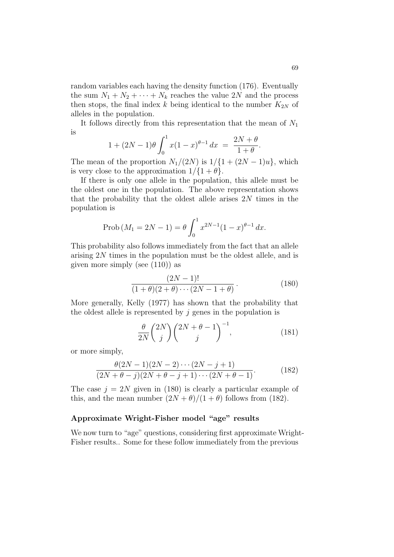random variables each having the density function (176). Eventually the sum  $N_1 + N_2 + \cdots + N_k$  reaches the value 2N and the process then stops, the final index  $k$  being identical to the number  $K_{2N}$  of alleles in the population.

It follows directly from this representation that the mean of  $N_1$ is  $\overline{r}$ 1

$$
1 + (2N - 1)\theta \int_0^1 x(1 - x)^{\theta - 1} dx = \frac{2N + \theta}{1 + \theta}.
$$

The mean of the proportion  $N_1/(2N)$  is  $1/\{1+(2N-1)u\}$ , which is very close to the approximation  $1/\{1 + \theta\}$ .

If there is only one allele in the population, this allele must be the oldest one in the population. The above representation shows that the probability that the oldest allele arises  $2N$  times in the population is

Prob 
$$
(M_1 = 2N - 1) = \theta \int_0^1 x^{2N-1} (1-x)^{\theta-1} dx
$$
.

This probability also follows immediately from the fact that an allele arising 2N times in the population must be the oldest allele, and is given more simply (see (110)) as

$$
\frac{(2N-1)!}{(1+\theta)(2+\theta)\cdots(2N-1+\theta)}.
$$
 (180)

More generally, Kelly (1977) has shown that the probability that the oldest allele is represented by  $j$  genes in the population is

$$
\frac{\theta}{2N} \binom{2N}{j} \binom{2N+\theta-1}{j}^{-1},\tag{181}
$$

or more simply,

$$
\frac{\theta(2N-1)(2N-2)\cdots(2N-j+1)}{(2N+\theta-j)(2N+\theta-j+1)\cdots(2N+\theta-1)}.
$$
\n(182)

The case  $j = 2N$  given in (180) is clearly a particular example of this, and the mean number  $(2N + \theta)/(1 + \theta)$  follows from (182).

# Approximate Wright-Fisher model "age" results

We now turn to "age" questions, considering first approximate Wright-Fisher results.. Some for these follow immediately from the previous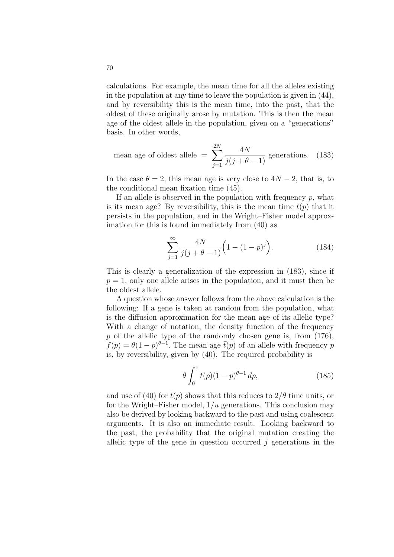calculations. For example, the mean time for all the alleles existing in the population at any time to leave the population is given in (44), and by reversibility this is the mean time, into the past, that the oldest of these originally arose by mutation. This is then the mean age of the oldest allele in the population, given on a "generations" basis. In other words,

mean age of oldest allele = 
$$
\sum_{j=1}^{2N} \frac{4N}{j(j+\theta-1)}
$$
 generations. (183)

In the case  $\theta = 2$ , this mean age is very close to  $4N - 2$ , that is, to the conditional mean fixation time (45).

If an allele is observed in the population with frequency  $p$ , what is its mean age? By reversibility, this is the mean time  $\bar{t}(p)$  that it persists in the population, and in the Wright–Fisher model approximation for this is found immediately from (40) as

$$
\sum_{j=1}^{\infty} \frac{4N}{j(j+\theta-1)} \left(1 - (1-p)^j\right).
$$
 (184)

This is clearly a generalization of the expression in (183), since if  $p = 1$ , only one allele arises in the population, and it must then be the oldest allele.

A question whose answer follows from the above calculation is the following: If a gene is taken at random from the population, what is the diffusion approximation for the mean age of its allelic type? With a change of notation, the density function of the frequency  $p$  of the allelic type of the randomly chosen gene is, from  $(176)$ ,  $f(p) = \theta(1-p)^{\theta-1}$ . The mean age  $\bar{t}(p)$  of an allele with frequency p is, by reversibility, given by (40). The required probability is

$$
\theta \int_0^1 \bar{t}(p)(1-p)^{\theta-1} dp,\tag{185}
$$

and use of (40) for  $\bar{t}(p)$  shows that this reduces to  $2/\theta$  time units, or for the Wright–Fisher model,  $1/u$  generations. This conclusion may also be derived by looking backward to the past and using coalescent arguments. It is also an immediate result. Looking backward to the past, the probability that the original mutation creating the allelic type of the gene in question occurred  $j$  generations in the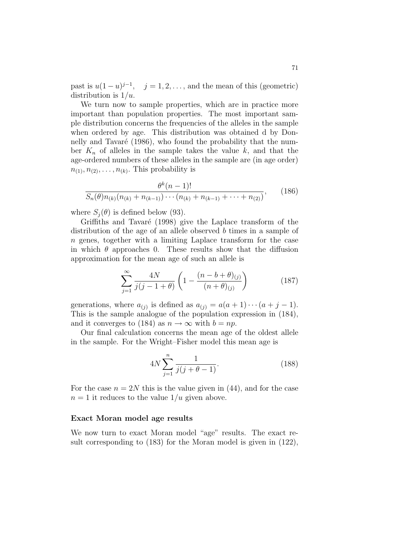past is  $u(1-u)^{j-1}$ ,  $j=1,2,\ldots$ , and the mean of this (geometric) distribution is  $1/u$ .

We turn now to sample properties, which are in practice more important than population properties. The most important sample distribution concerns the frequencies of the alleles in the sample when ordered by age. This distribution was obtained d by Donnelly and Tavaré (1986), who found the probability that the number  $K_n$  of alleles in the sample takes the value k, and that the age-ordered numbers of these alleles in the sample are (in age order)  $n_{(1)}, n_{(2)}, \ldots, n_{(k)}$ . This probability is

$$
\frac{\theta^k(n-1)!}{S_n(\theta)n_{(k)}(n_{(k)}+n_{(k-1)})\cdots(n_{(k)}+n_{(k-1)}+\cdots+n_{(2)})},\qquad(186)
$$

where  $S_i(\theta)$  is defined below (93).

Griffiths and Tavaré (1998) give the Laplace transform of the distribution of the age of an allele observed b times in a sample of n genes, together with a limiting Laplace transform for the case in which  $\theta$  approaches 0. These results show that the diffusion approximation for the mean age of such an allele is

$$
\sum_{j=1}^{\infty} \frac{4N}{j(j-1+\theta)} \left( 1 - \frac{(n-b+\theta)_{(j)}}{(n+\theta)_{(j)}} \right) \tag{187}
$$

generations, where  $a_{(j)}$  is defined as  $a_{(j)} = a(a+1)\cdots(a+j-1)$ . This is the sample analogue of the population expression in (184), and it converges to (184) as  $n \to \infty$  with  $b = np$ .

Our final calculation concerns the mean age of the oldest allele in the sample. For the Wright–Fisher model this mean age is

$$
4N\sum_{j=1}^{n} \frac{1}{j(j+\theta-1)}.\t(188)
$$

For the case  $n = 2N$  this is the value given in (44), and for the case  $n = 1$  it reduces to the value  $1/u$  given above.

## Exact Moran model age results

We now turn to exact Moran model "age" results. The exact result corresponding to (183) for the Moran model is given in (122),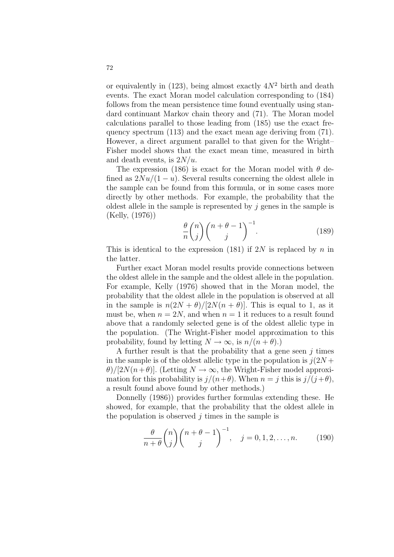or equivalently in  $(123)$ , being almost exactly  $4N^2$  birth and death events. The exact Moran model calculation corresponding to (184) follows from the mean persistence time found eventually using standard continuant Markov chain theory and (71). The Moran model calculations parallel to those leading from (185) use the exact frequency spectrum (113) and the exact mean age deriving from (71). However, a direct argument parallel to that given for the Wright– Fisher model shows that the exact mean time, measured in birth and death events, is  $2N/u$ .

The expression (186) is exact for the Moran model with  $\theta$  defined as  $2Nu/(1-u)$ . Several results concerning the oldest allele in the sample can be found from this formula, or in some cases more directly by other methods. For example, the probability that the oldest allele in the sample is represented by  $i$  genes in the sample is (Kelly, (1976))

$$
\frac{\theta}{n} \binom{n}{j} \binom{n+\theta-1}{j}^{-1}.
$$
 (189)

This is identical to the expression (181) if  $2N$  is replaced by n in the latter.

Further exact Moran model results provide connections between the oldest allele in the sample and the oldest allele in the population. For example, Kelly (1976) showed that in the Moran model, the probability that the oldest allele in the population is observed at all in the sample is  $n(2N + \theta)/[2N(n + \theta)]$ . This is equal to 1, as it must be, when  $n = 2N$ , and when  $n = 1$  it reduces to a result found above that a randomly selected gene is of the oldest allelic type in the population. (The Wright-Fisher model approximation to this probability, found by letting  $N \to \infty$ , is  $n/(n + \theta)$ .)

A further result is that the probability that a gene seen  $i$  times in the sample is of the oldest allelic type in the population is  $j(2N +$  $\theta$ /[2N(n+ $\theta$ )]. (Letting  $N \to \infty$ , the Wright-Fisher model approximation for this probability is  $j/(n+\theta)$ . When  $n = j$  this is  $j/(j+\theta)$ , a result found above found by other methods.)

Donnelly (1986)) provides further formulas extending these. He showed, for example, that the probability that the oldest allele in the population is observed  $i$  times in the sample is

$$
\frac{\theta}{n+\theta} \binom{n}{j} \binom{n+\theta-1}{j}^{-1}, \quad j = 0, 1, 2, \dots, n. \tag{190}
$$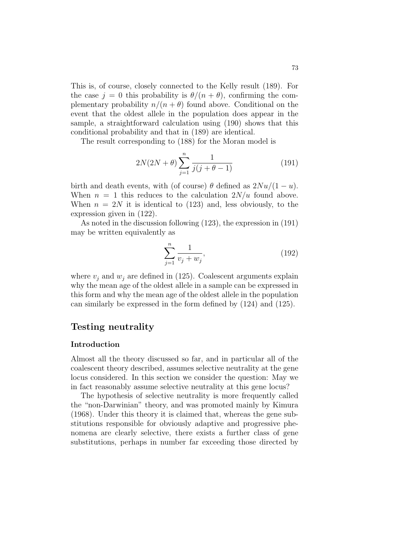This is, of course, closely connected to the Kelly result (189). For the case  $j = 0$  this probability is  $\theta/(n + \theta)$ , confirming the complementary probability  $n/(n + \theta)$  found above. Conditional on the event that the oldest allele in the population does appear in the sample, a straightforward calculation using (190) shows that this conditional probability and that in (189) are identical.

The result corresponding to (188) for the Moran model is

$$
2N(2N+\theta)\sum_{j=1}^{n}\frac{1}{j(j+\theta-1)}
$$
(191)

birth and death events, with (of course)  $\theta$  defined as  $2Nu/(1-u)$ . When  $n = 1$  this reduces to the calculation  $2N/u$  found above. When  $n = 2N$  it is identical to (123) and, less obviously, to the expression given in (122).

As noted in the discussion following (123), the expression in (191) may be written equivalently as

$$
\sum_{j=1}^{n} \frac{1}{v_j + w_j},\tag{192}
$$

where  $v_i$  and  $w_j$  are defined in (125). Coalescent arguments explain why the mean age of the oldest allele in a sample can be expressed in this form and why the mean age of the oldest allele in the population can similarly be expressed in the form defined by (124) and (125).

# Testing neutrality

## Introduction

Almost all the theory discussed so far, and in particular all of the coalescent theory described, assumes selective neutrality at the gene locus considered. In this section we consider the question: May we in fact reasonably assume selective neutrality at this gene locus?

The hypothesis of selective neutrality is more frequently called the "non-Darwinian" theory, and was promoted mainly by Kimura (1968). Under this theory it is claimed that, whereas the gene substitutions responsible for obviously adaptive and progressive phenomena are clearly selective, there exists a further class of gene substitutions, perhaps in number far exceeding those directed by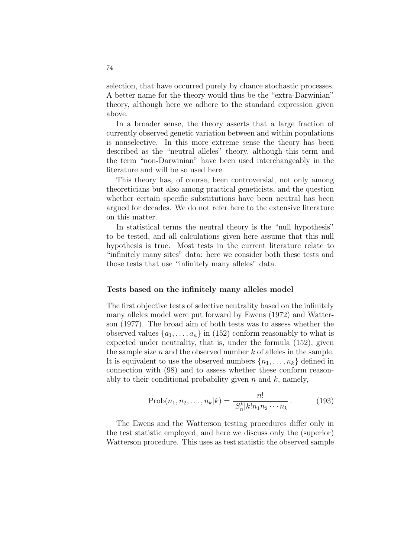selection, that have occurred purely by chance stochastic processes. A better name for the theory would thus be the "extra-Darwinian" theory, although here we adhere to the standard expression given above.

In a broader sense, the theory asserts that a large fraction of currently observed genetic variation between and within populations is nonselective. In this more extreme sense the theory has been described as the "neutral alleles" theory, although this term and the term "non-Darwinian" have been used interchangeably in the literature and will be so used here.

This theory has, of course, been controversial, not only among theoreticians but also among practical geneticists, and the question whether certain specific substitutions have been neutral has been argued for decades. We do not refer here to the extensive literature on this matter.

In statistical terms the neutral theory is the "null hypothesis" to be tested, and all calculations given here assume that this null hypothesis is true. Most tests in the current literature relate to "infinitely many sites" data: here we consider both these tests and those tests that use "infinitely many alleles" data.

## Tests based on the infinitely many alleles model

The first objective tests of selective neutrality based on the infinitely many alleles model were put forward by Ewens (1972) and Watterson (1977). The broad aim of both tests was to assess whether the observed values  $\{a_1, \ldots, a_n\}$  in (152) conform reasonably to what is expected under neutrality, that is, under the formula (152), given the sample size  $n$  and the observed number  $k$  of alleles in the sample. It is equivalent to use the observed numbers  $\{n_1, \ldots, n_k\}$  defined in connection with (98) and to assess whether these conform reasonably to their conditional probability given  $n$  and  $k$ , namely,

$$
Prob(n_1, n_2, \dots, n_k | k) = \frac{n!}{|S_n^k| k! n_1 n_2 \cdots n_k}.
$$
 (193)

The Ewens and the Watterson testing procedures differ only in the test statistic employed, and here we discuss only the (superior) Watterson procedure. This uses as test statistic the observed sample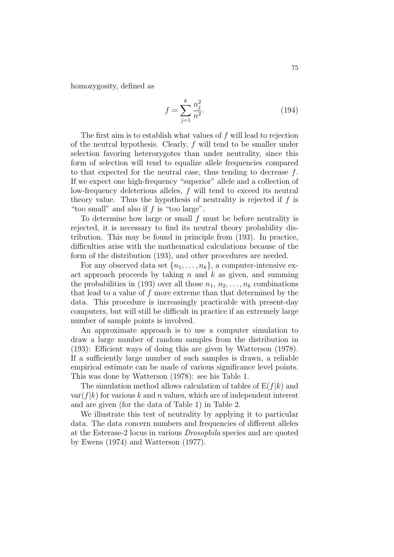homozygosity, defined as

$$
f = \sum_{j=1}^{k} \frac{n_j^2}{n^2}.
$$
 (194)

The first aim is to establish what values of f will lead to rejection of the neutral hypothesis. Clearly, f will tend to be smaller under selection favoring heterozygotes than under neutrality, since this form of selection will tend to equalize allele frequencies compared to that expected for the neutral case, thus tending to decrease f. If we expect one high-frequency "superior" allele and a collection of low-frequency deleterious alleles, f will tend to exceed its neutral theory value. Thus the hypothesis of neutrality is rejected if  $f$  is "too small" and also if f is "too large".

To determine how large or small  $f$  must be before neutrality is rejected, it is necessary to find its neutral theory probability distribution. This may be found in principle from (193). In practice, difficulties arise with the mathematical calculations because of the form of the distribution (193), and other procedures are needed.

For any observed data set  $\{n_1, \ldots, n_k\}$ , a computer-intensive exact approach proceeds by taking  $n$  and  $k$  as given, and summing the probabilities in (193) over all those  $n_1, n_2, \ldots, n_k$  combinations that lead to a value of f more extreme than that determined by the data. This procedure is increasingly practicable with present-day computers, but will still be difficult in practice if an extremely large number of sample points is involved.

An approximate approach is to use a computer simulation to draw a large number of random samples from the distribution in (193): Efficient ways of doing this are given by Watterson (1978). If a sufficiently large number of such samples is drawn, a reliable empirical estimate can be made of various significance level points. This was done by Watterson (1978): see his Table 1.

The simulation method allows calculation of tables of  $E(f|k)$  and var( $f(k)$  for various k and n values, which are of independent interest and are given (for the data of Table 1) in Table 2.

We illustrate this test of neutrality by applying it to particular data. The data concern numbers and frequencies of different alleles at the Esterase-2 locus in various Drosophila species and are quoted by Ewens (1974) and Watterson (1977).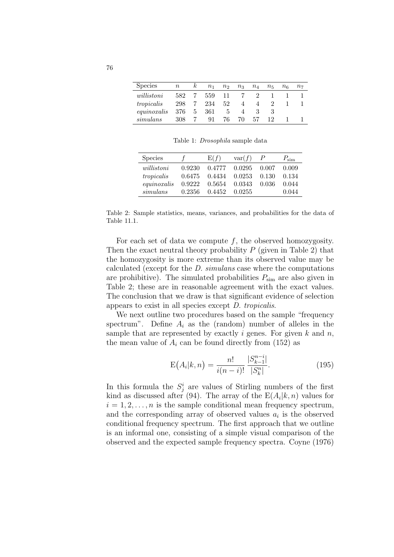| <b>Species</b> | $\, n$ | $\kappa$ | $n_{1}$ | n <sub>2</sub> | $n_3$ | $n_4$ | $n_{\rm 5}$ | $n_{\mathsf{6}}$ | $n_{\rm 7}$ |
|----------------|--------|----------|---------|----------------|-------|-------|-------------|------------------|-------------|
| willistoni     | 582    |          | 559     | 11             |       |       |             |                  |             |
| tropicalis     | 298    |          | 234     | 52             | 4     |       |             |                  |             |
| equino xalis   | 376    | 5.       | 361     | 5.             |       |       |             |                  |             |
| simulans       | 308    |          | 91      | 76             | 70    | 57    |             |                  |             |

Table 1: Drosophila sample data

| <b>Species</b> |        | E(f)   | var(f) |       | $P_{\text{sim}}$ |
|----------------|--------|--------|--------|-------|------------------|
| willistoni     | 0.9230 | 0.4777 | 0.0295 | 0.007 | 0.009            |
| tropicalis     | 0.6475 | 0.4434 | 0.0253 | 0.130 | 0.134            |
| equinoxalis    | 0.9222 | 0.5654 | 0.0343 | 0.036 | 0.044            |
| simulans       | 0.2356 | 0.4452 | 0.0255 |       | 0.044            |

Table 2: Sample statistics, means, variances, and probabilities for the data of Table 11.1.

For each set of data we compute  $f$ , the observed homozygosity. Then the exact neutral theory probability  $P$  (given in Table 2) that the homozygosity is more extreme than its observed value may be calculated (except for the D. simulans case where the computations are prohibitive). The simulated probabilities  $P_{\text{sim}}$  are also given in Table 2; these are in reasonable agreement with the exact values. The conclusion that we draw is that significant evidence of selection appears to exist in all species except D. tropicalis.

We next outline two procedures based on the sample "frequency spectrum". Define  $A_i$  as the (random) number of alleles in the sample that are represented by exactly i genes. For given  $k$  and  $n$ , the mean value of  $A_i$  can be found directly from (152) as

$$
E(A_i|k,n) = \frac{n!}{i(n-i)!} \frac{|S_{k-1}^{n-i}|}{|S_k^n|}.
$$
\n(195)

In this formula the  $S_j^i$  are values of Stirling numbers of the first kind as discussed after (94). The array of the  $E(A_i|k,n)$  values for  $i = 1, 2, \ldots, n$  is the sample conditional mean frequency spectrum, and the corresponding array of observed values  $a_i$  is the observed conditional frequency spectrum. The first approach that we outline is an informal one, consisting of a simple visual comparison of the observed and the expected sample frequency spectra. Coyne (1976)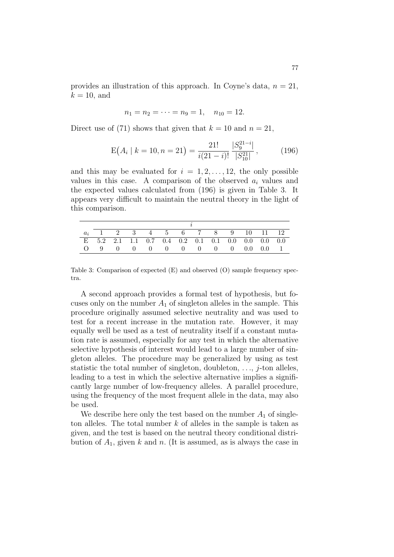provides an illustration of this approach. In Coyne's data,  $n = 21$ ,  $k = 10$ , and

$$
n_1 = n_2 = \cdots = n_9 = 1, \quad n_{10} = 12.
$$

Direct use of (71) shows that given that  $k = 10$  and  $n = 21$ ,

$$
E(A_i \mid k = 10, n = 21) = \frac{21!}{i(21-i)!} \frac{|S_9^{21-i}|}{|S_{10}^{21}|},
$$
 (196)

and this may be evaluated for  $i = 1, 2, \ldots, 12$ , the only possible values in this case. A comparison of the observed  $a_i$  values and the expected values calculated from (196) is given in Table 3. It appears very difficult to maintain the neutral theory in the light of this comparison.

|  |  |  | $a_i$ 1 2 3 4 5 6 7 8 9 10 11 12                    |  |  |  |  |  |  |  |
|--|--|--|-----------------------------------------------------|--|--|--|--|--|--|--|
|  |  |  | E $5.2$ 2.1 1.1 0.7 0.4 0.2 0.1 0.1 0.0 0.0 0.0 0.0 |  |  |  |  |  |  |  |
|  |  |  |                                                     |  |  |  |  |  |  |  |

Table 3: Comparison of expected (E) and observed (O) sample frequency spectra.

A second approach provides a formal test of hypothesis, but focuses only on the number  $A_1$  of singleton alleles in the sample. This procedure originally assumed selective neutrality and was used to test for a recent increase in the mutation rate. However, it may equally well be used as a test of neutrality itself if a constant mutation rate is assumed, especially for any test in which the alternative selective hypothesis of interest would lead to a large number of singleton alleles. The procedure may be generalized by using as test statistic the total number of singleton, doubleton,  $\dots$ , *j*-ton alleles, leading to a test in which the selective alternative implies a significantly large number of low-frequency alleles. A parallel procedure, using the frequency of the most frequent allele in the data, may also be used.

We describe here only the test based on the number  $A_1$  of singleton alleles. The total number  $k$  of alleles in the sample is taken as given, and the test is based on the neutral theory conditional distribution of  $A_1$ , given k and n. (It is assumed, as is always the case in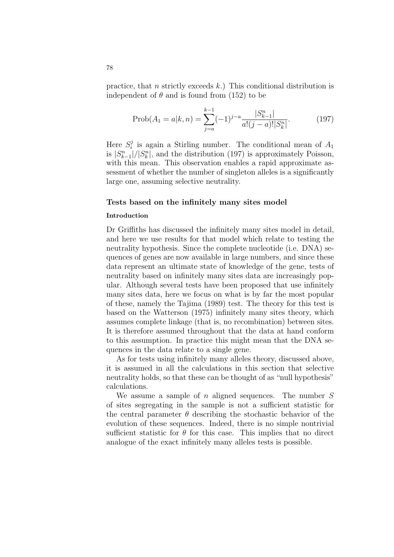practice, that n strictly exceeds  $k$ .) This conditional distribution is independent of  $\theta$  and is found from (152) to be

$$
\text{Prob}(A_1 = a|k, n) = \sum_{j=a}^{k-1} (-1)^{j-a} \frac{|S_{k-1}^n|}{a!(j-a)!|S_k^n|}.
$$
 (197)

Here  $S_i^j$  $i_i$  is again a Stirling number. The conditional mean of  $A_1$ is  $|S_{k-1}^n|/|S_k^n|$ , and the distribution (197) is approximately Poisson, with this mean. This observation enables a rapid approximate assessment of whether the number of singleton alleles is a significantly large one, assuming selective neutrality.

## Tests based on the infinitely many sites model

## Introduction

Dr Griffiths has discussed the infinitely many sites model in detail, and here we use results for that model which relate to testing the neutrality hypothesis. Since the complete nucleotide (i.e. DNA) sequences of genes are now available in large numbers, and since these data represent an ultimate state of knowledge of the gene, tests of neutrality based on infinitely many sites data are increasingly popular. Although several tests have been proposed that use infinitely many sites data, here we focus on what is by far the most popular of these, namely the Tajima (1989) test. The theory for this test is based on the Watterson (1975) infinitely many sites theory, which assumes complete linkage (that is, no recombination) between sites. It is therefore assumed throughout that the data at hand conform to this assumption. In practice this might mean that the DNA sequences in the data relate to a single gene.

As for tests using infinitely many alleles theory, discussed above, it is assumed in all the calculations in this section that selective neutrality holds, so that these can be thought of as "null hypothesis" calculations.

We assume a sample of  $n$  aligned sequences. The number  $S$ of sites segregating in the sample is not a sufficient statistic for the central parameter  $\theta$  describing the stochastic behavior of the evolution of these sequences. Indeed, there is no simple nontrivial sufficient statistic for  $\theta$  for this case. This implies that no direct analogue of the exact infinitely many alleles tests is possible.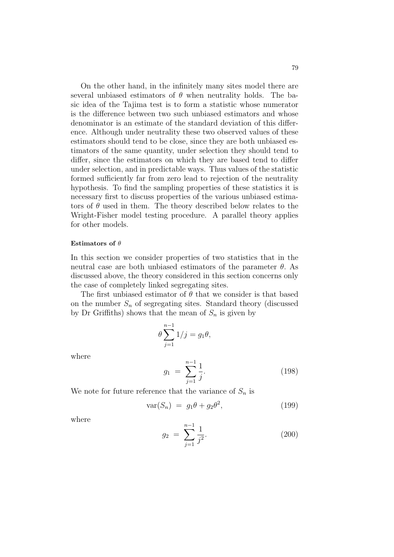On the other hand, in the infinitely many sites model there are several unbiased estimators of  $\theta$  when neutrality holds. The basic idea of the Tajima test is to form a statistic whose numerator is the difference between two such unbiased estimators and whose denominator is an estimate of the standard deviation of this difference. Although under neutrality these two observed values of these estimators should tend to be close, since they are both unbiased estimators of the same quantity, under selection they should tend to differ, since the estimators on which they are based tend to differ under selection, and in predictable ways. Thus values of the statistic formed sufficiently far from zero lead to rejection of the neutrality hypothesis. To find the sampling properties of these statistics it is necessary first to discuss properties of the various unbiased estimators of  $\theta$  used in them. The theory described below relates to the Wright-Fisher model testing procedure. A parallel theory applies for other models.

## Estimators of  $\theta$

In this section we consider properties of two statistics that in the neutral case are both unbiased estimators of the parameter  $\theta$ . As discussed above, the theory considered in this section concerns only the case of completely linked segregating sites.

The first unbiased estimator of  $\theta$  that we consider is that based on the number  $S_n$  of segregating sites. Standard theory (discussed by Dr Griffiths) shows that the mean of  $S_n$  is given by

$$
\theta \sum_{j=1}^{n-1} 1/j = g_1 \theta,
$$

where

$$
g_1 = \sum_{j=1}^{n-1} \frac{1}{j}.\tag{198}
$$

We note for future reference that the variance of  $S_n$  is

$$
var(S_n) = g_1 \theta + g_2 \theta^2, \qquad (199)
$$

where

$$
g_2 = \sum_{j=1}^{n-1} \frac{1}{j^2}.
$$
 (200)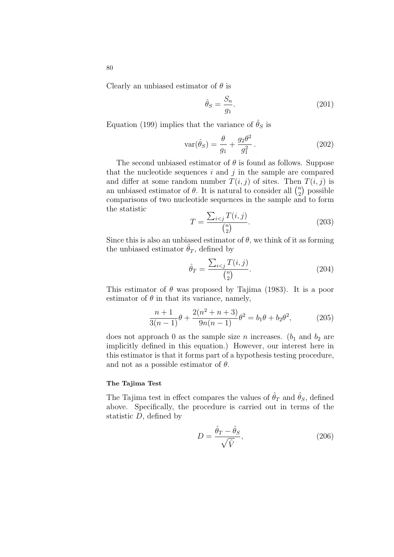Clearly an unbiased estimator of  $\theta$  is

$$
\hat{\theta}_S = \frac{S_n}{g_1}.\tag{201}
$$

Equation (199) implies that the variance of  $\hat{\theta}_S$  is

$$
\operatorname{var}(\hat{\theta}_S) = \frac{\theta}{g_1} + \frac{g_2 \theta^2}{g_1^2}.
$$
\n(202)

The second unbiased estimator of  $\theta$  is found as follows. Suppose that the nucleotide sequences i and j in the sample are compared and differ at some random number  $T(i, j)$  of sites. Then  $T(i, j)$  is and differ at some random number  $I(i, j)$  of sites. Then<br>an unbiased estimator of  $\theta$ . It is natural to consider all  $\binom{n}{2}$  $n \choose 2$  possible comparisons of two nucleotide sequences in the sample and to form the statistic  $\overline{ }$ 

$$
T = \frac{\sum_{i < j} T(i, j)}{\binom{n}{2}}.\tag{203}
$$

Since this is also an unbiased estimator of  $\theta$ , we think of it as forming the unbiased estimator  $\hat{\theta}_T$ , defined by

$$
\hat{\theta}_T = \frac{\sum_{i < j} T(i, j)}{\binom{n}{2}}.\tag{204}
$$

This estimator of  $\theta$  was proposed by Tajima (1983). It is a poor estimator of  $\theta$  in that its variance, namely,

$$
\frac{n+1}{3(n-1)}\theta + \frac{2(n^2+n+3)}{9n(n-1)}\theta^2 = b_1\theta + b_2\theta^2,
$$
 (205)

does not approach 0 as the sample size n increases.  $(b_1 \text{ and } b_2 \text{ are})$ implicitly defined in this equation.) However, our interest here in this estimator is that it forms part of a hypothesis testing procedure, and not as a possible estimator of  $\theta$ .

#### The Tajima Test

The Tajima test in effect compares the values of  $\hat{\theta}_T$  and  $\hat{\theta}_S$ , defined above. Specifically, the procedure is carried out in terms of the statistic  $D$ , defined by

$$
D = \frac{\hat{\theta}_T - \hat{\theta}_S}{\sqrt{\hat{V}}},\tag{206}
$$

80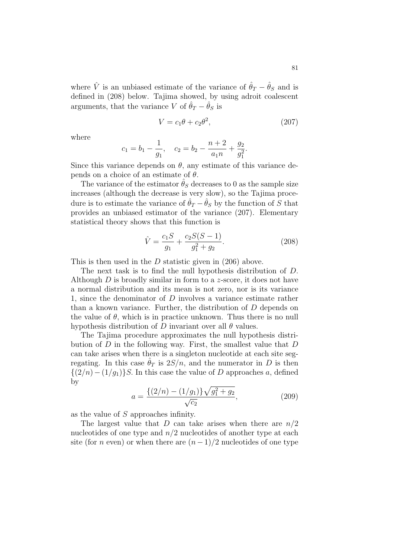where  $\hat{V}$  is an unbiased estimate of the variance of  $\hat{\theta}_T - \hat{\theta}_S$  and is defined in (208) below. Tajima showed, by using adroit coalescent arguments, that the variance V of  $\hat{\theta}_T - \hat{\theta}_S$  is

$$
V = c_1 \theta + c_2 \theta^2, \qquad (207)
$$

where

$$
c_1 = b_1 - \frac{1}{g_1}, \quad c_2 = b_2 - \frac{n+2}{a_1 n} + \frac{g_2}{g_1^2}.
$$

Since this variance depends on  $\theta$ , any estimate of this variance depends on a choice of an estimate of  $\theta$ .

The variance of the estimator  $\hat{\theta}_S$  decreases to 0 as the sample size increases (although the decrease is very slow), so the Tajima procedure is to estimate the variance of  $\hat{\theta}_T - \hat{\theta}_S$  by the function of S that provides an unbiased estimator of the variance (207). Elementary statistical theory shows that this function is

$$
\hat{V} = \frac{c_1 S}{g_1} + \frac{c_2 S(S-1)}{g_1^2 + g_2}.
$$
\n(208)

This is then used in the D statistic given in  $(206)$  above.

The next task is to find the null hypothesis distribution of D. Although  $D$  is broadly similar in form to a z-score, it does not have a normal distribution and its mean is not zero, nor is its variance 1, since the denominator of D involves a variance estimate rather than a known variance. Further, the distribution of D depends on the value of  $\theta$ , which is in practice unknown. Thus there is no null hypothesis distribution of D invariant over all  $\theta$  values.

The Tajima procedure approximates the null hypothesis distribution of D in the following way. First, the smallest value that D can take arises when there is a singleton nucleotide at each site segregating. In this case  $\hat{\theta}_T$  is  $2S/n$ , and the numerator in D is then  $\{(2/n)-(1/q_1)\}S$ . In this case the value of D approaches a, defined by p

$$
a = \frac{\{(2/n) - (1/g_1)\}\sqrt{g_1^2 + g_2}}{\sqrt{c_2}},\tag{209}
$$

as the value of S approaches infinity.

The largest value that D can take arises when there are  $n/2$ nucleotides of one type and  $n/2$  nucleotides of another type at each site (for *n* even) or when there are  $(n-1)/2$  nucleotides of one type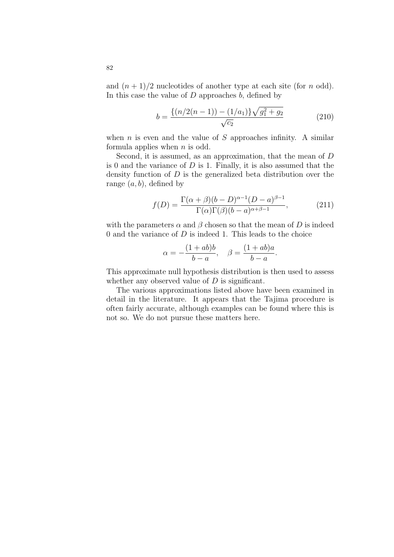and  $(n+1)/2$  nucleotides of another type at each site (for n odd). In this case the value of  $D$  approaches  $b$ , defined by

$$
b = \frac{\{(n/2(n-1)) - (1/a_1)\}\sqrt{g_1^2 + g_2}}{\sqrt{c_2}}
$$
(210)

when  $n$  is even and the value of  $S$  approaches infinity. A similar formula applies when  $n$  is odd.

Second, it is assumed, as an approximation, that the mean of D is 0 and the variance of  $D$  is 1. Finally, it is also assumed that the density function of  $D$  is the generalized beta distribution over the range  $(a, b)$ , defined by

$$
f(D) = \frac{\Gamma(\alpha + \beta)(b - D)^{\alpha - 1}(D - a)^{\beta - 1}}{\Gamma(\alpha)\Gamma(\beta)(b - a)^{\alpha + \beta - 1}},
$$
\n(211)

with the parameters  $\alpha$  and  $\beta$  chosen so that the mean of D is indeed 0 and the variance of  $D$  is indeed 1. This leads to the choice

$$
\alpha = -\frac{(1+ab)b}{b-a}, \quad \beta = \frac{(1+ab)a}{b-a}.
$$

This approximate null hypothesis distribution is then used to assess whether any observed value of  $D$  is significant.

The various approximations listed above have been examined in detail in the literature. It appears that the Tajima procedure is often fairly accurate, although examples can be found where this is not so. We do not pursue these matters here.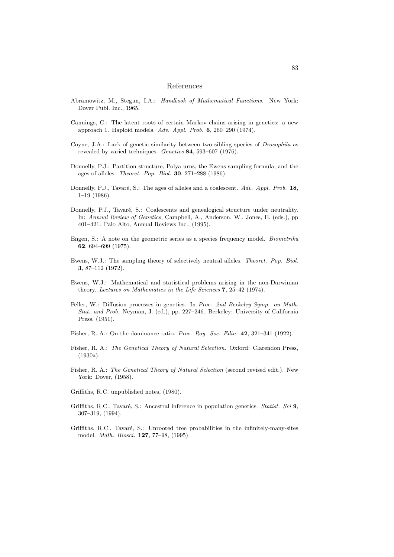#### References

- Abramowitz, M., Stegun, I.A.: Handbook of Mathematical Functions. New York: Dover Publ. Inc., 1965.
- Cannings, C.: The latent roots of certain Markov chains arising in genetics: a new approach 1. Haploid models. Adv. Appl. Prob. 6, 260–290 (1974).
- Coyne, J.A.: Lack of genetic similarity between two sibling species of *Drosophila* as revealed by varied techniques. Genetics 84, 593–607 (1976).
- Donnelly, P.J.: Partition structure, Polya urns, the Ewens sampling formula, and the ages of alleles. Theoret. Pop. Biol. 30, 271–288 (1986).
- Donnelly, P.J., Tavaré, S.: The ages of alleles and a coalescent. Adv. Appl. Prob. 18, 1–19 (1986).
- Donnelly, P.J., Tavaré, S.: Coalescents and genealogical structure under neutrality. In: Annual Review of Genetics, Campbell, A., Anderson, W., Jones, E. (eds.), pp 401–421. Palo Alto, Annual Reviews Inc., (1995).
- Engen, S.: A note on the geometric series as a species frequency model. Biometrika 62, 694–699 (1975).
- Ewens, W.J.: The sampling theory of selectively neutral alleles. Theoret. Pop. Biol. 3, 87–112 (1972).
- Ewens, W.J.: Mathematical and statistical problems arising in the non-Darwinian theory. Lectures on Mathematics in the Life Sciences 7, 25–42 (1974).
- Feller, W.: Diffusion processes in genetics. In Proc. 2nd Berkeley Symp. on Math. Stat. and Prob. Neyman, J. (ed.), pp. 227–246. Berkeley: University of California Press, (1951).
- Fisher, R. A.: On the dominance ratio. *Proc. Roy. Soc. Edin.* **42**, 321–341 (1922).
- Fisher, R. A.: The Genetical Theory of Natural Selection. Oxford: Clarendon Press, (1930a).
- Fisher, R. A.: The Genetical Theory of Natural Selection (second revised edit.). New York: Dover, (1958).
- Griffiths, R.C. unpublished notes, (1980).
- Griffiths, R.C., Tavaré, S.: Ancestral inference in population genetics. Statist. Sci  $9$ , 307–319, (1994).
- Griffiths, R.C., Tavaré, S.: Unrooted tree probabilities in the infinitely-many-sites model. Math. Biosci. 127, 77–98, (1995).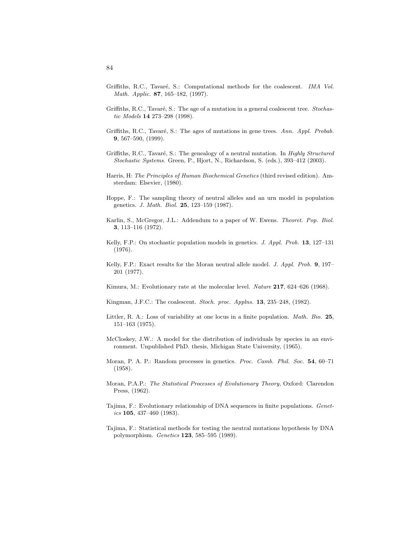- Griffiths, R.C., Tavaré, S.: Computational methods for the coalescent. IMA Vol. Math. Applic. 87, 165–182, (1997).
- Griffiths, R.C., Tavaré, S.: The age of a mutation in a general coalescent tree. Stochastic Models 14 273–298 (1998).
- Griffiths, R.C., Tavaré, S.: The ages of mutations in gene trees. Ann. Appl. Probab. 9, 567–590, (1999).
- Griffiths, R.C., Tavaré, S.: The genealogy of a neutral mutation. In Highly Structured Stochastic Systems. Green, P., Hjort, N., Richardson, S. (eds.), 393–412 (2003).
- Harris, H: The Principles of Human Biochemical Genetics (third revised edition). Amsterdam: Elsevier, (1980).
- Hoppe, F.: The sampling theory of neutral alleles and an urn model in population genetics. J. Math. Biol. 25, 123–159 (1987).
- Karlin, S., McGregor, J.L.: Addendum to a paper of W. Ewens. Theoret. Pop. Biol. 3, 113–116 (1972).
- Kelly, F.P.: On stochastic population models in genetics. J. Appl. Prob. 13, 127–131 (1976).
- Kelly, F.P.: Exact results for the Moran neutral allele model. J. Appl. Prob. 9, 197– 201 (1977).
- Kimura, M.: Evolutionary rate at the molecular level. Nature 217, 624–626 (1968).
- Kingman, J.F.C.: The coalescent. Stoch. proc. Applns. 13, 235–248, (1982).
- Littler, R. A.: Loss of variability at one locus in a finite population. *Math. Bio.* 25, 151–163 (1975).
- McCloskey, J.W.: A model for the distribution of individuals by species in an environment. Unpublished PhD. thesis, Michigan State University, (1965).
- Moran, P. A. P.: Random processes in genetics. Proc. Camb. Phil. Soc. 54, 60–71 (1958).
- Moran, P.A.P.: The Statistical Processes of Evolutionary Theory, Oxford: Clarendon Press, (1962).
- Tajima, F.: Evolutionary relationship of DNA sequences in finite populations. Genetics 105, 437-460 (1983).
- Tajima, F.: Statistical methods for testing the neutral mutations hypothesis by DNA polymorphism. Genetics 123, 585–595 (1989).